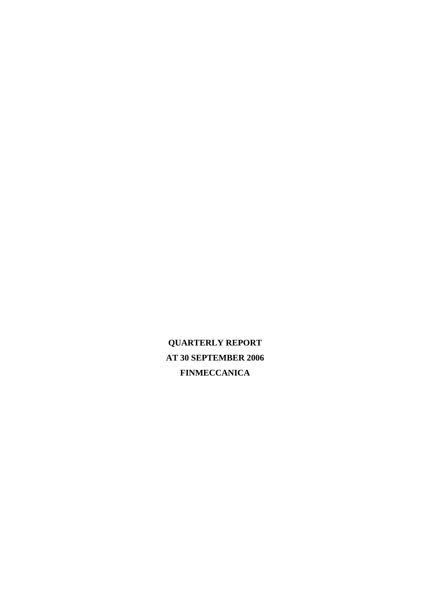**QUARTERLY REPORT AT 30 SEPTEMBER 2006 FINMECCANICA**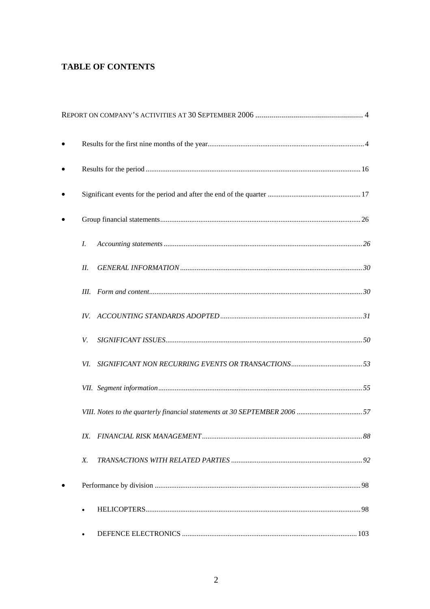## **TABLE OF CONTENTS**

| I.  |                                                                           |  |
|-----|---------------------------------------------------------------------------|--|
| II. |                                                                           |  |
|     |                                                                           |  |
|     |                                                                           |  |
| V.  |                                                                           |  |
| VI. |                                                                           |  |
|     |                                                                           |  |
|     | VIII. Notes to the quarterly financial statements at 30 SEPTEMBER 2006 57 |  |
|     |                                                                           |  |
| X.  |                                                                           |  |
|     |                                                                           |  |
|     |                                                                           |  |
|     |                                                                           |  |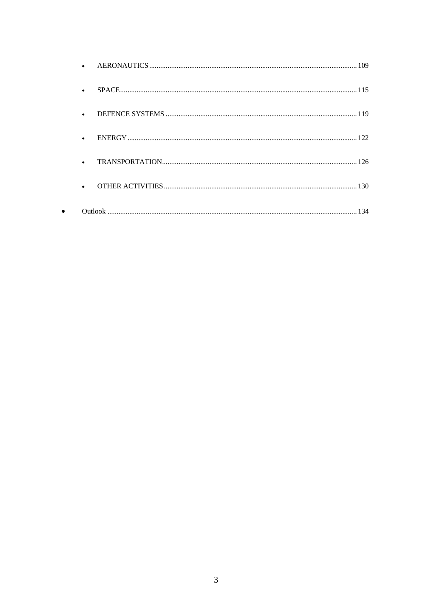$\bullet$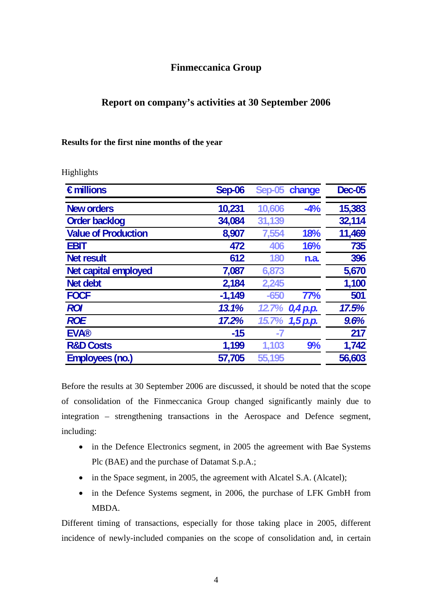### **Finmeccanica Group**

### **Report on company's activities at 30 September 2006**

### **Results for the first nine months of the year**

| €millions                   | Sep-06   |        | Sep-05 change  | <b>Dec-05</b> |
|-----------------------------|----------|--------|----------------|---------------|
| <b>New orders</b>           | 10,231   | 10,606 | $-4%$          | 15,383        |
| <b>Order backlog</b>        | 34,084   | 31,139 |                | 32,114        |
| <b>Value of Production</b>  | 8,907    | 7,554  | 18%            | 11,469        |
| <b>EBIT</b>                 | 472      | 406    | 16%            | 735           |
| <b>Net result</b>           | 612      | 180    | n.a.           | 396           |
| <b>Net capital employed</b> | 7,087    | 6,873  |                | 5,670         |
| <b>Net debt</b>             | 2,184    | 2,245  |                | 1,100         |
| <b>FOCF</b>                 | $-1,149$ | $-650$ | 77%            | 501           |
| <b>ROI</b>                  | 13.1%    |        | 12.7% 0,4 p.p. | 17.5%         |
| <b>ROE</b>                  | 17.2%    | 15.7%  | 1,5 p.p.       | 9.6%          |
| <b>EVA®</b>                 | $-15$    | -7     |                | 217           |
| <b>R&amp;D Costs</b>        | 1,199    | 1,103  | 9%             | 1,742         |
| <b>Employees (no.)</b>      | 57,705   | 55,195 |                | 56,603        |

Before the results at 30 September 2006 are discussed, it should be noted that the scope of consolidation of the Finmeccanica Group changed significantly mainly due to integration – strengthening transactions in the Aerospace and Defence segment, including:

- in the Defence Electronics segment, in 2005 the agreement with Bae Systems Plc (BAE) and the purchase of Datamat S.p.A.;
- in the Space segment, in 2005, the agreement with Alcatel S.A. (Alcatel);
- in the Defence Systems segment, in 2006, the purchase of LFK GmbH from MBDA.

Different timing of transactions, especially for those taking place in 2005, different incidence of newly-included companies on the scope of consolidation and, in certain

#### Highlights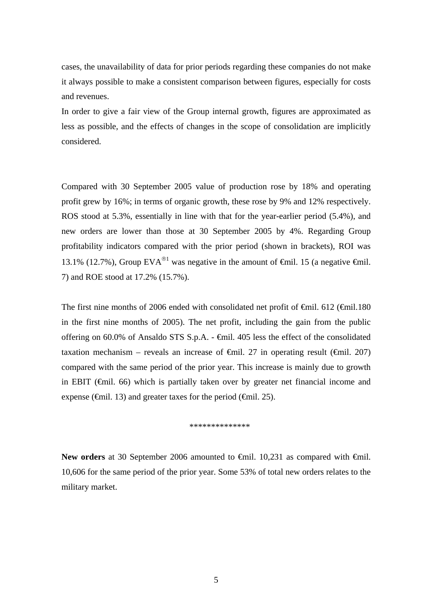cases, the unavailability of data for prior periods regarding these companies do not make it always possible to make a consistent comparison between figures, especially for costs and revenues.

In order to give a fair view of the Group internal growth, figures are approximated as less as possible, and the effects of changes in the scope of consolidation are implicitly considered.

Compared with 30 September 2005 value of production rose by 18% and operating profit grew by 16%; in terms of organic growth, these rose by 9% and 12% respectively. ROS stood at 5.3%, essentially in line with that for the year-earlier period (5.4%), and new orders are lower than those at 30 September 2005 by 4%. Regarding Group profitability indicators compared with the prior period (shown in brackets), ROI was 13.1% (12.7%), Group EVA<sup>®1</sup> was negative in the amount of  $\theta$ mil. 15 (a negative  $\theta$ mil. 7) and ROE stood at 17.2% (15.7%).

The first nine months of 2006 ended with consolidated net profit of €mil. 612 (€mil.180 in the first nine months of 2005). The net profit, including the gain from the public offering on 60.0% of Ansaldo STS S.p.A. - €mil. 405 less the effect of the consolidated taxation mechanism – reveals an increase of  $\theta$ mil. 27 in operating result ( $\theta$ mil. 207) compared with the same period of the prior year. This increase is mainly due to growth in EBIT ( $\epsilon$ mil. 66) which is partially taken over by greater net financial income and expense ( $\oplus$ mil. 13) and greater taxes for the period ( $\oplus$ mil. 25).

#### \*\*\*\*\*\*\*\*\*\*\*\*

New orders at 30 September 2006 amounted to <del>€</del>mil. 10,231 as compared with <del>€</del>mil. 10,606 for the same period of the prior year. Some 53% of total new orders relates to the military market.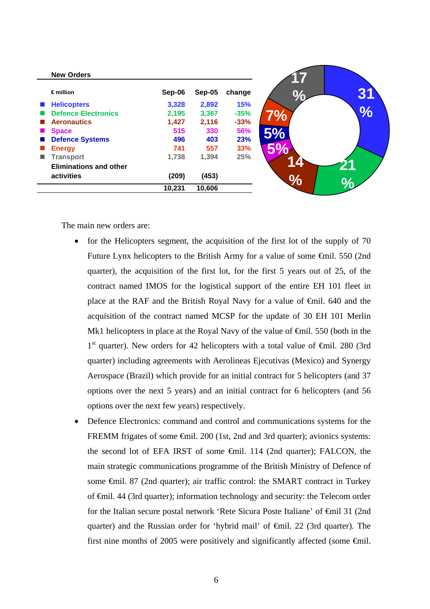| <b>New Orders</b>             |        |               |            |
|-------------------------------|--------|---------------|------------|
| $\epsilon$ million            | Sep-06 | <b>Sep-05</b> | change     |
| <b>Helicopters</b>            | 3,328  | 2,892         | <b>15%</b> |
| <b>Defence Electronics</b>    | 2,195  | 3,367         | $-35%$     |
| <b>Aeronautics</b>            | 1,427  | 2,116         | $-33%$     |
| <b>Space</b>                  | 515    | 330           | 56%        |
| <b>Defence Systems</b>        | 496    | 403           | 23%        |
| <b>Energy</b>                 | 741    | 557           | 33%        |
| <b>Transport</b>              | 1,738  | 1,394         | 25%        |
| <b>Eliminations and other</b> |        |               |            |
| activities                    | (209)  | (453)         |            |
|                               | 10,231 | 10,606        |            |

The main new orders are:

- for the Helicopters segment, the acquisition of the first lot of the supply of 70 Future Lynx helicopters to the British Army for a value of some €mil. 550 (2nd quarter), the acquisition of the first lot, for the first 5 years out of 25, of the contract named IMOS for the logistical support of the entire EH 101 fleet in place at the RAF and the British Royal Navy for a value of €mil. 640 and the acquisition of the contract named MCSP for the update of 30 EH 101 Merlin Mk1 helicopters in place at the Royal Navy of the value of  $\epsilon$ mil. 550 (both in the  $1<sup>st</sup>$  quarter). New orders for 42 helicopters with a total value of  $\theta$ mil. 280 (3rd quarter) including agreements with Aerolineas Ejecutivas (Mexico) and Synergy Aerospace (Brazil) which provide for an initial contract for 5 helicopters (and 37 options over the next 5 years) and an initial contract for 6 helicopters (and 56 options over the next few years) respectively.
- Defence Electronics: command and control and communications systems for the FREMM frigates of some €mil. 200 (1st, 2nd and 3rd quarter); avionics systems: the second lot of EFA IRST of some €mil. 114 (2nd quarter); FALCON, the main strategic communications programme of the British Ministry of Defence of some  $\epsilon$ mil. 87 (2nd quarter); air traffic control: the SMART contract in Turkey of €mil. 44 (3rd quarter); information technology and security: the Telecom order for the Italian secure postal network 'Rete Sicura Poste Italiane' of €mil 31 (2nd quarter) and the Russian order for 'hybrid mail' of €mil. 22 (3rd quarter). The first nine months of 2005 were positively and significantly affected (some  $\epsilon$ mil.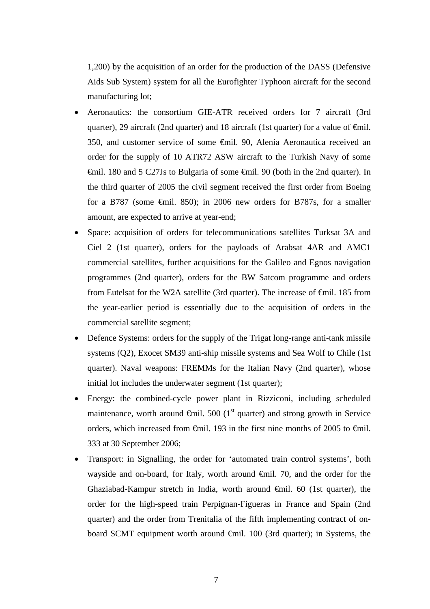1,200) by the acquisition of an order for the production of the DASS (Defensive Aids Sub System) system for all the Eurofighter Typhoon aircraft for the second manufacturing lot;

- Aeronautics: the consortium GIE-ATR received orders for 7 aircraft (3rd quarter), 29 aircraft (2nd quarter) and 18 aircraft (1st quarter) for a value of  $\theta$ mil. 350, and customer service of some €mil. 90, Alenia Aeronautica received an order for the supply of 10 ATR72 ASW aircraft to the Turkish Navy of some €mil. 180 and 5 C27Js to Bulgaria of some €mil. 90 (both in the 2nd quarter). In the third quarter of 2005 the civil segment received the first order from Boeing for a B787 (some  $\epsilon$ mil. 850); in 2006 new orders for B787s, for a smaller amount, are expected to arrive at year-end;
- Space: acquisition of orders for telecommunications satellites Turksat 3A and Ciel 2 (1st quarter), orders for the payloads of Arabsat 4AR and AMC1 commercial satellites, further acquisitions for the Galileo and Egnos navigation programmes (2nd quarter), orders for the BW Satcom programme and orders from Eutelsat for the W2A satellite (3rd quarter). The increase of  $\epsilon$ mil. 185 from the year-earlier period is essentially due to the acquisition of orders in the commercial satellite segment;
- Defence Systems: orders for the supply of the Trigat long-range anti-tank missile systems (Q2), Exocet SM39 anti-ship missile systems and Sea Wolf to Chile (1st quarter). Naval weapons: FREMMs for the Italian Navy (2nd quarter), whose initial lot includes the underwater segment (1st quarter);
- Energy: the combined-cycle power plant in Rizziconi, including scheduled maintenance, worth around  $\epsilon$ mil. 500 (1<sup>st</sup> quarter) and strong growth in Service orders, which increased from  $\theta$ mil. 193 in the first nine months of 2005 to  $\theta$ mil. 333 at 30 September 2006;
- Transport: in Signalling, the order for 'automated train control systems', both wayside and on-board, for Italy, worth around €mil. 70, and the order for the Ghaziabad-Kampur stretch in India, worth around  $\widehat{\mathbb{F}}$  find  $\widehat{\mathbb{F}}$  (1st quarter), the order for the high-speed train Perpignan-Figueras in France and Spain (2nd quarter) and the order from Trenitalia of the fifth implementing contract of onboard SCMT equipment worth around €mil. 100 (3rd quarter); in Systems, the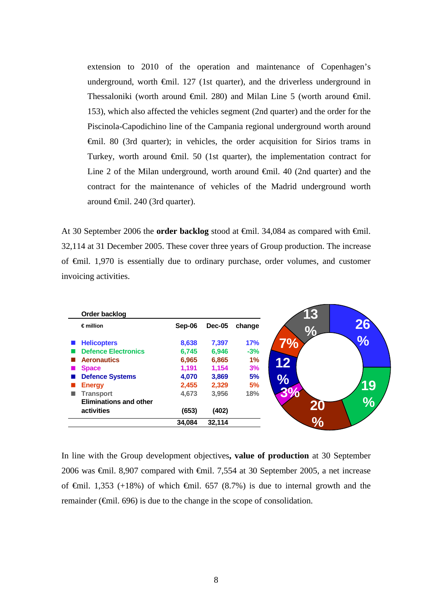extension to 2010 of the operation and maintenance of Copenhagen's underground, worth  $\epsilon$ mil. 127 (1st quarter), and the driverless underground in Thessaloniki (worth around  $\oplus$ mil. 280) and Milan Line 5 (worth around  $\oplus$ mil. 153), which also affected the vehicles segment (2nd quarter) and the order for the Piscinola-Capodichino line of the Campania regional underground worth around €mil. 80 (3rd quarter); in vehicles, the order acquisition for Sirios trams in Turkey, worth around  $\oplus$ mil. 50 (1st quarter), the implementation contract for Line 2 of the Milan underground, worth around  $\oplus$ mil. 40 (2nd quarter) and the contract for the maintenance of vehicles of the Madrid underground worth around €mil. 240 (3rd quarter).

At 30 September 2006 the **order backlog** stood at €mil. 34,084 as compared with €mil. 32,114 at 31 December 2005. These cover three years of Group production. The increase of €mil. 1,970 is essentially due to ordinary purchase, order volumes, and customer invoicing activities.

| Order backlog                 |        |               |        |
|-------------------------------|--------|---------------|--------|
| $\epsilon$ million            | Sep-06 | <b>Dec-05</b> | change |
| <b>Helicopters</b>            | 8,638  | 7,397         | 17%    |
| <b>Defence Electronics</b>    | 6,745  | 6,946         | $-3%$  |
| <b>Aeronautics</b>            | 6,965  | 6,865         | 1%     |
| <b>Space</b>                  | 1,191  | 1,154         | 3%     |
| <b>Defence Systems</b>        | 4,070  | 3,869         | 5%     |
| <b>Energy</b>                 | 2,455  | 2,329         | 5%     |
| <b>Transport</b><br>ш         | 4,673  | 3,956         | 18%    |
| <b>Eliminations and other</b> |        |               |        |
| activities                    | (653)  | (402)         |        |
|                               | 34,084 | 32,114        |        |

In line with the Group development objectives**, value of production** at 30 September 2006 was €mil. 8,907 compared with €mil. 7,554 at 30 September 2005, a net increase of  $\theta$ mil. 1,353 (+18%) of which  $\theta$ mil. 657 (8.7%) is due to internal growth and the remainder ( $\epsilon$ mil. 696) is due to the change in the scope of consolidation.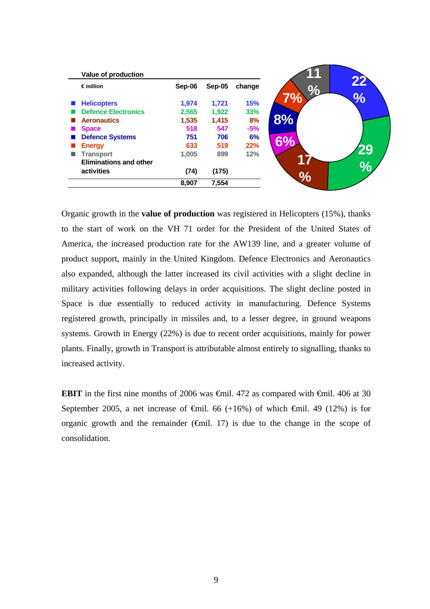| Value of production           |        |        |            |
|-------------------------------|--------|--------|------------|
| $\epsilon$ million            | Sep-06 | Sep-05 | change     |
| <b>Helicopters</b>            | 1,974  | 1,721  | <b>15%</b> |
| <b>Defence Electronics</b>    | 2,565  | 1,922  | 33%        |
| <b>Aeronautics</b>            | 1,535  | 1,415  | 8%         |
| <b>Space</b>                  | 518    | 547    | $-5%$      |
| <b>Defence Systems</b>        | 751    | 706    | 6%         |
| <b>Energy</b>                 | 633    | 519    | 22%        |
| <b>Transport</b>              | 1.005  | 899    | 12%        |
| <b>Eliminations and other</b> |        |        |            |
| activities                    | (74)   | (175)  |            |
|                               | 8,907  | 7,554  |            |

Organic growth in the **value of production** was registered in Helicopters (15%), thanks to the start of work on the VH 71 order for the President of the United States of America, the increased production rate for the AW139 line, and a greater volume of product support, mainly in the United Kingdom. Defence Electronics and Aeronautics also expanded, although the latter increased its civil activities with a slight decline in military activities following delays in order acquisitions. The slight decline posted in Space is due essentially to reduced activity in manufacturing. Defence Systems registered growth, principally in missiles and, to a lesser degree, in ground weapons systems. Growth in Energy (22%) is due to recent order acquisitions, mainly for power plants. Finally, growth in Transport is attributable almost entirely to signalling, thanks to increased activity.

**EBIT** in the first nine months of 2006 was  $\theta$ mil. 472 as compared with  $\theta$ mil. 406 at 30 September 2005, a net increase of  $\theta$ mil. 66 (+16%) of which  $\theta$ mil. 49 (12%) is for organic growth and the remainder  $(\text{fail. } 17)$  is due to the change in the scope of consolidation.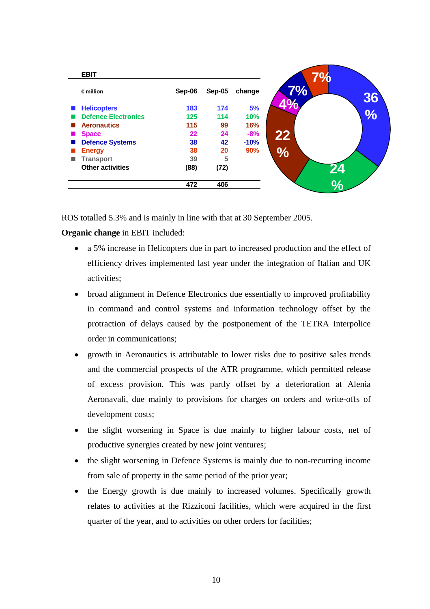| <b>EBIT</b>                |        |        |        |    | 7%             |
|----------------------------|--------|--------|--------|----|----------------|
| $\epsilon$ million         | Sep-06 | Sep-05 | change | 7% |                |
| <b>Helicopters</b>         | 183    | 174    | 5%     |    |                |
| <b>Defence Electronics</b> | 125    | 114    | 10%    |    |                |
| <b>Aeronautics</b>         | 115    | 99     | 16%    |    |                |
| <b>Space</b>               | 22     | 24     | $-8%$  | 22 |                |
| <b>Defence Systems</b>     | 38     | 42     | $-10%$ |    |                |
| <b>Energy</b>              | 38     | 20     | 90%    | %  |                |
| <b>Transport</b>           | 39     | 5      |        |    |                |
| <b>Other activities</b>    | (88)   | (72)   |        |    |                |
|                            | 472    | 406    |        |    | $\mathbf{Q}_0$ |

ROS totalled 5.3% and is mainly in line with that at 30 September 2005.

**Organic change** in EBIT included:

- a 5% increase in Helicopters due in part to increased production and the effect of efficiency drives implemented last year under the integration of Italian and UK activities;
- broad alignment in Defence Electronics due essentially to improved profitability in command and control systems and information technology offset by the protraction of delays caused by the postponement of the TETRA Interpolice order in communications;
- growth in Aeronautics is attributable to lower risks due to positive sales trends and the commercial prospects of the ATR programme, which permitted release of excess provision. This was partly offset by a deterioration at Alenia Aeronavali, due mainly to provisions for charges on orders and write-offs of development costs;
- the slight worsening in Space is due mainly to higher labour costs, net of productive synergies created by new joint ventures;
- the slight worsening in Defence Systems is mainly due to non-recurring income from sale of property in the same period of the prior year;
- the Energy growth is due mainly to increased volumes. Specifically growth relates to activities at the Rizziconi facilities, which were acquired in the first quarter of the year, and to activities on other orders for facilities;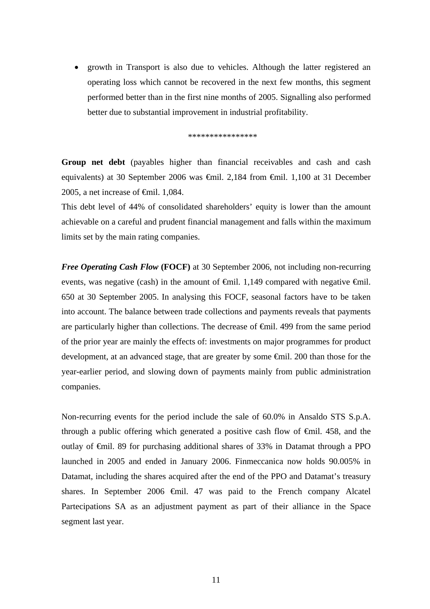• growth in Transport is also due to vehicles. Although the latter registered an operating loss which cannot be recovered in the next few months, this segment performed better than in the first nine months of 2005. Signalling also performed better due to substantial improvement in industrial profitability.

\*\*\*\*\*\*\*\*\*\*\*\*\*\*\*\*

**Group net debt** (payables higher than financial receivables and cash and cash equivalents) at 30 September 2006 was €mil. 2,184 from €mil. 1,100 at 31 December 2005, a net increase of €mil. 1,084.

This debt level of 44% of consolidated shareholders' equity is lower than the amount achievable on a careful and prudent financial management and falls within the maximum limits set by the main rating companies.

*Free Operating Cash Flow* **(FOCF)** at 30 September 2006, not including non-recurring events, was negative (cash) in the amount of  $\epsilon$ mil. 1,149 compared with negative  $\epsilon$ mil. 650 at 30 September 2005. In analysing this FOCF, seasonal factors have to be taken into account. The balance between trade collections and payments reveals that payments are particularly higher than collections. The decrease of €mil. 499 from the same period of the prior year are mainly the effects of: investments on major programmes for product development, at an advanced stage, that are greater by some €mil. 200 than those for the year-earlier period, and slowing down of payments mainly from public administration companies.

Non-recurring events for the period include the sale of 60.0% in Ansaldo STS S.p.A. through a public offering which generated a positive cash flow of  $\epsilon$ mil. 458, and the outlay of €mil. 89 for purchasing additional shares of 33% in Datamat through a PPO launched in 2005 and ended in January 2006. Finmeccanica now holds 90.005% in Datamat, including the shares acquired after the end of the PPO and Datamat's treasury shares. In September 2006 <del>C</del>mil. 47 was paid to the French company Alcatel Partecipations SA as an adjustment payment as part of their alliance in the Space segment last year.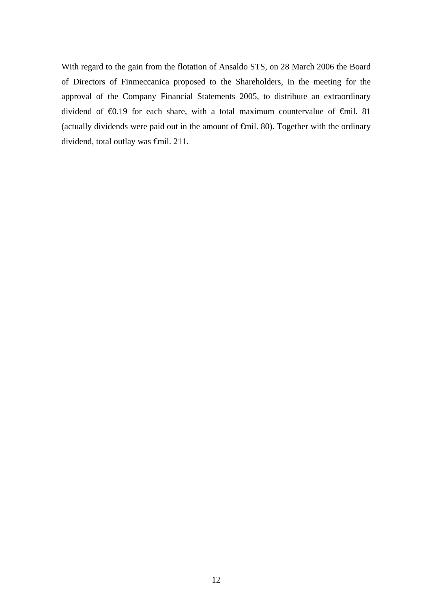With regard to the gain from the flotation of Ansaldo STS, on 28 March 2006 the Board of Directors of Finmeccanica proposed to the Shareholders, in the meeting for the approval of the Company Financial Statements 2005, to distribute an extraordinary dividend of €0.19 for each share, with a total maximum countervalue of €mil. 81 (actually dividends were paid out in the amount of €mil. 80). Together with the ordinary dividend, total outlay was €mil. 211.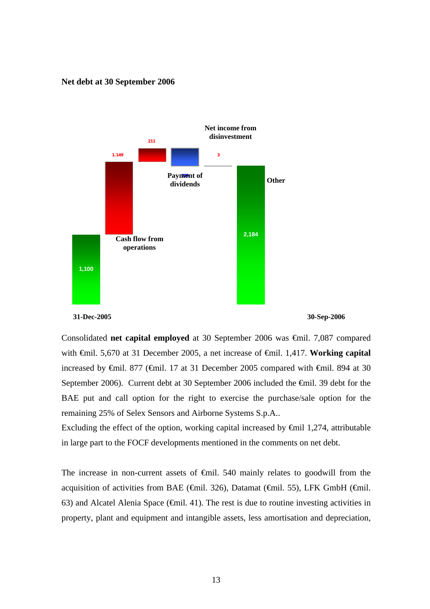#### **Net debt at 30 September 2006**





**31-Dec-2005 30-Sep-2006** 

Consolidated **net capital employed** at 30 September 2006 was €mil. 7,087 compared with €mil. 5,670 at 31 December 2005, a net increase of €mil. 1,417. **Working capital** increased by  $\theta$ mil. 877 ( $\theta$ mil. 17 at 31 December 2005 compared with  $\theta$ mil. 894 at 30 September 2006). Current debt at 30 September 2006 included the €mil. 39 debt for the BAE put and call option for the right to exercise the purchase/sale option for the remaining 25% of Selex Sensors and Airborne Systems S.p.A..

Excluding the effect of the option, working capital increased by  $\epsilon$ mil 1,274, attributable in large part to the FOCF developments mentioned in the comments on net debt.

The increase in non-current assets of <del>€mil</del>. 540 mainly relates to goodwill from the acquisition of activities from BAE ( $\oplus$ mil. 326), Datamat ( $\oplus$ mil. 55), LFK GmbH ( $\oplus$ mil. 63) and Alcatel Alenia Space ( $\epsilon$ mil. 41). The rest is due to routine investing activities in property, plant and equipment and intangible assets, less amortisation and depreciation,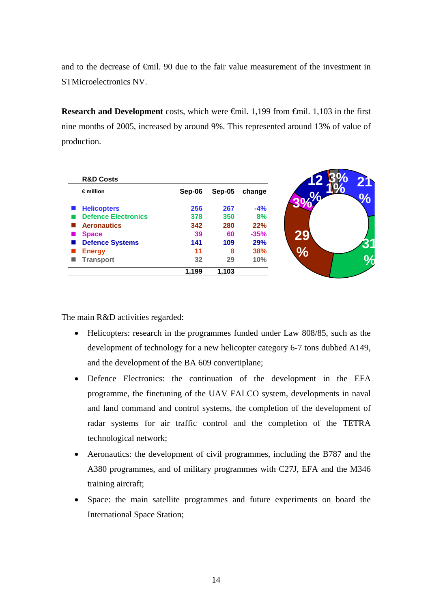and to the decrease of €mil. 90 due to the fair value measurement of the investment in STMicroelectronics NV.

**Research and Development** costs, which were €mil. 1,199 from €mil. 1,103 in the first nine months of 2005, increased by around 9%. This represented around 13% of value of production.

| <b>R&amp;D Costs</b><br>$\epsilon$ million | Sep-06 | Sep-05 | change     |
|--------------------------------------------|--------|--------|------------|
| <b>Helicopters</b>                         | 256    | 267    | $-4%$      |
| <b>Defence Electronics</b>                 | 378    | 350    | 8%         |
| <b>Aeronautics</b>                         | 342    | 280    | 22%        |
| <b>Space</b>                               | 39     | 60     | $-35%$     |
| <b>Defence Systems</b><br>ш                | 141    | 109    | <b>29%</b> |
| <b>Energy</b>                              | 11     | 8      | <b>38%</b> |
| <b>Transport</b>                           | 32     | 29     | 10%        |
|                                            | 1,199  | 1,103  |            |

The main R&D activities regarded:

- Helicopters: research in the programmes funded under Law 808/85, such as the development of technology for a new helicopter category 6-7 tons dubbed A149, and the development of the BA 609 convertiplane;
- Defence Electronics: the continuation of the development in the EFA programme, the finetuning of the UAV FALCO system, developments in naval and land command and control systems, the completion of the development of radar systems for air traffic control and the completion of the TETRA technological network;
- Aeronautics: the development of civil programmes, including the B787 and the A380 programmes, and of military programmes with C27J, EFA and the M346 training aircraft;
- Space: the main satellite programmes and future experiments on board the International Space Station;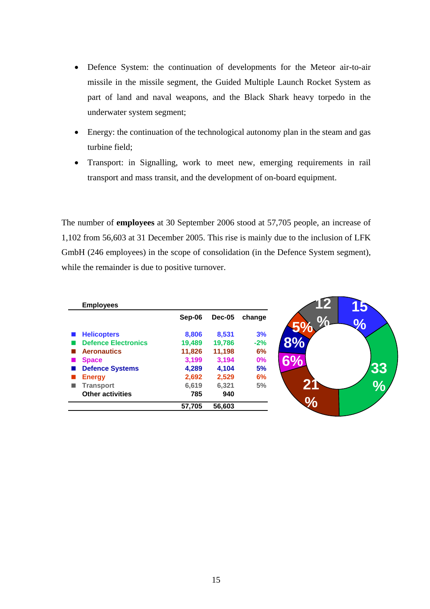- Defence System: the continuation of developments for the Meteor air-to-air missile in the missile segment, the Guided Multiple Launch Rocket System as part of land and naval weapons, and the Black Shark heavy torpedo in the underwater system segment;
- Energy: the continuation of the technological autonomy plan in the steam and gas turbine field;
- Transport: in Signalling, work to meet new, emerging requirements in rail transport and mass transit, and the development of on-board equipment.

The number of **employees** at 30 September 2006 stood at 57,705 people, an increase of 1,102 from 56,603 at 31 December 2005. This rise is mainly due to the inclusion of LFK GmbH (246 employees) in the scope of consolidation (in the Defence System segment), while the remainder is due to positive turnover.

| <b>Employees</b>           |        |               |        |
|----------------------------|--------|---------------|--------|
|                            | Sep-06 | <b>Dec-05</b> | change |
| <b>Helicopters</b>         | 8,806  | 8,531         | 3%     |
| <b>Defence Electronics</b> | 19,489 | 19,786        | $-2%$  |
| <b>Aeronautics</b>         | 11,826 | 11,198        | 6%     |
| <b>Space</b>               | 3,199  | 3,194         | 0%     |
| <b>Defence Systems</b>     | 4,289  | 4,104         | 5%     |
| <b>Energy</b>              | 2,692  | 2,529         | 6%     |
| <b>Transport</b>           | 6,619  | 6,321         | 5%     |
| <b>Other activities</b>    | 785    | 940           |        |
|                            | 57,705 | 56,603        |        |

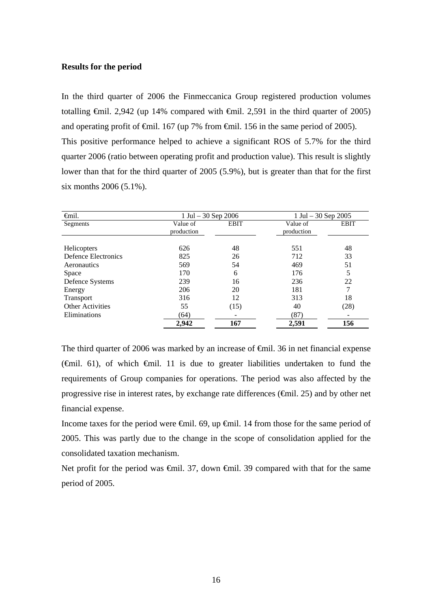#### **Results for the period**

In the third quarter of 2006 the Finmeccanica Group registered production volumes totalling  $\epsilon$ mil. 2,942 (up 14% compared with  $\epsilon$ mil. 2,591 in the third quarter of 2005) and operating profit of  $\epsilon$ mil. 167 (up 7% from  $\epsilon$ mil. 156 in the same period of 2005). This positive performance helped to achieve a significant ROS of 5.7% for the third quarter 2006 (ratio between operating profit and production value). This result is slightly lower than that for the third quarter of 2005 (5.9%), but is greater than that for the first six months 2006 (5.1%).

| <b>€</b> mil.           | $1 \text{ Jul} - 30 \text{ Sep } 2006$ |             | 1 Jul $-30$ Sep 2005 |             |  |
|-------------------------|----------------------------------------|-------------|----------------------|-------------|--|
| Segments                | Value of                               | <b>EBIT</b> | Value of             | <b>EBIT</b> |  |
|                         | production                             |             | production           |             |  |
|                         |                                        |             |                      |             |  |
| Helicopters             | 626                                    | 48          | 551                  | 48          |  |
| Defence Electronics     | 825                                    | 26          | 712                  | 33          |  |
| Aeronautics             | 569                                    | 54          | 469                  | 51          |  |
| Space                   | 170                                    | 6           | 176                  | 5           |  |
| Defence Systems         | 239                                    | 16          | 236                  | 22          |  |
| Energy                  | 206                                    | 20          | 181                  |             |  |
| Transport               | 316                                    | 12          | 313                  | 18          |  |
| <b>Other Activities</b> | 55                                     | (15)        | 40                   | (28)        |  |
| Eliminations            | (64)                                   |             | (87)                 |             |  |
|                         | 2,942                                  | 167         | 2,591                | 156         |  |

The third quarter of 2006 was marked by an increase of €mil. 36 in net financial expense ( $\oplus$ mil. 61), of which  $\oplus$ mil. 11 is due to greater liabilities undertaken to fund the requirements of Group companies for operations. The period was also affected by the progressive rise in interest rates, by exchange rate differences ( $\oplus$ mil. 25) and by other net financial expense.

Income taxes for the period were €mil. 69, up €mil. 14 from those for the same period of 2005. This was partly due to the change in the scope of consolidation applied for the consolidated taxation mechanism.

Net profit for the period was <del>€mil.</del> 37, down <del>€mil.</del> 39 compared with that for the same period of 2005.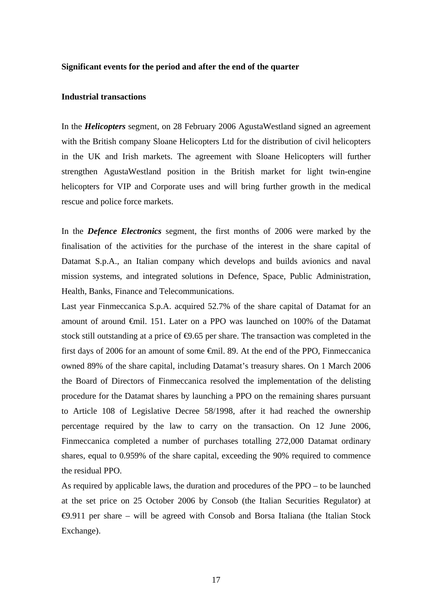#### **Significant events for the period and after the end of the quarter**

#### **Industrial transactions**

In the *Helicopters* segment, on 28 February 2006 AgustaWestland signed an agreement with the British company Sloane Helicopters Ltd for the distribution of civil helicopters in the UK and Irish markets. The agreement with Sloane Helicopters will further strengthen AgustaWestland position in the British market for light twin-engine helicopters for VIP and Corporate uses and will bring further growth in the medical rescue and police force markets.

In the *Defence Electronics* segment, the first months of 2006 were marked by the finalisation of the activities for the purchase of the interest in the share capital of Datamat S.p.A., an Italian company which develops and builds avionics and naval mission systems, and integrated solutions in Defence, Space, Public Administration, Health, Banks, Finance and Telecommunications.

Last year Finmeccanica S.p.A. acquired 52.7% of the share capital of Datamat for an amount of around €mil. 151. Later on a PPO was launched on 100% of the Datamat stock still outstanding at a price of  $\Theta$ .65 per share. The transaction was completed in the first days of 2006 for an amount of some €mil. 89. At the end of the PPO, Finmeccanica owned 89% of the share capital, including Datamat's treasury shares. On 1 March 2006 the Board of Directors of Finmeccanica resolved the implementation of the delisting procedure for the Datamat shares by launching a PPO on the remaining shares pursuant to Article 108 of Legislative Decree 58/1998, after it had reached the ownership percentage required by the law to carry on the transaction. On 12 June 2006, Finmeccanica completed a number of purchases totalling 272,000 Datamat ordinary shares, equal to 0.959% of the share capital, exceeding the 90% required to commence the residual PPO.

As required by applicable laws, the duration and procedures of the PPO – to be launched at the set price on 25 October 2006 by Consob (the Italian Securities Regulator) at €9.911 per share – will be agreed with Consob and Borsa Italiana (the Italian Stock Exchange).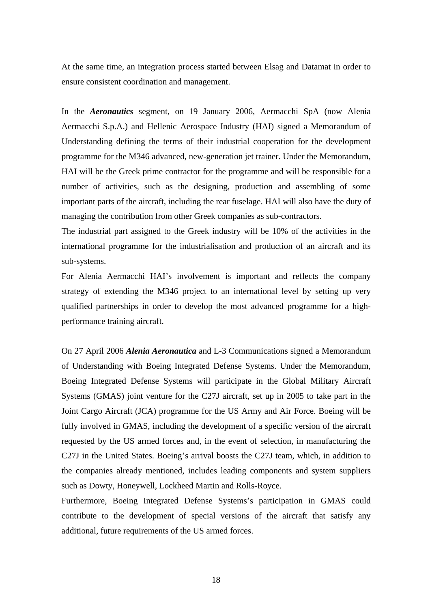At the same time, an integration process started between Elsag and Datamat in order to ensure consistent coordination and management.

In the *Aeronautics* segment, on 19 January 2006, Aermacchi SpA (now Alenia Aermacchi S.p.A.) and Hellenic Aerospace Industry (HAI) signed a Memorandum of Understanding defining the terms of their industrial cooperation for the development programme for the M346 advanced, new-generation jet trainer. Under the Memorandum, HAI will be the Greek prime contractor for the programme and will be responsible for a number of activities, such as the designing, production and assembling of some important parts of the aircraft, including the rear fuselage. HAI will also have the duty of managing the contribution from other Greek companies as sub-contractors.

The industrial part assigned to the Greek industry will be 10% of the activities in the international programme for the industrialisation and production of an aircraft and its sub-systems.

For Alenia Aermacchi HAI's involvement is important and reflects the company strategy of extending the M346 project to an international level by setting up very qualified partnerships in order to develop the most advanced programme for a highperformance training aircraft.

On 27 April 2006 *Alenia Aeronautica* and L-3 Communications signed a Memorandum of Understanding with Boeing Integrated Defense Systems. Under the Memorandum, Boeing Integrated Defense Systems will participate in the Global Military Aircraft Systems (GMAS) joint venture for the C27J aircraft, set up in 2005 to take part in the Joint Cargo Aircraft (JCA) programme for the US Army and Air Force. Boeing will be fully involved in GMAS, including the development of a specific version of the aircraft requested by the US armed forces and, in the event of selection, in manufacturing the C27J in the United States. Boeing's arrival boosts the C27J team, which, in addition to the companies already mentioned, includes leading components and system suppliers such as Dowty, Honeywell, Lockheed Martin and Rolls-Royce.

Furthermore, Boeing Integrated Defense Systems's participation in GMAS could contribute to the development of special versions of the aircraft that satisfy any additional, future requirements of the US armed forces.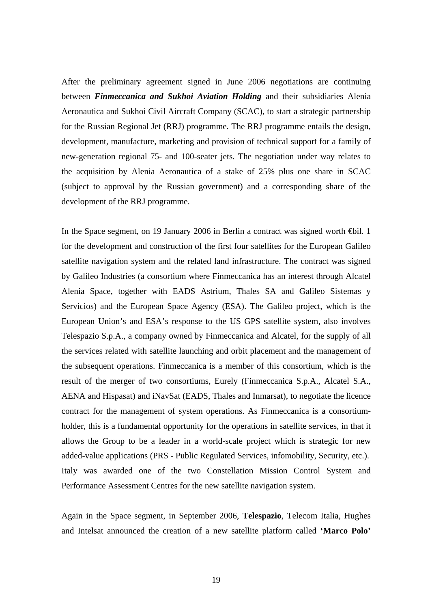After the preliminary agreement signed in June 2006 negotiations are continuing between *Finmeccanica and Sukhoi Aviation Holding* and their subsidiaries Alenia Aeronautica and Sukhoi Civil Aircraft Company (SCAC), to start a strategic partnership for the Russian Regional Jet (RRJ) programme. The RRJ programme entails the design, development, manufacture, marketing and provision of technical support for a family of new-generation regional 75- and 100-seater jets. The negotiation under way relates to the acquisition by Alenia Aeronautica of a stake of 25% plus one share in SCAC (subject to approval by the Russian government) and a corresponding share of the development of the RRJ programme.

In the Space segment, on 19 January 2006 in Berlin a contract was signed worth €bil. 1 for the development and construction of the first four satellites for the European Galileo satellite navigation system and the related land infrastructure. The contract was signed by Galileo Industries (a consortium where Finmeccanica has an interest through Alcatel Alenia Space, together with EADS Astrium, Thales SA and Galileo Sistemas y Servicios) and the European Space Agency (ESA). The Galileo project, which is the European Union's and ESA's response to the US GPS satellite system, also involves Telespazio S.p.A., a company owned by Finmeccanica and Alcatel, for the supply of all the services related with satellite launching and orbit placement and the management of the subsequent operations. Finmeccanica is a member of this consortium, which is the result of the merger of two consortiums, Eurely (Finmeccanica S.p.A., Alcatel S.A., AENA and Hispasat) and iNavSat (EADS, Thales and Inmarsat), to negotiate the licence contract for the management of system operations. As Finmeccanica is a consortiumholder, this is a fundamental opportunity for the operations in satellite services, in that it allows the Group to be a leader in a world-scale project which is strategic for new added-value applications (PRS - Public Regulated Services*,* infomobility, Security*,* etc.). Italy was awarded one of the two Constellation Mission Control System and Performance Assessment Centres for the new satellite navigation system.

Again in the Space segment, in September 2006, **Telespazio**, Telecom Italia, Hughes and Intelsat announced the creation of a new satellite platform called **'Marco Polo'**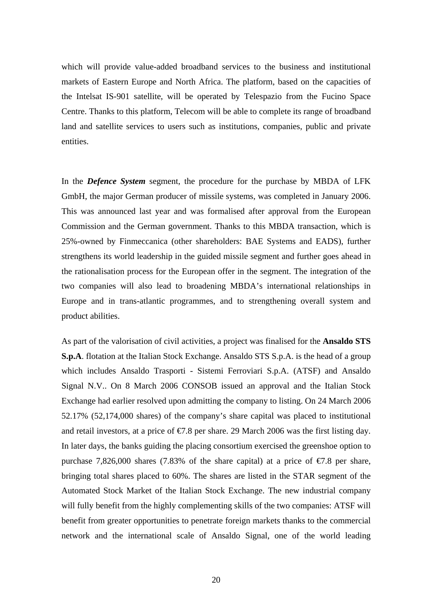which will provide value-added broadband services to the business and institutional markets of Eastern Europe and North Africa. The platform, based on the capacities of the Intelsat IS-901 satellite, will be operated by Telespazio from the Fucino Space Centre. Thanks to this platform, Telecom will be able to complete its range of broadband land and satellite services to users such as institutions, companies, public and private entities.

In the *Defence System* segment, the procedure for the purchase by MBDA of LFK GmbH, the major German producer of missile systems, was completed in January 2006. This was announced last year and was formalised after approval from the European Commission and the German government. Thanks to this MBDA transaction, which is 25%-owned by Finmeccanica (other shareholders: BAE Systems and EADS), further strengthens its world leadership in the guided missile segment and further goes ahead in the rationalisation process for the European offer in the segment. The integration of the two companies will also lead to broadening MBDA's international relationships in Europe and in trans-atlantic programmes, and to strengthening overall system and product abilities.

As part of the valorisation of civil activities, a project was finalised for the **Ansaldo STS S.p.A**. flotation at the Italian Stock Exchange. Ansaldo STS S.p.A. is the head of a group which includes Ansaldo Trasporti - Sistemi Ferroviari S.p.A. (ATSF) and Ansaldo Signal N.V.. On 8 March 2006 CONSOB issued an approval and the Italian Stock Exchange had earlier resolved upon admitting the company to listing. On 24 March 2006 52.17% (52,174,000 shares) of the company's share capital was placed to institutional and retail investors, at a price of  $\epsilon$ 7.8 per share. 29 March 2006 was the first listing day. In later days, the banks guiding the placing consortium exercised the greenshoe option to purchase 7,826,000 shares (7.83% of the share capital) at a price of  $\epsilon$ 7.8 per share, bringing total shares placed to 60%. The shares are listed in the STAR segment of the Automated Stock Market of the Italian Stock Exchange. The new industrial company will fully benefit from the highly complementing skills of the two companies: ATSF will benefit from greater opportunities to penetrate foreign markets thanks to the commercial network and the international scale of Ansaldo Signal, one of the world leading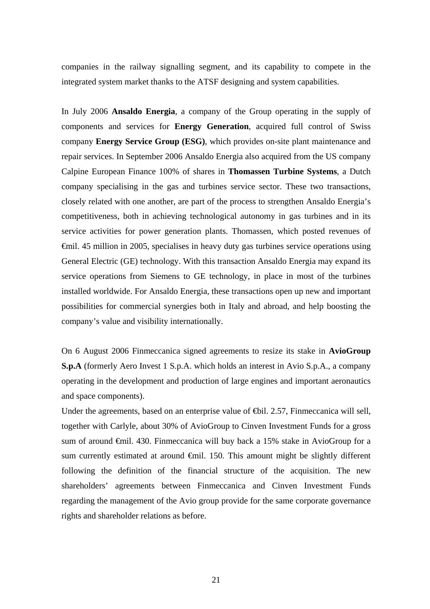companies in the railway signalling segment, and its capability to compete in the integrated system market thanks to the ATSF designing and system capabilities.

In July 2006 **Ansaldo Energia**, a company of the Group operating in the supply of components and services for **Energy Generation**, acquired full control of Swiss company **Energy Service Group (ESG)**, which provides on-site plant maintenance and repair services. In September 2006 Ansaldo Energia also acquired from the US company Calpine European Finance 100% of shares in **Thomassen Turbine Systems**, a Dutch company specialising in the gas and turbines service sector. These two transactions, closely related with one another, are part of the process to strengthen Ansaldo Energia's competitiveness, both in achieving technological autonomy in gas turbines and in its service activities for power generation plants. Thomassen, which posted revenues of €mil. 45 million in 2005, specialises in heavy duty gas turbines service operations using General Electric (GE) technology. With this transaction Ansaldo Energia may expand its service operations from Siemens to GE technology, in place in most of the turbines installed worldwide. For Ansaldo Energia, these transactions open up new and important possibilities for commercial synergies both in Italy and abroad, and help boosting the company's value and visibility internationally.

On 6 August 2006 Finmeccanica signed agreements to resize its stake in **AvioGroup S.p.A** (formerly Aero Invest 1 S.p.A. which holds an interest in Avio S.p.A., a company operating in the development and production of large engines and important aeronautics and space components).

Under the agreements, based on an enterprise value of ⊕il. 2.57, Finmeccanica will sell, together with Carlyle, about 30% of AvioGroup to Cinven Investment Funds for a gross sum of around €mil. 430. Finmeccanica will buy back a 15% stake in AvioGroup for a sum currently estimated at around  $\oplus$ mil. 150. This amount might be slightly different following the definition of the financial structure of the acquisition. The new shareholders' agreements between Finmeccanica and Cinven Investment Funds regarding the management of the Avio group provide for the same corporate governance rights and shareholder relations as before.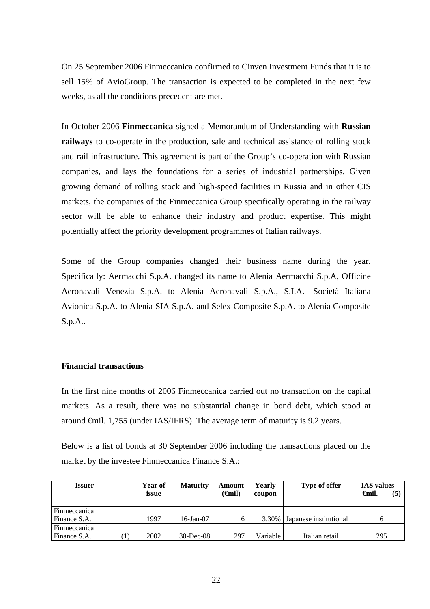On 25 September 2006 Finmeccanica confirmed to Cinven Investment Funds that it is to sell 15% of AvioGroup. The transaction is expected to be completed in the next few weeks, as all the conditions precedent are met.

In October 2006 **Finmeccanica** signed a Memorandum of Understanding with **Russian railways** to co-operate in the production, sale and technical assistance of rolling stock and rail infrastructure. This agreement is part of the Group's co-operation with Russian companies, and lays the foundations for a series of industrial partnerships. Given growing demand of rolling stock and high-speed facilities in Russia and in other CIS markets, the companies of the Finmeccanica Group specifically operating in the railway sector will be able to enhance their industry and product expertise. This might potentially affect the priority development programmes of Italian railways.

Some of the Group companies changed their business name during the year. Specifically: Aermacchi S.p.A. changed its name to Alenia Aermacchi S.p.A, Officine Aeronavali Venezia S.p.A. to Alenia Aeronavali S.p.A., S.I.A.- Società Italiana Avionica S.p.A. to Alenia SIA S.p.A. and Selex Composite S.p.A. to Alenia Composite S.p.A..

#### **Financial transactions**

In the first nine months of 2006 Finmeccanica carried out no transaction on the capital markets. As a result, there was no substantial change in bond debt, which stood at around €mil. 1,755 (under IAS/IFRS). The average term of maturity is 9.2 years.

Below is a list of bonds at 30 September 2006 including the transactions placed on the market by the investee Finmeccanica Finance S.A.:

| <b>Issuer</b> | Year of<br>issue | <b>Maturity</b> | Amount<br>' <del>G</del> nil) | Yearly<br>coupon | Type of offer          | <b>IAS</b> values<br>Gmil. | (5) |
|---------------|------------------|-----------------|-------------------------------|------------------|------------------------|----------------------------|-----|
|               |                  |                 |                               |                  |                        |                            |     |
| Finmeccanica  |                  |                 |                               |                  |                        |                            |     |
| Finance S.A.  | 1997             | 16-Jan-07       | <sub>6</sub>                  | $3.30\%$         | Japanese institutional | 6                          |     |
| Finmeccanica  |                  |                 |                               |                  |                        |                            |     |
| Finance S.A.  | 2002             | $30$ -Dec-08    | 297                           | Variable         | Italian retail         | 295                        |     |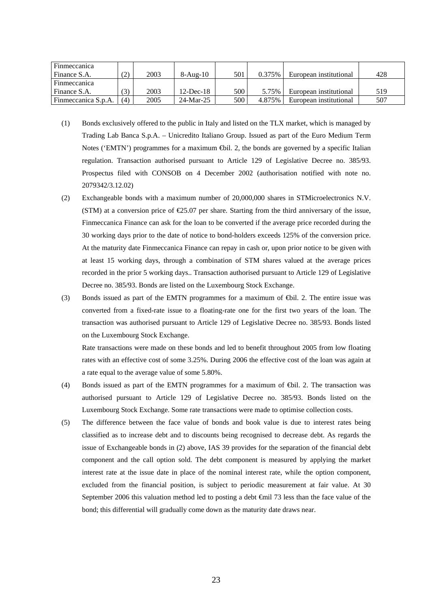| Finmeccanica<br>Finance S.A. | (2) | 2003 | $8-Au\epsilon-10$ | 501 | 0.375% | European institutional | 428 |
|------------------------------|-----|------|-------------------|-----|--------|------------------------|-----|
| Finmeccanica                 |     |      |                   |     |        |                        |     |
| Finance S.A.                 | (3) | 2003 | $12$ -Dec-18      | 500 | 5.75%  | European institutional | 519 |
| Finmeccanica S.p.A.          | (4) | 2005 | 24-Mar-25         | 500 | 4.875% | European institutional | 507 |

- (1) Bonds exclusively offered to the public in Italy and listed on the TLX market, which is managed by Trading Lab Banca S.p.A. – Unicredito Italiano Group. Issued as part of the Euro Medium Term Notes ('EMTN') programmes for a maximum  $\bigoplus$ il. 2, the bonds are governed by a specific Italian regulation. Transaction authorised pursuant to Article 129 of Legislative Decree no. 385/93. Prospectus filed with CONSOB on 4 December 2002 (authorisation notified with note no. 2079342/3.12.02)
- (2) Exchangeable bonds with a maximum number of 20,000,000 shares in STMicroelectronics N.V. (STM) at a conversion price of  $\epsilon$ 25.07 per share. Starting from the third anniversary of the issue, Finmeccanica Finance can ask for the loan to be converted if the average price recorded during the 30 working days prior to the date of notice to bond-holders exceeds 125% of the conversion price. At the maturity date Finmeccanica Finance can repay in cash or, upon prior notice to be given with at least 15 working days, through a combination of STM shares valued at the average prices recorded in the prior 5 working days.. Transaction authorised pursuant to Article 129 of Legislative Decree no. 385/93. Bonds are listed on the Luxembourg Stock Exchange.
- (3) Bonds issued as part of the EMTN programmes for a maximum of €bil. 2. The entire issue was converted from a fixed-rate issue to a floating-rate one for the first two years of the loan. The transaction was authorised pursuant to Article 129 of Legislative Decree no. 385/93. Bonds listed on the Luxembourg Stock Exchange.

 Rate transactions were made on these bonds and led to benefit throughout 2005 from low floating rates with an effective cost of some 3.25%. During 2006 the effective cost of the loan was again at a rate equal to the average value of some 5.80%.

- (4) Bonds issued as part of the EMTN programmes for a maximum of  $\bigoplus$ il. 2. The transaction was authorised pursuant to Article 129 of Legislative Decree no. 385/93. Bonds listed on the Luxembourg Stock Exchange. Some rate transactions were made to optimise collection costs.
- (5) The difference between the face value of bonds and book value is due to interest rates being classified as to increase debt and to discounts being recognised to decrease debt. As regards the issue of Exchangeable bonds in (2) above, IAS 39 provides for the separation of the financial debt component and the call option sold. The debt component is measured by applying the market interest rate at the issue date in place of the nominal interest rate, while the option component, excluded from the financial position, is subject to periodic measurement at fair value. At 30 September 2006 this valuation method led to posting a debt <del>€</del>mil 73 less than the face value of the bond; this differential will gradually come down as the maturity date draws near.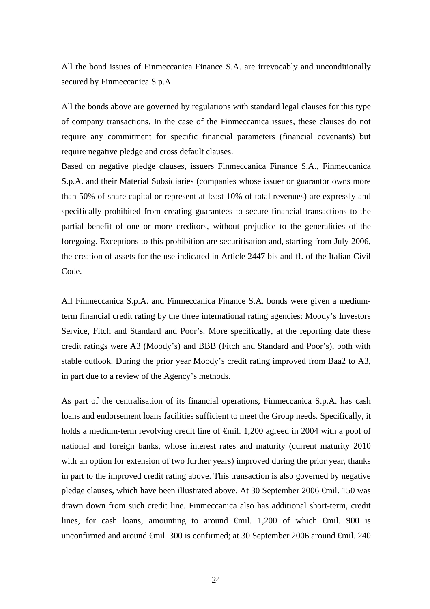All the bond issues of Finmeccanica Finance S.A. are irrevocably and unconditionally secured by Finmeccanica S.p.A.

All the bonds above are governed by regulations with standard legal clauses for this type of company transactions. In the case of the Finmeccanica issues, these clauses do not require any commitment for specific financial parameters (financial covenants) but require negative pledge and cross default clauses.

Based on negative pledge clauses, issuers Finmeccanica Finance S.A., Finmeccanica S.p.A. and their Material Subsidiaries (companies whose issuer or guarantor owns more than 50% of share capital or represent at least 10% of total revenues) are expressly and specifically prohibited from creating guarantees to secure financial transactions to the partial benefit of one or more creditors, without prejudice to the generalities of the foregoing. Exceptions to this prohibition are securitisation and, starting from July 2006, the creation of assets for the use indicated in Article 2447 bis and ff. of the Italian Civil Code.

All Finmeccanica S.p.A. and Finmeccanica Finance S.A. bonds were given a mediumterm financial credit rating by the three international rating agencies: Moody's Investors Service, Fitch and Standard and Poor's. More specifically, at the reporting date these credit ratings were A3 (Moody's) and BBB (Fitch and Standard and Poor's), both with stable outlook. During the prior year Moody's credit rating improved from Baa2 to A3, in part due to a review of the Agency's methods.

As part of the centralisation of its financial operations, Finmeccanica S.p.A. has cash loans and endorsement loans facilities sufficient to meet the Group needs. Specifically, it holds a medium-term revolving credit line of €mil. 1,200 agreed in 2004 with a pool of national and foreign banks, whose interest rates and maturity (current maturity 2010 with an option for extension of two further years) improved during the prior year, thanks in part to the improved credit rating above. This transaction is also governed by negative pledge clauses, which have been illustrated above. At 30 September 2006 €mil. 150 was drawn down from such credit line. Finmeccanica also has additional short-term, credit lines, for cash loans, amounting to around  $\oplus$ mil. 1,200 of which  $\oplus$ mil. 900 is unconfirmed and around  $\epsilon$ mil. 300 is confirmed; at 30 September 2006 around  $\epsilon$ mil. 240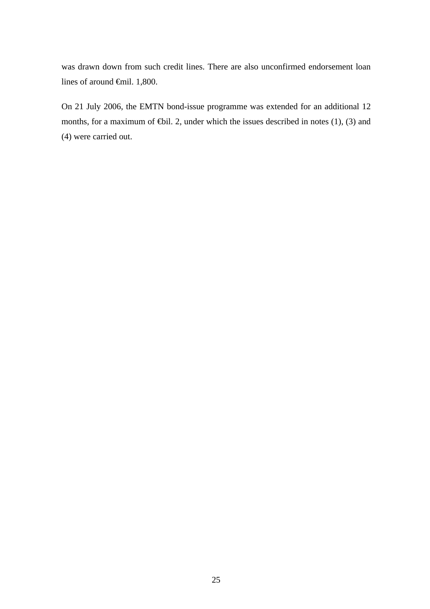was drawn down from such credit lines. There are also unconfirmed endorsement loan lines of around €mil. 1,800.

On 21 July 2006, the EMTN bond-issue programme was extended for an additional 12 months, for a maximum of  $\bigoplus$ il. 2, under which the issues described in notes (1), (3) and (4) were carried out.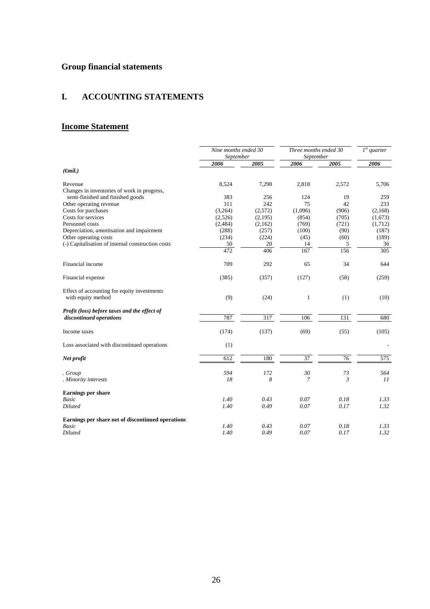# **Group financial statements**

## **I. ACCOUNTING STATEMENTS**

# **Income Statement**

|                                                                   | Nine months ended 30<br>September |         | Three months ended 30<br>September |       | $\overline{I^{st}}$ quarter |
|-------------------------------------------------------------------|-----------------------------------|---------|------------------------------------|-------|-----------------------------|
|                                                                   | 2006                              | 2005    | 2006                               | 2005  | 2006                        |
| $(\epsilon mil.)$                                                 |                                   |         |                                    |       |                             |
| Revenue                                                           | 8,524                             | 7,298   | 2,818                              | 2,572 | 5,706                       |
| Changes in inventories of work in progress,                       |                                   |         |                                    |       |                             |
| semi-finished and finished goods                                  | 383                               | 256     | 124                                | 19    | 259                         |
| Other operating revenue                                           | 311                               | 242     | 75                                 | 42    | 233                         |
| Costs for purchases                                               | (3,264)                           | (2,572) | (1,096)                            | (906) | (2,168)                     |
| Costs for services                                                | (2,526)                           | (2,195) | (854)                              | (705) | (1,673)                     |
| Personnel costs                                                   | (2,484)                           | (2,162) | (769)                              | (721) | (1,712)                     |
| Depreciation, amortisation and impairment                         | (288)                             | (257)   | (100)                              | (90)  | (187)                       |
| Other operating costs                                             | (234)                             | (224)   | (45)                               | (60)  | (189)                       |
| (-) Capitalisation of internal construction costs                 | 50                                | 20      | 14                                 | 5     | 36                          |
|                                                                   | 472                               | 406     | 167                                | 156   | 305                         |
| Financial income                                                  | 709                               | 292     | 65                                 | 34    | 644                         |
| Financial expense                                                 | (385)                             | (357)   | (127)                              | (58)  | (259)                       |
| Effect of accounting for equity investments<br>with equity method | (9)                               | (24)    | 1                                  | (1)   | (10)                        |
|                                                                   |                                   |         |                                    |       |                             |
| Profit (loss) before taxes and the effect of                      |                                   |         |                                    |       |                             |
| discontinued operations                                           | 787                               | 317     | 106                                | 131   | 680                         |
| Income taxes                                                      | (174)                             | (137)   | (69)                               | (55)  | (105)                       |
| Loss associated with discontinued operations                      | (1)                               |         |                                    |       |                             |
| Net profit                                                        | 612                               | 180     | 37                                 | 76    | 575                         |
| . Group                                                           | 594                               | 172     | 30                                 | 73    | 564                         |
| . Minority interests                                              | 18                                | 8       | 7                                  | 3     | 11                          |
| <b>Earnings per share</b>                                         |                                   |         |                                    |       |                             |
| <b>Basic</b>                                                      | 1.40                              | 0.43    | 0.07                               | 0.18  | 1.33                        |
| Diluted                                                           | 1.40                              | 0.49    | 0.07                               | 0.17  | 1.32                        |
| Earnings per share net of discontinued operations                 |                                   |         |                                    |       |                             |
| <b>Basic</b>                                                      | 1.40                              | 0.43    | 0.07                               | 0.18  | 1.33                        |
| Diluted                                                           | 1.40                              | 0.49    | 0.07                               | 0.17  | 1.32                        |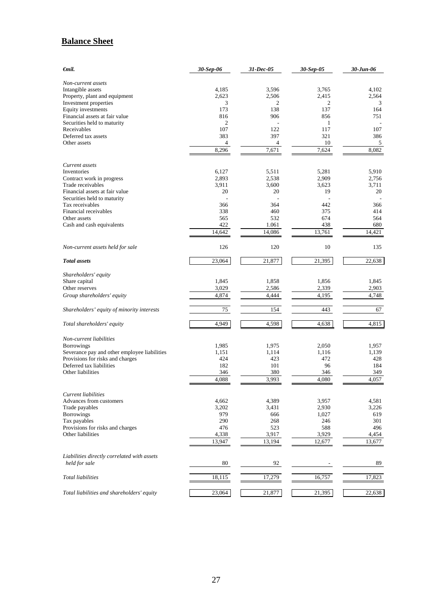# **Balance Sheet**

| €mil.                                        | 30-Sep-06 | 31-Dec-05 | 30-Sep-05 | 30-Jun-06 |  |
|----------------------------------------------|-----------|-----------|-----------|-----------|--|
| Non-current assets                           |           |           |           |           |  |
| Intangible assets                            | 4,185     | 3,596     | 3,765     | 4,102     |  |
| Property, plant and equipment                | 2,623     | 2,506     | 2,415     | 2,564     |  |
| Investment properties                        | 3         | 2         | 2         | 3         |  |
| Equity investments                           | 173       | 138       | 137       | 164       |  |
| Financial assets at fair value               | 816       | 906       | 856       | 751       |  |
| Securities held to maturity                  | 2         | ÷.        | 1         |           |  |
| Receivables                                  | 107       | 122       | 117       | 107       |  |
| Deferred tax assets                          | 383       | 397       | 321       | 386       |  |
| Other assets                                 | 4         | 4         | 10        | 5         |  |
|                                              | 8,296     | 7,671     | 7,624     | 8.082     |  |
| Current assets                               |           |           |           |           |  |
| Inventories                                  | 6,127     | 5,511     | 5,281     | 5,910     |  |
| Contract work in progress                    | 2,893     | 2,538     | 2,909     | 2,756     |  |
| Trade receivables                            | 3,911     | 3,600     | 3,623     | 3,711     |  |
| Financial assets at fair value               | 20        | 20        | 19        | 20        |  |
| Securities held to maturity                  |           |           |           |           |  |
| Tax receivables                              | 366       | 364       | 442       | 366       |  |
| Financial receivables                        | 338       | 460       | 375       | 414       |  |
| Other assets                                 | 565       | 532       | 674       | 564       |  |
| Cash and cash equivalents                    | 422       | 1.061     | 438       | 680       |  |
|                                              | 14,642    | 14,086    | 13,761    | 14,421    |  |
| Non-current assets held for sale             | 126       | 120       | 10        | 135       |  |
| <b>Total</b> assets                          | 23,064    | 21,877    | 21,395    | 22,638    |  |
| Shareholders' equity                         |           |           |           |           |  |
| Share capital                                | 1,845     | 1,858     | 1,856     | 1,845     |  |
| Other reserves                               | 3,029     | 2,586     | 2,339     | 2,903     |  |
| Group shareholders' equity                   | 4,874     | 4,444     | 4,195     | 4,748     |  |
|                                              |           |           |           |           |  |
| Shareholders' equity of minority interests   | 75        | 154       | 443       | 67        |  |
| Total shareholders' equity                   | 4,949     | 4,598     | 4,638     | 4,815     |  |
| Non-current liabilities                      |           |           |           |           |  |
| <b>Borrowings</b>                            | 1,985     | 1,975     | 2,050     | 1,957     |  |
| Severance pay and other employee liabilities | 1,151     | 1,114     | 1,116     | 1,139     |  |
| Provisions for risks and charges             | 424       | 423       | 472       | 428       |  |
| Deferred tax liabilities                     | 182       | 101       | 96        | 184       |  |
| Other liabilities                            | 346       | 380       | 346       | 349       |  |
|                                              | 4,088     | 3,993     | 4,080     | 4,057     |  |
| Current liabilities                          |           |           |           |           |  |
| Advances from customers                      | 4,662     | 4,389     | 3,957     | 4,581     |  |
| Trade payables                               | 3,202     | 3,431     | 2,930     | 3,226     |  |
| <b>Borrowings</b>                            | 979       | 666       | 1,027     | 619       |  |
| Tax payables                                 | 290       | 268       | 246       | 301       |  |
| Provisions for risks and charges             | 476       | 523       | 588       | 496       |  |
| Other liabilities                            | 4,338     | 3,917     | 3,929     | 4,454     |  |
|                                              | 13,947    | 13,194    | 12,677    | 13,677    |  |
|                                              |           |           |           |           |  |
| Liabilities directly correlated with assets  |           |           |           |           |  |
| held for sale                                | 80        | 92        |           | 89        |  |
| Total liabilities                            | 18,115    | 17,279    | 16,757    | 17,823    |  |
|                                              |           |           |           |           |  |
| Total liabilities and shareholders' equity   | 23,064    | 21,877    | 21,395    | 22,638    |  |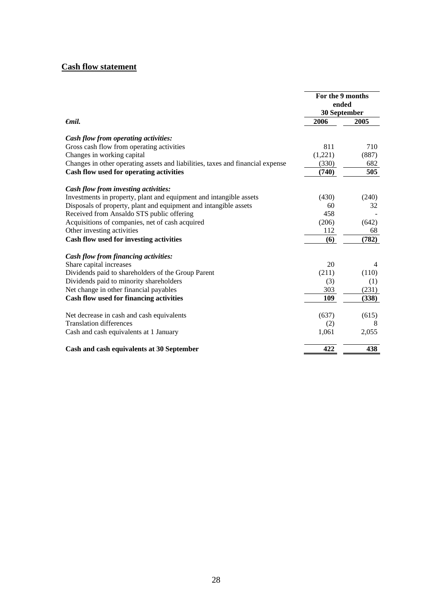# **Cash flow statement**

|                                                                                   | For the 9 months<br>ended<br>30 September |       |  |
|-----------------------------------------------------------------------------------|-------------------------------------------|-------|--|
| $\epsilon$ mil.                                                                   | 2006                                      | 2005  |  |
|                                                                                   |                                           |       |  |
| Cash flow from operating activities:<br>Gross cash flow from operating activities | 811                                       | 710   |  |
|                                                                                   |                                           |       |  |
| Changes in working capital                                                        | (1,221)                                   | (887) |  |
| Changes in other operating assets and liabilities, taxes and financial expense    | (330)                                     | 682   |  |
| Cash flow used for operating activities                                           | (740)                                     | 505   |  |
| Cash flow from investing activities:                                              |                                           |       |  |
| Investments in property, plant and equipment and intangible assets                | (430)                                     | (240) |  |
| Disposals of property, plant and equipment and intangible assets                  | 60                                        | 32    |  |
| Received from Ansaldo STS public offering                                         | 458                                       |       |  |
| Acquisitions of companies, net of cash acquired                                   | (206)                                     | (642) |  |
| Other investing activities                                                        | 112                                       | 68    |  |
| Cash flow used for investing activities                                           | (6)                                       | (782) |  |
| Cash flow from financing activities:                                              |                                           |       |  |
| Share capital increases                                                           | 20                                        | 4     |  |
| Dividends paid to shareholders of the Group Parent                                | (211)                                     | (110) |  |
| Dividends paid to minority shareholders                                           | (3)                                       | (1)   |  |
| Net change in other financial payables                                            | 303                                       | (231) |  |
| Cash flow used for financing activities                                           | 109                                       | (338) |  |
|                                                                                   |                                           |       |  |
| Net decrease in cash and cash equivalents                                         | (637)                                     | (615) |  |
| <b>Translation differences</b>                                                    | (2)                                       | 8     |  |
| Cash and cash equivalents at 1 January                                            | 1,061                                     | 2,055 |  |
| Cash and cash equivalents at 30 September                                         | 422                                       | 438   |  |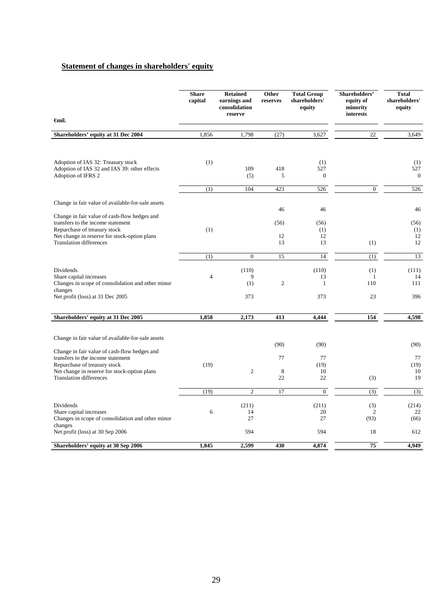#### **Statement of changes in shareholders' equity**

|                                                                                   | <b>Share</b><br>capital | <b>Retained</b><br>earnings and<br>consolidation<br>reserve | Other<br>reserves | <b>Total Group</b><br>shareholders'<br>equity | Shareholders'<br>equity of<br>minority<br>interests | <b>Total</b><br>shareholders'<br>equity |
|-----------------------------------------------------------------------------------|-------------------------|-------------------------------------------------------------|-------------------|-----------------------------------------------|-----------------------------------------------------|-----------------------------------------|
| <b></b> €mil.                                                                     |                         |                                                             |                   |                                               |                                                     |                                         |
| Shareholders' equity at 31 Dec 2004                                               | 1,856                   | 1,798                                                       | (27)              | 3,627                                         | 22                                                  | 3,649                                   |
|                                                                                   |                         |                                                             |                   |                                               |                                                     |                                         |
| Adoption of IAS 32: Treasury stock                                                | (1)                     |                                                             |                   | (1)                                           |                                                     | (1)                                     |
| Adoption of IAS 32 and IAS 39: other effects<br>Adoption of IFRS 2                |                         | 109<br>(5)                                                  | 418<br>5          | 527<br>$\boldsymbol{0}$                       |                                                     | 527<br>$\boldsymbol{0}$                 |
|                                                                                   | (1)                     | 104                                                         | 423               | 526                                           | $\boldsymbol{0}$                                    | 526                                     |
| Change in fair value of available-for-sale assets                                 |                         |                                                             |                   |                                               |                                                     |                                         |
| Change in fair value of cash-flow hedges and                                      |                         |                                                             | 46                | 46                                            |                                                     | 46                                      |
| transfers to the income statement<br>Repurchase of treasury stock                 |                         |                                                             | (56)              | (56)                                          |                                                     | (56)                                    |
| Net change in reserve for stock-option plans                                      | (1)                     |                                                             | 12                | (1)<br>12                                     |                                                     | (1)<br>12                               |
| <b>Translation differences</b>                                                    |                         |                                                             | 13                | 13                                            | (1)                                                 | 12                                      |
|                                                                                   | (1)                     | $\overline{0}$                                              | 15                | 14                                            | (1)                                                 | 13                                      |
| Dividends                                                                         |                         | (110)                                                       |                   | (110)                                         | (1)                                                 | (111)                                   |
| Share capital increases<br>Changes in scope of consolidation and other minor      | $\overline{4}$          | 9<br>(1)                                                    | $\sqrt{2}$        | 13<br>$\mathbf{1}$                            | 1<br>110                                            | 14<br>111                               |
| changes                                                                           |                         |                                                             |                   |                                               |                                                     |                                         |
| Net profit (loss) at 31 Dec 2005                                                  |                         | 373                                                         |                   | 373                                           | 23                                                  | 396                                     |
| Shareholders' equity at 31 Dec 2005                                               | 1,858                   | 2,173                                                       | 413               | 4,444                                         | 154                                                 | 4,598                                   |
|                                                                                   |                         |                                                             |                   |                                               |                                                     |                                         |
| Change in fair value of available-for-sale assets                                 |                         |                                                             | (90)              | (90)                                          |                                                     | (90)                                    |
| Change in fair value of cash-flow hedges and<br>transfers to the income statement |                         |                                                             | 77                | 77                                            |                                                     | 77                                      |
| Repurchase of treasury stock                                                      | (19)                    |                                                             |                   | (19)                                          |                                                     | (19)                                    |
| Net change in reserve for stock-option plans                                      |                         | $\mathfrak{2}$                                              | 8                 | 10                                            |                                                     | 10                                      |
| <b>Translation differences</b>                                                    |                         |                                                             | 22                | 22                                            | (3)                                                 | 19                                      |
|                                                                                   | (19)                    | $\overline{2}$                                              | 17                | $\overline{0}$                                | (3)                                                 | (3)                                     |
| Dividends                                                                         |                         | (211)                                                       |                   | (211)                                         | (3)                                                 | (214)                                   |
| Share capital increases<br>Changes in scope of consolidation and other minor      | 6                       | 14<br>27                                                    |                   | 20<br>27                                      | $\overline{c}$<br>(93)                              | 22<br>(66)                              |
| changes<br>Net profit (loss) at 30 Sep 2006                                       |                         | 594                                                         |                   | 594                                           | 18                                                  | 612                                     |
| Shareholders' equity at 30 Sep 2006                                               | 1,845                   | 2,599                                                       | 430               | 4,874                                         | 75                                                  | 4,949                                   |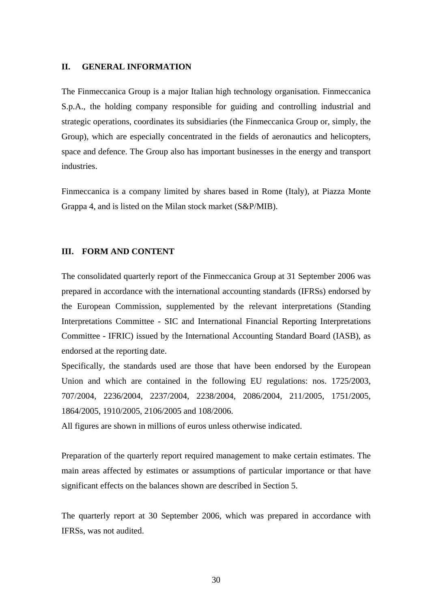#### **II. GENERAL INFORMATION**

The Finmeccanica Group is a major Italian high technology organisation. Finmeccanica S.p.A., the holding company responsible for guiding and controlling industrial and strategic operations, coordinates its subsidiaries (the Finmeccanica Group or, simply, the Group), which are especially concentrated in the fields of aeronautics and helicopters, space and defence. The Group also has important businesses in the energy and transport industries.

Finmeccanica is a company limited by shares based in Rome (Italy), at Piazza Monte Grappa 4, and is listed on the Milan stock market (S&P/MIB).

#### **III. FORM AND CONTENT**

The consolidated quarterly report of the Finmeccanica Group at 31 September 2006 was prepared in accordance with the international accounting standards (IFRSs) endorsed by the European Commission, supplemented by the relevant interpretations (Standing Interpretations Committee - SIC and International Financial Reporting Interpretations Committee - IFRIC) issued by the International Accounting Standard Board (IASB), as endorsed at the reporting date.

Specifically, the standards used are those that have been endorsed by the European Union and which are contained in the following EU regulations: nos. 1725/2003, 707/2004, 2236/2004, 2237/2004, 2238/2004, 2086/2004, 211/2005, 1751/2005, 1864/2005, 1910/2005, 2106/2005 and 108/2006.

All figures are shown in millions of euros unless otherwise indicated.

Preparation of the quarterly report required management to make certain estimates. The main areas affected by estimates or assumptions of particular importance or that have significant effects on the balances shown are described in Section 5.

The quarterly report at 30 September 2006, which was prepared in accordance with IFRSs, was not audited.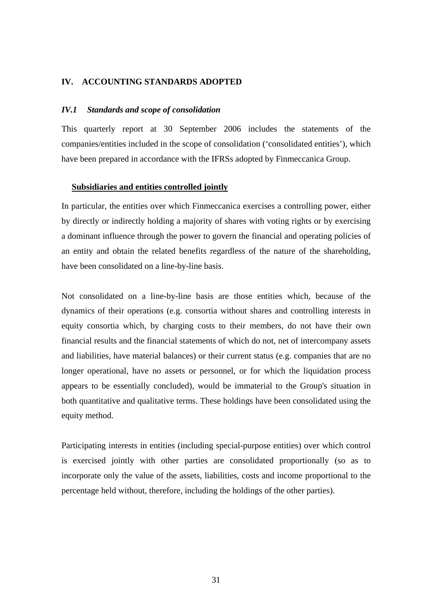#### **IV. ACCOUNTING STANDARDS ADOPTED**

#### *IV.1 Standards and scope of consolidation*

This quarterly report at 30 September 2006 includes the statements of the companies/entities included in the scope of consolidation ('consolidated entities'), which have been prepared in accordance with the IFRSs adopted by Finmeccanica Group.

#### **Subsidiaries and entities controlled jointly**

In particular, the entities over which Finmeccanica exercises a controlling power, either by directly or indirectly holding a majority of shares with voting rights or by exercising a dominant influence through the power to govern the financial and operating policies of an entity and obtain the related benefits regardless of the nature of the shareholding, have been consolidated on a line-by-line basis.

Not consolidated on a line-by-line basis are those entities which, because of the dynamics of their operations (e.g. consortia without shares and controlling interests in equity consortia which, by charging costs to their members, do not have their own financial results and the financial statements of which do not, net of intercompany assets and liabilities, have material balances) or their current status (e.g. companies that are no longer operational, have no assets or personnel, or for which the liquidation process appears to be essentially concluded), would be immaterial to the Group's situation in both quantitative and qualitative terms. These holdings have been consolidated using the equity method.

Participating interests in entities (including special-purpose entities) over which control is exercised jointly with other parties are consolidated proportionally (so as to incorporate only the value of the assets, liabilities, costs and income proportional to the percentage held without, therefore, including the holdings of the other parties).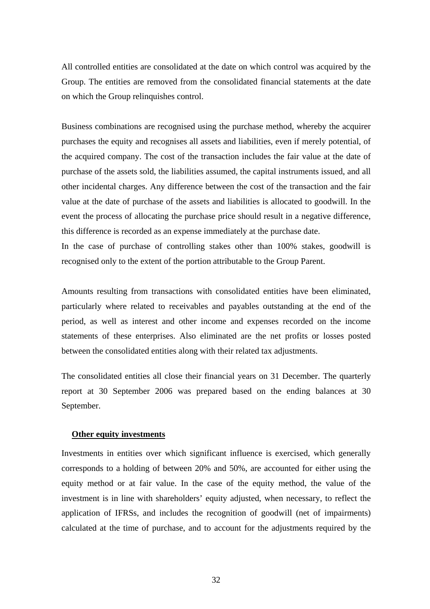All controlled entities are consolidated at the date on which control was acquired by the Group. The entities are removed from the consolidated financial statements at the date on which the Group relinquishes control.

Business combinations are recognised using the purchase method, whereby the acquirer purchases the equity and recognises all assets and liabilities, even if merely potential, of the acquired company. The cost of the transaction includes the fair value at the date of purchase of the assets sold, the liabilities assumed, the capital instruments issued, and all other incidental charges. Any difference between the cost of the transaction and the fair value at the date of purchase of the assets and liabilities is allocated to goodwill. In the event the process of allocating the purchase price should result in a negative difference, this difference is recorded as an expense immediately at the purchase date.

In the case of purchase of controlling stakes other than 100% stakes, goodwill is recognised only to the extent of the portion attributable to the Group Parent.

Amounts resulting from transactions with consolidated entities have been eliminated, particularly where related to receivables and payables outstanding at the end of the period, as well as interest and other income and expenses recorded on the income statements of these enterprises. Also eliminated are the net profits or losses posted between the consolidated entities along with their related tax adjustments.

The consolidated entities all close their financial years on 31 December. The quarterly report at 30 September 2006 was prepared based on the ending balances at 30 September.

#### **Other equity investments**

Investments in entities over which significant influence is exercised, which generally corresponds to a holding of between 20% and 50%, are accounted for either using the equity method or at fair value. In the case of the equity method, the value of the investment is in line with shareholders' equity adjusted, when necessary, to reflect the application of IFRSs, and includes the recognition of goodwill (net of impairments) calculated at the time of purchase, and to account for the adjustments required by the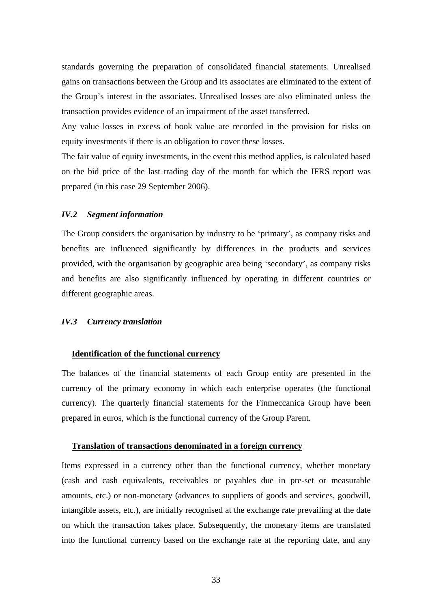standards governing the preparation of consolidated financial statements. Unrealised gains on transactions between the Group and its associates are eliminated to the extent of the Group's interest in the associates. Unrealised losses are also eliminated unless the transaction provides evidence of an impairment of the asset transferred.

Any value losses in excess of book value are recorded in the provision for risks on equity investments if there is an obligation to cover these losses.

The fair value of equity investments, in the event this method applies, is calculated based on the bid price of the last trading day of the month for which the IFRS report was prepared (in this case 29 September 2006).

#### *IV.2 Segment information*

The Group considers the organisation by industry to be 'primary', as company risks and benefits are influenced significantly by differences in the products and services provided, with the organisation by geographic area being 'secondary', as company risks and benefits are also significantly influenced by operating in different countries or different geographic areas.

#### *IV.3 Currency translation*

#### **Identification of the functional currency**

The balances of the financial statements of each Group entity are presented in the currency of the primary economy in which each enterprise operates (the functional currency). The quarterly financial statements for the Finmeccanica Group have been prepared in euros, which is the functional currency of the Group Parent.

#### **Translation of transactions denominated in a foreign currency**

Items expressed in a currency other than the functional currency, whether monetary (cash and cash equivalents, receivables or payables due in pre-set or measurable amounts, etc.) or non-monetary (advances to suppliers of goods and services, goodwill, intangible assets, etc.), are initially recognised at the exchange rate prevailing at the date on which the transaction takes place. Subsequently, the monetary items are translated into the functional currency based on the exchange rate at the reporting date, and any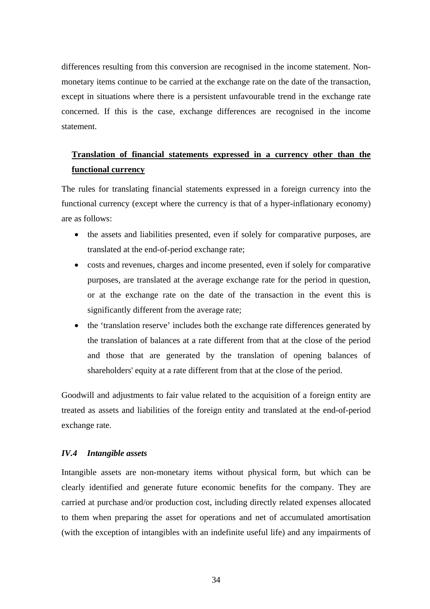differences resulting from this conversion are recognised in the income statement. Nonmonetary items continue to be carried at the exchange rate on the date of the transaction, except in situations where there is a persistent unfavourable trend in the exchange rate concerned. If this is the case, exchange differences are recognised in the income statement.

# **Translation of financial statements expressed in a currency other than the functional currency**

The rules for translating financial statements expressed in a foreign currency into the functional currency (except where the currency is that of a hyper-inflationary economy) are as follows:

- the assets and liabilities presented, even if solely for comparative purposes, are translated at the end-of-period exchange rate;
- costs and revenues, charges and income presented, even if solely for comparative purposes, are translated at the average exchange rate for the period in question, or at the exchange rate on the date of the transaction in the event this is significantly different from the average rate;
- the 'translation reserve' includes both the exchange rate differences generated by the translation of balances at a rate different from that at the close of the period and those that are generated by the translation of opening balances of shareholders' equity at a rate different from that at the close of the period.

Goodwill and adjustments to fair value related to the acquisition of a foreign entity are treated as assets and liabilities of the foreign entity and translated at the end-of-period exchange rate.

### *IV.4 Intangible assets*

Intangible assets are non-monetary items without physical form, but which can be clearly identified and generate future economic benefits for the company. They are carried at purchase and/or production cost, including directly related expenses allocated to them when preparing the asset for operations and net of accumulated amortisation (with the exception of intangibles with an indefinite useful life) and any impairments of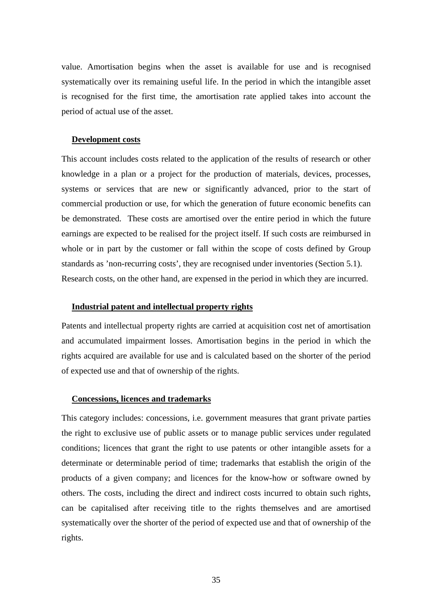value. Amortisation begins when the asset is available for use and is recognised systematically over its remaining useful life. In the period in which the intangible asset is recognised for the first time, the amortisation rate applied takes into account the period of actual use of the asset.

#### **Development costs**

This account includes costs related to the application of the results of research or other knowledge in a plan or a project for the production of materials, devices, processes, systems or services that are new or significantly advanced, prior to the start of commercial production or use, for which the generation of future economic benefits can be demonstrated. These costs are amortised over the entire period in which the future earnings are expected to be realised for the project itself. If such costs are reimbursed in whole or in part by the customer or fall within the scope of costs defined by Group standards as 'non-recurring costs', they are recognised under inventories (Section 5.1). Research costs, on the other hand, are expensed in the period in which they are incurred.

#### **Industrial patent and intellectual property rights**

Patents and intellectual property rights are carried at acquisition cost net of amortisation and accumulated impairment losses. Amortisation begins in the period in which the rights acquired are available for use and is calculated based on the shorter of the period of expected use and that of ownership of the rights.

#### **Concessions, licences and trademarks**

This category includes: concessions, i.e. government measures that grant private parties the right to exclusive use of public assets or to manage public services under regulated conditions; licences that grant the right to use patents or other intangible assets for a determinate or determinable period of time; trademarks that establish the origin of the products of a given company; and licences for the know-how or software owned by others. The costs, including the direct and indirect costs incurred to obtain such rights, can be capitalised after receiving title to the rights themselves and are amortised systematically over the shorter of the period of expected use and that of ownership of the rights.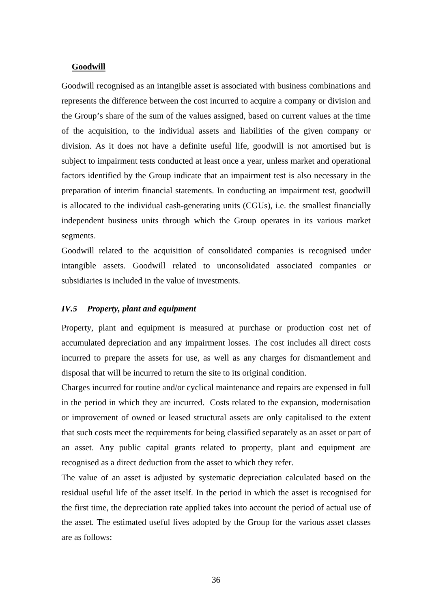#### **Goodwill**

Goodwill recognised as an intangible asset is associated with business combinations and represents the difference between the cost incurred to acquire a company or division and the Group's share of the sum of the values assigned, based on current values at the time of the acquisition, to the individual assets and liabilities of the given company or division. As it does not have a definite useful life, goodwill is not amortised but is subject to impairment tests conducted at least once a year, unless market and operational factors identified by the Group indicate that an impairment test is also necessary in the preparation of interim financial statements. In conducting an impairment test, goodwill is allocated to the individual cash-generating units (CGUs), i.e. the smallest financially independent business units through which the Group operates in its various market segments.

Goodwill related to the acquisition of consolidated companies is recognised under intangible assets. Goodwill related to unconsolidated associated companies or subsidiaries is included in the value of investments.

### *IV.5 Property, plant and equipment*

Property, plant and equipment is measured at purchase or production cost net of accumulated depreciation and any impairment losses. The cost includes all direct costs incurred to prepare the assets for use, as well as any charges for dismantlement and disposal that will be incurred to return the site to its original condition.

Charges incurred for routine and/or cyclical maintenance and repairs are expensed in full in the period in which they are incurred. Costs related to the expansion, modernisation or improvement of owned or leased structural assets are only capitalised to the extent that such costs meet the requirements for being classified separately as an asset or part of an asset. Any public capital grants related to property, plant and equipment are recognised as a direct deduction from the asset to which they refer.

The value of an asset is adjusted by systematic depreciation calculated based on the residual useful life of the asset itself. In the period in which the asset is recognised for the first time, the depreciation rate applied takes into account the period of actual use of the asset. The estimated useful lives adopted by the Group for the various asset classes are as follows: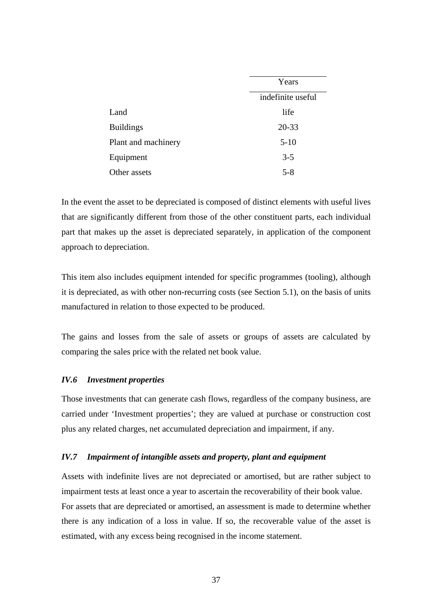|                     | Years             |
|---------------------|-------------------|
|                     | indefinite useful |
| Land                | life              |
| <b>Buildings</b>    | $20 - 33$         |
| Plant and machinery | $5-10$            |
| Equipment           | $3 - 5$           |
| Other assets        | $5 - 8$           |

In the event the asset to be depreciated is composed of distinct elements with useful lives that are significantly different from those of the other constituent parts, each individual part that makes up the asset is depreciated separately, in application of the component approach to depreciation.

This item also includes equipment intended for specific programmes (tooling), although it is depreciated, as with other non-recurring costs (see Section 5.1), on the basis of units manufactured in relation to those expected to be produced.

The gains and losses from the sale of assets or groups of assets are calculated by comparing the sales price with the related net book value.

## *IV.6 Investment properties*

Those investments that can generate cash flows, regardless of the company business, are carried under 'Investment properties'; they are valued at purchase or construction cost plus any related charges, net accumulated depreciation and impairment, if any.

## *IV.7 Impairment of intangible assets and property, plant and equipment*

Assets with indefinite lives are not depreciated or amortised, but are rather subject to impairment tests at least once a year to ascertain the recoverability of their book value. For assets that are depreciated or amortised, an assessment is made to determine whether there is any indication of a loss in value. If so, the recoverable value of the asset is estimated, with any excess being recognised in the income statement.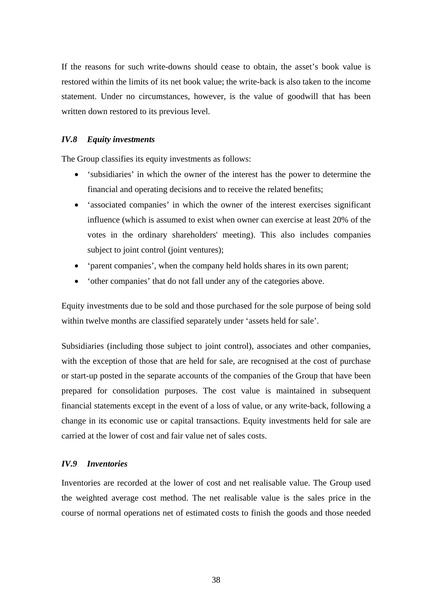If the reasons for such write-downs should cease to obtain, the asset's book value is restored within the limits of its net book value; the write-back is also taken to the income statement. Under no circumstances, however, is the value of goodwill that has been written down restored to its previous level.

## *IV.8 Equity investments*

The Group classifies its equity investments as follows:

- 'subsidiaries' in which the owner of the interest has the power to determine the financial and operating decisions and to receive the related benefits;
- 'associated companies' in which the owner of the interest exercises significant influence (which is assumed to exist when owner can exercise at least 20% of the votes in the ordinary shareholders' meeting). This also includes companies subject to joint control (joint ventures);
- 'parent companies', when the company held holds shares in its own parent;
- 'other companies' that do not fall under any of the categories above.

Equity investments due to be sold and those purchased for the sole purpose of being sold within twelve months are classified separately under 'assets held for sale'.

Subsidiaries (including those subject to joint control), associates and other companies, with the exception of those that are held for sale, are recognised at the cost of purchase or start-up posted in the separate accounts of the companies of the Group that have been prepared for consolidation purposes. The cost value is maintained in subsequent financial statements except in the event of a loss of value, or any write-back, following a change in its economic use or capital transactions. Equity investments held for sale are carried at the lower of cost and fair value net of sales costs.

## *IV.9 Inventories*

Inventories are recorded at the lower of cost and net realisable value. The Group used the weighted average cost method. The net realisable value is the sales price in the course of normal operations net of estimated costs to finish the goods and those needed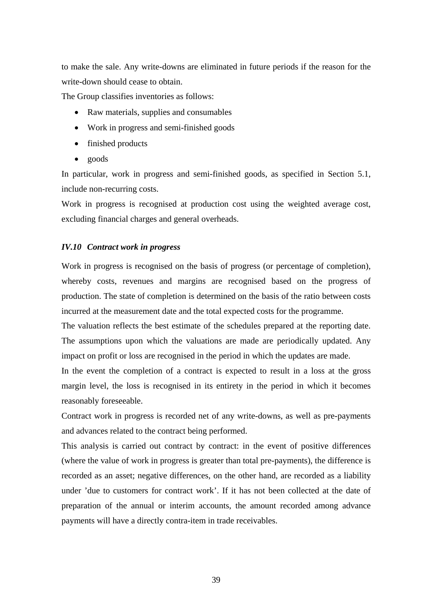to make the sale. Any write-downs are eliminated in future periods if the reason for the write-down should cease to obtain.

The Group classifies inventories as follows:

- Raw materials, supplies and consumables
- Work in progress and semi-finished goods
- finished products
- goods

In particular, work in progress and semi-finished goods, as specified in Section 5.1, include non-recurring costs.

Work in progress is recognised at production cost using the weighted average cost, excluding financial charges and general overheads.

## *IV.10 Contract work in progress*

Work in progress is recognised on the basis of progress (or percentage of completion), whereby costs, revenues and margins are recognised based on the progress of production. The state of completion is determined on the basis of the ratio between costs incurred at the measurement date and the total expected costs for the programme.

The valuation reflects the best estimate of the schedules prepared at the reporting date. The assumptions upon which the valuations are made are periodically updated. Any impact on profit or loss are recognised in the period in which the updates are made.

In the event the completion of a contract is expected to result in a loss at the gross margin level, the loss is recognised in its entirety in the period in which it becomes reasonably foreseeable.

Contract work in progress is recorded net of any write-downs, as well as pre-payments and advances related to the contract being performed.

This analysis is carried out contract by contract: in the event of positive differences (where the value of work in progress is greater than total pre-payments), the difference is recorded as an asset; negative differences, on the other hand, are recorded as a liability under 'due to customers for contract work'. If it has not been collected at the date of preparation of the annual or interim accounts, the amount recorded among advance payments will have a directly contra-item in trade receivables.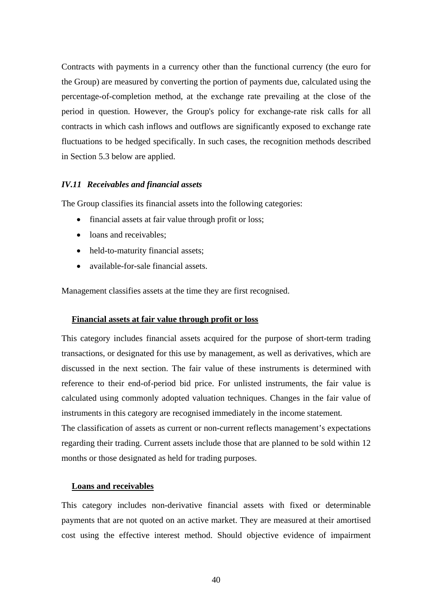Contracts with payments in a currency other than the functional currency (the euro for the Group) are measured by converting the portion of payments due, calculated using the percentage-of-completion method, at the exchange rate prevailing at the close of the period in question. However, the Group's policy for exchange-rate risk calls for all contracts in which cash inflows and outflows are significantly exposed to exchange rate fluctuations to be hedged specifically. In such cases, the recognition methods described in Section 5.3 below are applied.

## *IV.11 Receivables and financial assets*

The Group classifies its financial assets into the following categories:

- financial assets at fair value through profit or loss;
- loans and receivables:
- held-to-maturity financial assets:
- available-for-sale financial assets.

Management classifies assets at the time they are first recognised.

#### **Financial assets at fair value through profit or loss**

This category includes financial assets acquired for the purpose of short-term trading transactions, or designated for this use by management, as well as derivatives, which are discussed in the next section. The fair value of these instruments is determined with reference to their end-of-period bid price. For unlisted instruments, the fair value is calculated using commonly adopted valuation techniques. Changes in the fair value of instruments in this category are recognised immediately in the income statement*.* 

The classification of assets as current or non-current reflects management's expectations regarding their trading. Current assets include those that are planned to be sold within 12 months or those designated as held for trading purposes.

## **Loans and receivables**

This category includes non-derivative financial assets with fixed or determinable payments that are not quoted on an active market. They are measured at their amortised cost using the effective interest method. Should objective evidence of impairment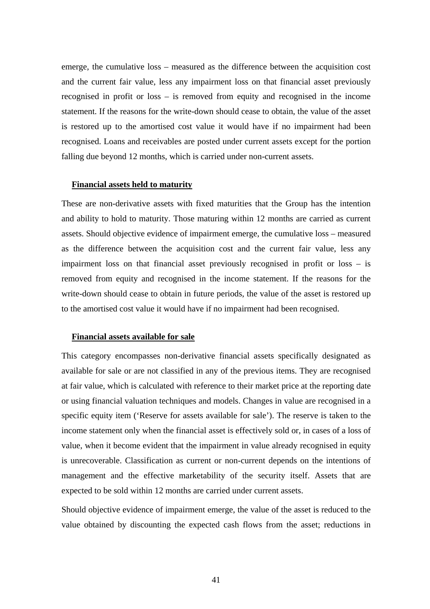emerge, the cumulative loss – measured as the difference between the acquisition cost and the current fair value, less any impairment loss on that financial asset previously recognised in profit or loss – is removed from equity and recognised in the income statement. If the reasons for the write-down should cease to obtain, the value of the asset is restored up to the amortised cost value it would have if no impairment had been recognised. Loans and receivables are posted under current assets except for the portion falling due beyond 12 months, which is carried under non-current assets.

#### **Financial assets held to maturity**

These are non-derivative assets with fixed maturities that the Group has the intention and ability to hold to maturity. Those maturing within 12 months are carried as current assets. Should objective evidence of impairment emerge, the cumulative loss – measured as the difference between the acquisition cost and the current fair value, less any impairment loss on that financial asset previously recognised in profit or loss – is removed from equity and recognised in the income statement. If the reasons for the write-down should cease to obtain in future periods, the value of the asset is restored up to the amortised cost value it would have if no impairment had been recognised.

#### **Financial assets available for sale**

This category encompasses non-derivative financial assets specifically designated as available for sale or are not classified in any of the previous items. They are recognised at fair value, which is calculated with reference to their market price at the reporting date or using financial valuation techniques and models. Changes in value are recognised in a specific equity item ('Reserve for assets available for sale'). The reserve is taken to the income statement only when the financial asset is effectively sold or, in cases of a loss of value, when it become evident that the impairment in value already recognised in equity is unrecoverable. Classification as current or non-current depends on the intentions of management and the effective marketability of the security itself. Assets that are expected to be sold within 12 months are carried under current assets.

Should objective evidence of impairment emerge, the value of the asset is reduced to the value obtained by discounting the expected cash flows from the asset; reductions in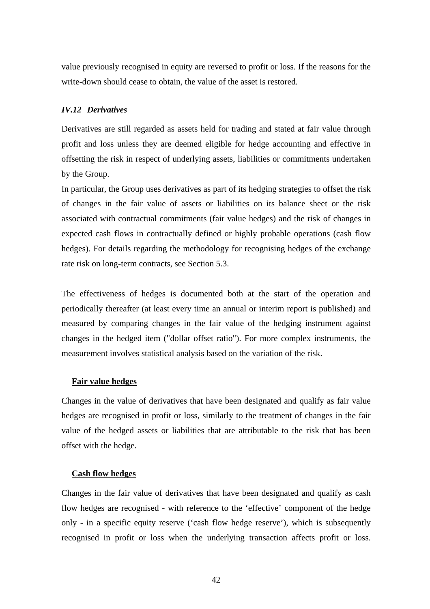value previously recognised in equity are reversed to profit or loss. If the reasons for the write-down should cease to obtain, the value of the asset is restored.

## *IV.12 Derivatives*

Derivatives are still regarded as assets held for trading and stated at fair value through profit and loss unless they are deemed eligible for hedge accounting and effective in offsetting the risk in respect of underlying assets, liabilities or commitments undertaken by the Group.

In particular, the Group uses derivatives as part of its hedging strategies to offset the risk of changes in the fair value of assets or liabilities on its balance sheet or the risk associated with contractual commitments (fair value hedges) and the risk of changes in expected cash flows in contractually defined or highly probable operations (cash flow hedges). For details regarding the methodology for recognising hedges of the exchange rate risk on long-term contracts, see Section 5.3.

The effectiveness of hedges is documented both at the start of the operation and periodically thereafter (at least every time an annual or interim report is published) and measured by comparing changes in the fair value of the hedging instrument against changes in the hedged item ("dollar offset ratio"). For more complex instruments, the measurement involves statistical analysis based on the variation of the risk.

## **Fair value hedges**

Changes in the value of derivatives that have been designated and qualify as fair value hedges are recognised in profit or loss, similarly to the treatment of changes in the fair value of the hedged assets or liabilities that are attributable to the risk that has been offset with the hedge.

## **Cash flow hedges**

Changes in the fair value of derivatives that have been designated and qualify as cash flow hedges are recognised - with reference to the 'effective' component of the hedge only - in a specific equity reserve ('cash flow hedge reserve'), which is subsequently recognised in profit or loss when the underlying transaction affects profit or loss.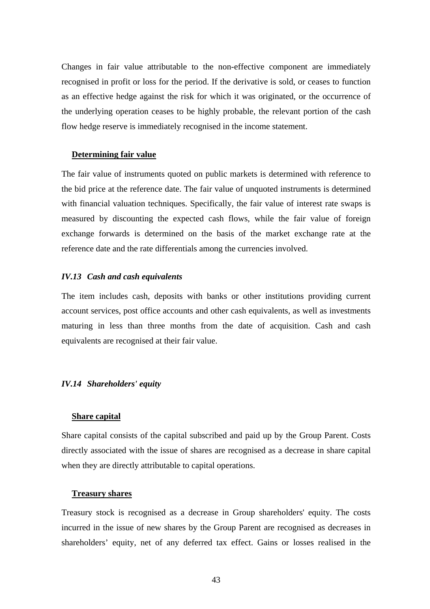Changes in fair value attributable to the non-effective component are immediately recognised in profit or loss for the period. If the derivative is sold, or ceases to function as an effective hedge against the risk for which it was originated, or the occurrence of the underlying operation ceases to be highly probable, the relevant portion of the cash flow hedge reserve is immediately recognised in the income statement.

#### **Determining fair value**

The fair value of instruments quoted on public markets is determined with reference to the bid price at the reference date. The fair value of unquoted instruments is determined with financial valuation techniques. Specifically, the fair value of interest rate swaps is measured by discounting the expected cash flows, while the fair value of foreign exchange forwards is determined on the basis of the market exchange rate at the reference date and the rate differentials among the currencies involved.

#### *IV.13 Cash and cash equivalents*

The item includes cash, deposits with banks or other institutions providing current account services, post office accounts and other cash equivalents, as well as investments maturing in less than three months from the date of acquisition. Cash and cash equivalents are recognised at their fair value.

#### *IV.14 Shareholders' equity*

#### **Share capital**

Share capital consists of the capital subscribed and paid up by the Group Parent. Costs directly associated with the issue of shares are recognised as a decrease in share capital when they are directly attributable to capital operations.

#### **Treasury shares**

Treasury stock is recognised as a decrease in Group shareholders' equity. The costs incurred in the issue of new shares by the Group Parent are recognised as decreases in shareholders' equity, net of any deferred tax effect. Gains or losses realised in the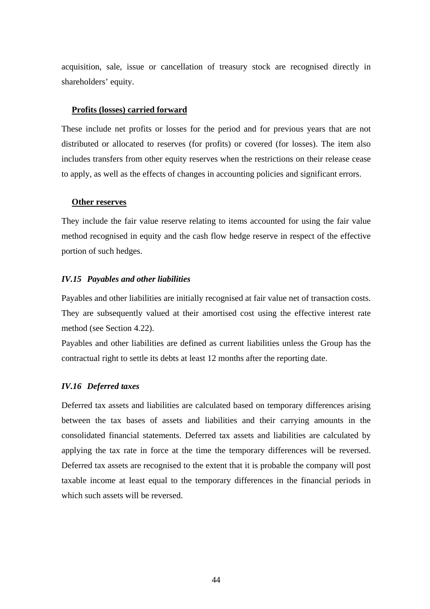acquisition, sale, issue or cancellation of treasury stock are recognised directly in shareholders' equity.

#### **Profits (losses) carried forward**

These include net profits or losses for the period and for previous years that are not distributed or allocated to reserves (for profits) or covered (for losses). The item also includes transfers from other equity reserves when the restrictions on their release cease to apply, as well as the effects of changes in accounting policies and significant errors.

#### **Other reserves**

They include the fair value reserve relating to items accounted for using the fair value method recognised in equity and the cash flow hedge reserve in respect of the effective portion of such hedges.

## *IV.15 Payables and other liabilities*

Payables and other liabilities are initially recognised at fair value net of transaction costs. They are subsequently valued at their amortised cost using the effective interest rate method (see Section 4.22).

Payables and other liabilities are defined as current liabilities unless the Group has the contractual right to settle its debts at least 12 months after the reporting date.

## *IV.16 Deferred taxes*

Deferred tax assets and liabilities are calculated based on temporary differences arising between the tax bases of assets and liabilities and their carrying amounts in the consolidated financial statements. Deferred tax assets and liabilities are calculated by applying the tax rate in force at the time the temporary differences will be reversed. Deferred tax assets are recognised to the extent that it is probable the company will post taxable income at least equal to the temporary differences in the financial periods in which such assets will be reversed.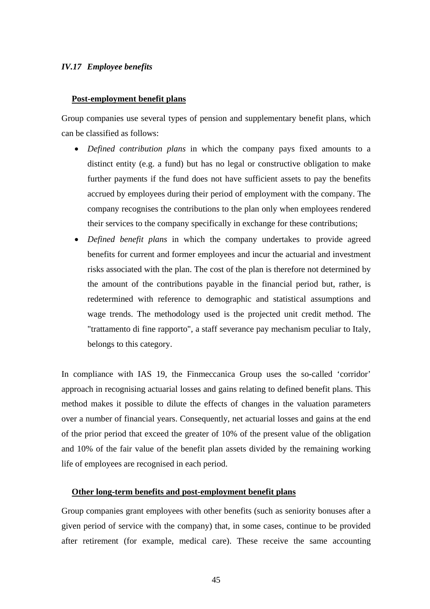#### *IV.17 Employee benefits*

#### **Post-employment benefit plans**

Group companies use several types of pension and supplementary benefit plans, which can be classified as follows:

- *Defined contribution plans* in which the company pays fixed amounts to a distinct entity (e.g. a fund) but has no legal or constructive obligation to make further payments if the fund does not have sufficient assets to pay the benefits accrued by employees during their period of employment with the company. The company recognises the contributions to the plan only when employees rendered their services to the company specifically in exchange for these contributions;
- *Defined benefit plans* in which the company undertakes to provide agreed benefits for current and former employees and incur the actuarial and investment risks associated with the plan. The cost of the plan is therefore not determined by the amount of the contributions payable in the financial period but, rather, is redetermined with reference to demographic and statistical assumptions and wage trends. The methodology used is the projected unit credit method. The "trattamento di fine rapporto", a staff severance pay mechanism peculiar to Italy, belongs to this category.

In compliance with IAS 19, the Finmeccanica Group uses the so-called 'corridor' approach in recognising actuarial losses and gains relating to defined benefit plans. This method makes it possible to dilute the effects of changes in the valuation parameters over a number of financial years. Consequently, net actuarial losses and gains at the end of the prior period that exceed the greater of 10% of the present value of the obligation and 10% of the fair value of the benefit plan assets divided by the remaining working life of employees are recognised in each period.

#### **Other long-term benefits and post-employment benefit plans**

Group companies grant employees with other benefits (such as seniority bonuses after a given period of service with the company) that, in some cases, continue to be provided after retirement (for example, medical care). These receive the same accounting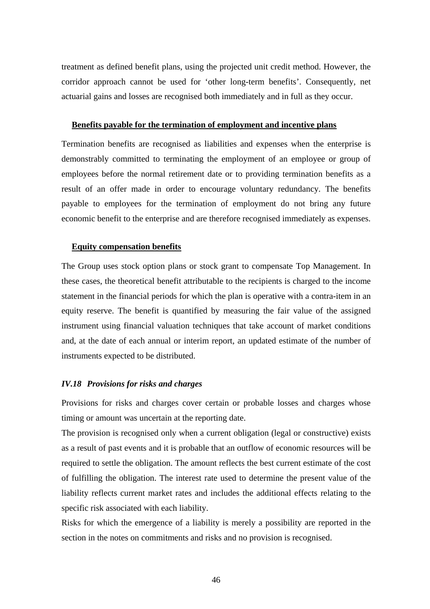treatment as defined benefit plans, using the projected unit credit method. However, the corridor approach cannot be used for 'other long-term benefits'. Consequently, net actuarial gains and losses are recognised both immediately and in full as they occur.

#### **Benefits payable for the termination of employment and incentive plans**

Termination benefits are recognised as liabilities and expenses when the enterprise is demonstrably committed to terminating the employment of an employee or group of employees before the normal retirement date or to providing termination benefits as a result of an offer made in order to encourage voluntary redundancy. The benefits payable to employees for the termination of employment do not bring any future economic benefit to the enterprise and are therefore recognised immediately as expenses.

#### **Equity compensation benefits**

The Group uses stock option plans or stock grant to compensate Top Management. In these cases, the theoretical benefit attributable to the recipients is charged to the income statement in the financial periods for which the plan is operative with a contra-item in an equity reserve. The benefit is quantified by measuring the fair value of the assigned instrument using financial valuation techniques that take account of market conditions and, at the date of each annual or interim report, an updated estimate of the number of instruments expected to be distributed.

#### *IV.18 Provisions for risks and charges*

Provisions for risks and charges cover certain or probable losses and charges whose timing or amount was uncertain at the reporting date.

The provision is recognised only when a current obligation (legal or constructive) exists as a result of past events and it is probable that an outflow of economic resources will be required to settle the obligation. The amount reflects the best current estimate of the cost of fulfilling the obligation. The interest rate used to determine the present value of the liability reflects current market rates and includes the additional effects relating to the specific risk associated with each liability.

Risks for which the emergence of a liability is merely a possibility are reported in the section in the notes on commitments and risks and no provision is recognised.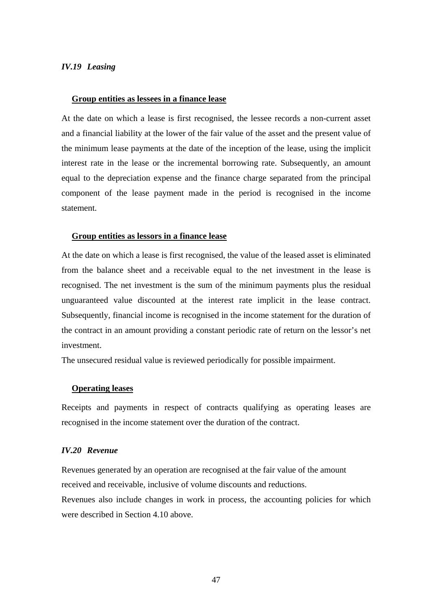#### *IV.19 Leasing*

#### **Group entities as lessees in a finance lease**

At the date on which a lease is first recognised, the lessee records a non-current asset and a financial liability at the lower of the fair value of the asset and the present value of the minimum lease payments at the date of the inception of the lease, using the implicit interest rate in the lease or the incremental borrowing rate. Subsequently, an amount equal to the depreciation expense and the finance charge separated from the principal component of the lease payment made in the period is recognised in the income statement.

#### **Group entities as lessors in a finance lease**

At the date on which a lease is first recognised, the value of the leased asset is eliminated from the balance sheet and a receivable equal to the net investment in the lease is recognised. The net investment is the sum of the minimum payments plus the residual unguaranteed value discounted at the interest rate implicit in the lease contract. Subsequently, financial income is recognised in the income statement for the duration of the contract in an amount providing a constant periodic rate of return on the lessor's net investment.

The unsecured residual value is reviewed periodically for possible impairment.

#### **Operating leases**

Receipts and payments in respect of contracts qualifying as operating leases are recognised in the income statement over the duration of the contract.

#### *IV.20 Revenue*

Revenues generated by an operation are recognised at the fair value of the amount received and receivable, inclusive of volume discounts and reductions.

Revenues also include changes in work in process, the accounting policies for which were described in Section 4.10 above.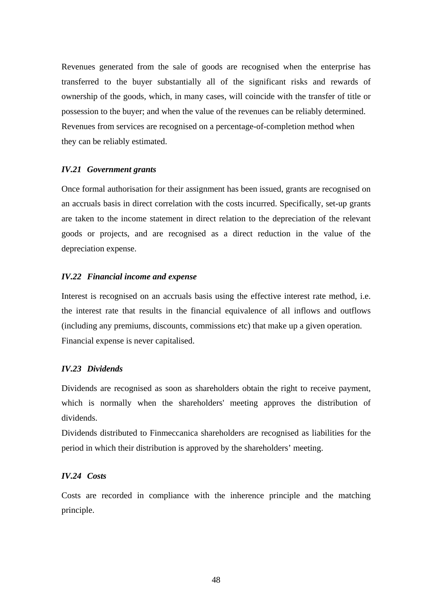Revenues generated from the sale of goods are recognised when the enterprise has transferred to the buyer substantially all of the significant risks and rewards of ownership of the goods, which, in many cases, will coincide with the transfer of title or possession to the buyer; and when the value of the revenues can be reliably determined. Revenues from services are recognised on a percentage-of-completion method when they can be reliably estimated.

## *IV.21 Government grants*

Once formal authorisation for their assignment has been issued, grants are recognised on an accruals basis in direct correlation with the costs incurred. Specifically, set-up grants are taken to the income statement in direct relation to the depreciation of the relevant goods or projects, and are recognised as a direct reduction in the value of the depreciation expense.

## *IV.22 Financial income and expense*

Interest is recognised on an accruals basis using the effective interest rate method, i.e. the interest rate that results in the financial equivalence of all inflows and outflows (including any premiums, discounts, commissions etc) that make up a given operation. Financial expense is never capitalised.

## *IV.23 Dividends*

Dividends are recognised as soon as shareholders obtain the right to receive payment, which is normally when the shareholders' meeting approves the distribution of dividends.

Dividends distributed to Finmeccanica shareholders are recognised as liabilities for the period in which their distribution is approved by the shareholders' meeting.

## *IV.24 Costs*

Costs are recorded in compliance with the inherence principle and the matching principle.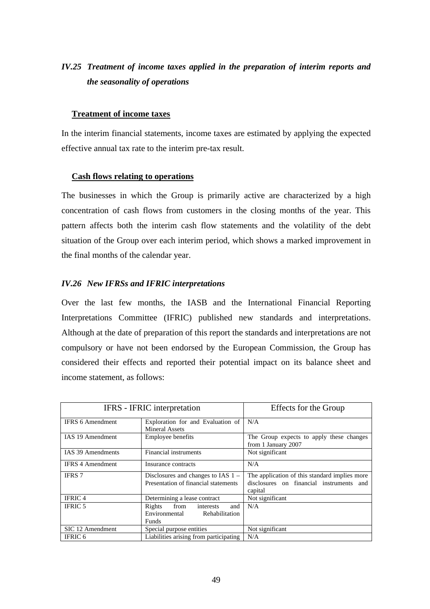## *IV.25 Treatment of income taxes applied in the preparation of interim reports and the seasonality of operations*

## **Treatment of income taxes**

In the interim financial statements, income taxes are estimated by applying the expected effective annual tax rate to the interim pre-tax result.

## **Cash flows relating to operations**

The businesses in which the Group is primarily active are characterized by a high concentration of cash flows from customers in the closing months of the year. This pattern affects both the interim cash flow statements and the volatility of the debt situation of the Group over each interim period, which shows a marked improvement in the final months of the calendar year.

#### *IV.26 New IFRSs and IFRIC interpretations*

Over the last few months, the IASB and the International Financial Reporting Interpretations Committee (IFRIC) published new standards and interpretations. Although at the date of preparation of this report the standards and interpretations are not compulsory or have not been endorsed by the European Commission, the Group has considered their effects and reported their potential impact on its balance sheet and income statement, as follows:

|                         | IFRS - IFRIC interpretation                                                           | Effects for the Group                                                                                |  |  |
|-------------------------|---------------------------------------------------------------------------------------|------------------------------------------------------------------------------------------------------|--|--|
| <b>IFRS 6 Amendment</b> | Exploration for and Evaluation of<br><b>Mineral Assets</b>                            | N/A                                                                                                  |  |  |
| <b>IAS 19 Amendment</b> | Employee benefits                                                                     | The Group expects to apply these changes<br>from 1 January 2007                                      |  |  |
| IAS 39 Amendments       | Financial instruments                                                                 | Not significant                                                                                      |  |  |
| <b>IFRS 4 Amendment</b> | Insurance contracts                                                                   | N/A                                                                                                  |  |  |
| <b>IFRS 7</b>           | Disclosures and changes to IAS $1 -$<br>Presentation of financial statements          | The application of this standard implies more<br>disclosures on financial instruments and<br>capital |  |  |
| <b>IFRIC4</b>           | Determining a lease contract                                                          | Not significant                                                                                      |  |  |
| <b>IFRIC 5</b>          | Rights<br>from<br>interests<br>and<br>Environmental<br>Rehabilitation<br><b>Funds</b> | N/A                                                                                                  |  |  |
| SIC 12 Amendment        | Special purpose entities                                                              | Not significant                                                                                      |  |  |
| <b>IFRIC 6</b>          | Liabilities arising from participating                                                | N/A                                                                                                  |  |  |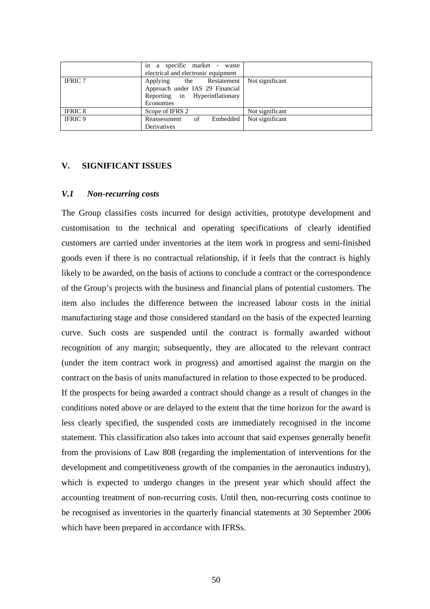|                | in a specific market - waste<br>electrical and electronic equipment                                        |                 |
|----------------|------------------------------------------------------------------------------------------------------------|-----------------|
| <b>IFRIC 7</b> | Applying the Restatement<br>Approach under IAS 29 Financial<br>Reporting in Hyperinflationary<br>Economies | Not significant |
| <b>IFRIC 8</b> | Scope of IFRS 2                                                                                            | Not significant |
| <b>IFRIC 9</b> | Embedded<br>Reassessment of<br>Derivatives                                                                 | Not significant |

## **V. SIGNIFICANT ISSUES**

## *V.1 Non-recurring costs*

The Group classifies costs incurred for design activities, prototype development and customisation to the technical and operating specifications of clearly identified customers are carried under inventories at the item work in progress and semi-finished goods even if there is no contractual relationship, if it feels that the contract is highly likely to be awarded, on the basis of actions to conclude a contract or the correspondence of the Group's projects with the business and financial plans of potential customers. The item also includes the difference between the increased labour costs in the initial manufacturing stage and those considered standard on the basis of the expected learning curve. Such costs are suspended until the contract is formally awarded without recognition of any margin; subsequently, they are allocated to the relevant contract (under the item contract work in progress) and amortised against the margin on the contract on the basis of units manufactured in relation to those expected to be produced. If the prospects for being awarded a contract should change as a result of changes in the conditions noted above or are delayed to the extent that the time horizon for the award is less clearly specified, the suspended costs are immediately recognised in the income statement. This classification also takes into account that said expenses generally benefit from the provisions of Law 808 (regarding the implementation of interventions for the development and competitiveness growth of the companies in the aeronautics industry), which is expected to undergo changes in the present year which should affect the accounting treatment of non-recurring costs. Until then, non-recurring costs continue to be recognised as inventories in the quarterly financial statements at 30 September 2006

which have been prepared in accordance with IFRSs.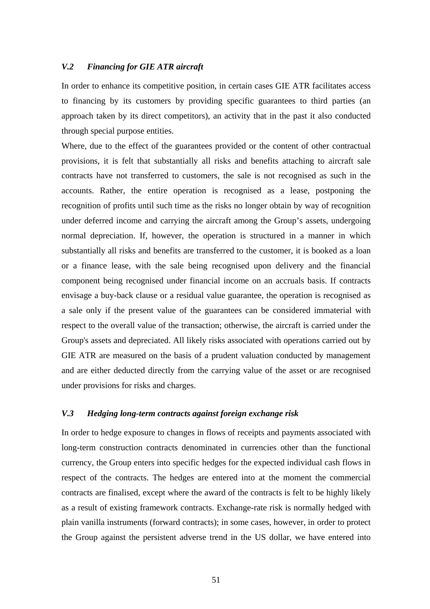#### *V.2 Financing for GIE ATR aircraft*

In order to enhance its competitive position, in certain cases GIE ATR facilitates access to financing by its customers by providing specific guarantees to third parties (an approach taken by its direct competitors), an activity that in the past it also conducted through special purpose entities.

Where, due to the effect of the guarantees provided or the content of other contractual provisions, it is felt that substantially all risks and benefits attaching to aircraft sale contracts have not transferred to customers, the sale is not recognised as such in the accounts. Rather, the entire operation is recognised as a lease, postponing the recognition of profits until such time as the risks no longer obtain by way of recognition under deferred income and carrying the aircraft among the Group's assets, undergoing normal depreciation. If, however, the operation is structured in a manner in which substantially all risks and benefits are transferred to the customer, it is booked as a loan or a finance lease, with the sale being recognised upon delivery and the financial component being recognised under financial income on an accruals basis. If contracts envisage a buy-back clause or a residual value guarantee, the operation is recognised as a sale only if the present value of the guarantees can be considered immaterial with respect to the overall value of the transaction; otherwise, the aircraft is carried under the Group's assets and depreciated. All likely risks associated with operations carried out by GIE ATR are measured on the basis of a prudent valuation conducted by management and are either deducted directly from the carrying value of the asset or are recognised under provisions for risks and charges.

#### *V.3 Hedging long-term contracts against foreign exchange risk*

In order to hedge exposure to changes in flows of receipts and payments associated with long-term construction contracts denominated in currencies other than the functional currency, the Group enters into specific hedges for the expected individual cash flows in respect of the contracts. The hedges are entered into at the moment the commercial contracts are finalised, except where the award of the contracts is felt to be highly likely as a result of existing framework contracts. Exchange-rate risk is normally hedged with plain vanilla instruments (forward contracts); in some cases, however, in order to protect the Group against the persistent adverse trend in the US dollar, we have entered into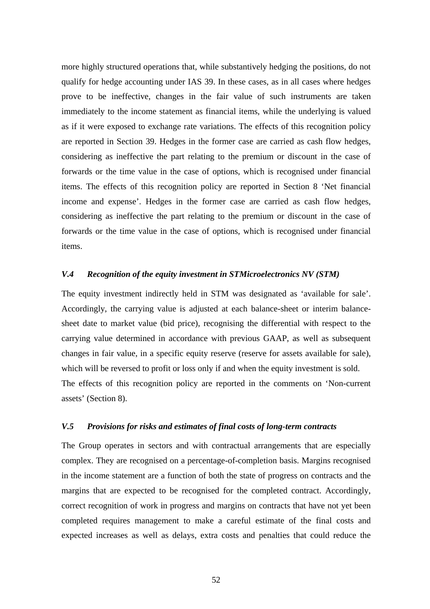more highly structured operations that, while substantively hedging the positions, do not qualify for hedge accounting under IAS 39. In these cases, as in all cases where hedges prove to be ineffective, changes in the fair value of such instruments are taken immediately to the income statement as financial items, while the underlying is valued as if it were exposed to exchange rate variations. The effects of this recognition policy are reported in Section 39. Hedges in the former case are carried as cash flow hedges, considering as ineffective the part relating to the premium or discount in the case of forwards or the time value in the case of options, which is recognised under financial items. The effects of this recognition policy are reported in Section 8 'Net financial income and expense'. Hedges in the former case are carried as cash flow hedges, considering as ineffective the part relating to the premium or discount in the case of forwards or the time value in the case of options, which is recognised under financial items.

## *V.4 Recognition of the equity investment in STMicroelectronics NV (STM)*

The equity investment indirectly held in STM was designated as 'available for sale'. Accordingly, the carrying value is adjusted at each balance-sheet or interim balancesheet date to market value (bid price), recognising the differential with respect to the carrying value determined in accordance with previous GAAP, as well as subsequent changes in fair value, in a specific equity reserve (reserve for assets available for sale), which will be reversed to profit or loss only if and when the equity investment is sold. The effects of this recognition policy are reported in the comments on 'Non-current assets' (Section 8).

#### *V.5 Provisions for risks and estimates of final costs of long-term contracts*

The Group operates in sectors and with contractual arrangements that are especially complex. They are recognised on a percentage-of-completion basis. Margins recognised in the income statement are a function of both the state of progress on contracts and the margins that are expected to be recognised for the completed contract. Accordingly, correct recognition of work in progress and margins on contracts that have not yet been completed requires management to make a careful estimate of the final costs and expected increases as well as delays, extra costs and penalties that could reduce the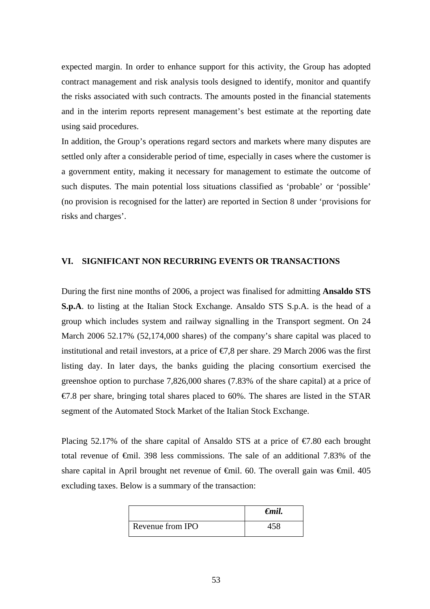expected margin. In order to enhance support for this activity, the Group has adopted contract management and risk analysis tools designed to identify, monitor and quantify the risks associated with such contracts. The amounts posted in the financial statements and in the interim reports represent management's best estimate at the reporting date using said procedures.

In addition, the Group's operations regard sectors and markets where many disputes are settled only after a considerable period of time, especially in cases where the customer is a government entity, making it necessary for management to estimate the outcome of such disputes. The main potential loss situations classified as 'probable' or 'possible' (no provision is recognised for the latter) are reported in Section 8 under 'provisions for risks and charges'.

## **VI. SIGNIFICANT NON RECURRING EVENTS OR TRANSACTIONS**

During the first nine months of 2006, a project was finalised for admitting **Ansaldo STS S.p.A**. to listing at the Italian Stock Exchange. Ansaldo STS S.p.A. is the head of a group which includes system and railway signalling in the Transport segment. On 24 March 2006 52.17% (52,174,000 shares) of the company's share capital was placed to institutional and retail investors, at a price of  $\epsilon$ , 8 per share. 29 March 2006 was the first listing day. In later days, the banks guiding the placing consortium exercised the greenshoe option to purchase 7,826,000 shares (7.83% of the share capital) at a price of  $\epsilon$ 7.8 per share, bringing total shares placed to 60%. The shares are listed in the STAR segment of the Automated Stock Market of the Italian Stock Exchange.

Placing 52.17% of the share capital of Ansaldo STS at a price of  $\epsilon$ 7.80 each brought total revenue of €mil. 398 less commissions. The sale of an additional 7.83% of the share capital in April brought net revenue of  $\theta$ mil. 60. The overall gain was  $\theta$ mil. 405 excluding taxes. Below is a summary of the transaction:

|                  | $\epsilon$ mil. |
|------------------|-----------------|
| Revenue from IPO |                 |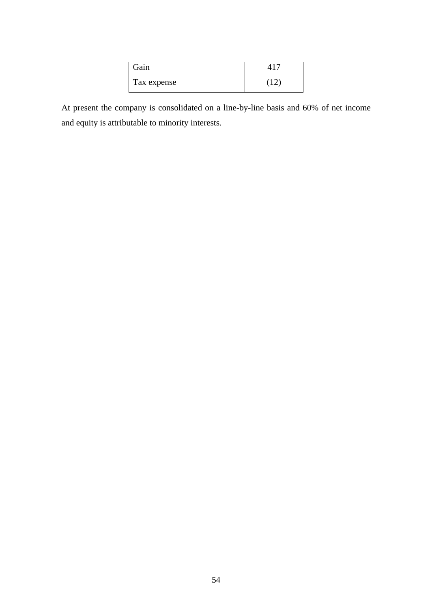| Gain        |  |
|-------------|--|
| Tax expense |  |

At present the company is consolidated on a line-by-line basis and 60% of net income and equity is attributable to minority interests.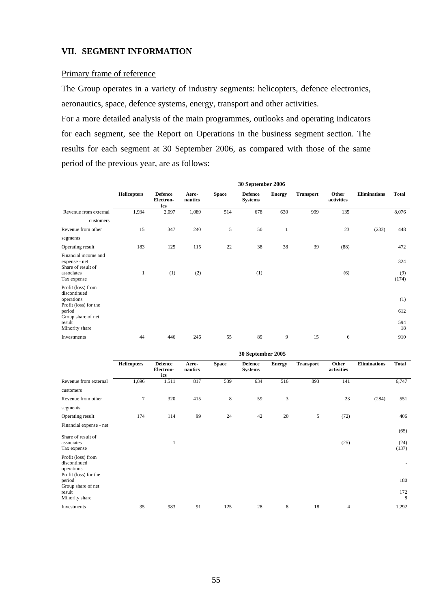## **VII. SEGMENT INFORMATION**

#### Primary frame of reference

The Group operates in a variety of industry segments: helicopters, defence electronics, aeronautics, space, defence systems, energy, transport and other activities.

For a more detailed analysis of the main programmes, outlooks and operating indicators for each segment, see the Report on Operations in the business segment section. The results for each segment at 30 September 2006, as compared with those of the same period of the previous year, are as follows:

|                                                             | 30 September 2006  |                                    |                  |              |                                  |               |                  |                     |                     |              |
|-------------------------------------------------------------|--------------------|------------------------------------|------------------|--------------|----------------------------------|---------------|------------------|---------------------|---------------------|--------------|
|                                                             | <b>Helicopters</b> | <b>Defence</b><br>Electron-<br>ics | Aero-<br>nautics | <b>Space</b> | <b>Defence</b><br><b>Systems</b> | <b>Energy</b> | <b>Transport</b> | Other<br>activities | <b>Eliminations</b> | <b>Total</b> |
| Revenue from external                                       | 1,934              | 2,097                              | 1,089            | 514          | 678                              | 630           | 999              | 135                 |                     | 8,076        |
| customers                                                   |                    |                                    |                  |              |                                  |               |                  |                     |                     |              |
| Revenue from other                                          | 15                 | 347                                | 240              | 5            | 50                               | $\mathbf{1}$  |                  | 23                  | (233)               | 448          |
| segments                                                    |                    |                                    |                  |              |                                  |               |                  |                     |                     |              |
| Operating result                                            | 183                | 125                                | 115              | 22           | 38                               | 38            | 39               | (88)                |                     | 472          |
| Financial income and<br>expense - net<br>Share of result of |                    |                                    |                  |              |                                  |               |                  |                     |                     | 324          |
| associates<br>Tax expense                                   | 1                  | (1)                                | (2)              |              | (1)                              |               |                  | (6)                 |                     | (9)<br>(174) |
| Profit (loss) from<br>discontinued<br>operations            |                    |                                    |                  |              |                                  |               |                  |                     |                     |              |
| Profit (loss) for the<br>period                             |                    |                                    |                  |              |                                  |               |                  |                     |                     | (1)<br>612   |
| Group share of net<br>result<br>Minority share              |                    |                                    |                  |              |                                  |               |                  |                     |                     | 594<br>18    |
| Investments                                                 | 44                 | 446                                | 246              | 55           | 89                               | 9             | 15               | 6                   |                     | 910          |

|                                                                           | <i><b>SU September 2005</b></i> |                                    |                  |              |                                  |               |                  |                     |                     |               |
|---------------------------------------------------------------------------|---------------------------------|------------------------------------|------------------|--------------|----------------------------------|---------------|------------------|---------------------|---------------------|---------------|
|                                                                           | <b>Helicopters</b>              | <b>Defence</b><br>Electron-<br>ics | Aero-<br>nautics | <b>Space</b> | <b>Defence</b><br><b>Systems</b> | <b>Energy</b> | <b>Transport</b> | Other<br>activities | <b>Eliminations</b> | <b>Total</b>  |
| Revenue from external<br>customers                                        | 1,696                           | 1,511                              | 817              | 539          | 634                              | 516           | 893              | 141                 |                     | 6,747         |
| Revenue from other<br>segments                                            | $\overline{7}$                  | 320                                | 415              | $\,8$        | 59                               | 3             |                  | 23                  | (284)               | 551           |
| Operating result                                                          | 174                             | 114                                | 99               | 24           | 42                               | 20            | 5                | (72)                |                     | 406           |
| Financial expense - net                                                   |                                 |                                    |                  |              |                                  |               |                  |                     |                     |               |
| Share of result of                                                        |                                 |                                    |                  |              |                                  |               |                  |                     |                     | (65)          |
| associates<br>Tax expense                                                 |                                 | 1                                  |                  |              |                                  |               |                  | (25)                |                     | (24)<br>(137) |
| Profit (loss) from<br>discontinued<br>operations<br>Profit (loss) for the |                                 |                                    |                  |              |                                  |               |                  |                     |                     |               |
| period                                                                    |                                 |                                    |                  |              |                                  |               |                  |                     |                     | 180           |
| Group share of net<br>result<br>Minority share                            |                                 |                                    |                  |              |                                  |               |                  |                     |                     | 172<br>8      |
| Investments                                                               | 35                              | 983                                | 91               | 125          | 28                               | 8             | 18               | 4                   |                     | 1,292         |
|                                                                           |                                 |                                    |                  |              |                                  |               |                  |                     |                     |               |

**30 September 2005**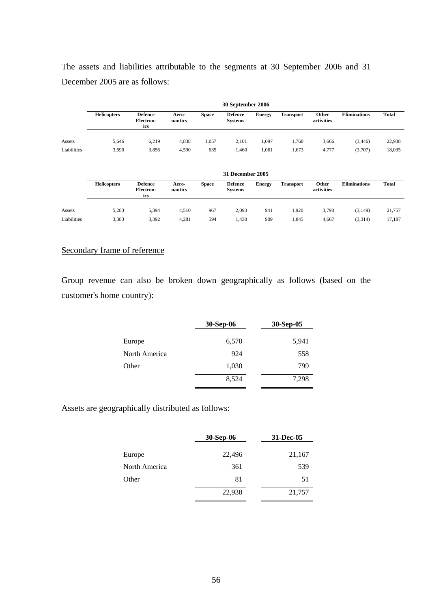The assets and liabilities attributable to the segments at 30 September 2006 and 31 December 2005 are as follows:

|             | 30 September 2006  |                                    |                  |              |                                  |               |                  |                     |                     |              |
|-------------|--------------------|------------------------------------|------------------|--------------|----------------------------------|---------------|------------------|---------------------|---------------------|--------------|
|             | <b>Helicopters</b> | <b>Defence</b><br>Electron-<br>ics | Aero-<br>nautics | <b>Space</b> | <b>Defence</b><br><b>Systems</b> | <b>Energy</b> | <b>Transport</b> | Other<br>activities | <b>Eliminations</b> | <b>Total</b> |
| Assets      | 5.646              | 6,219                              | 4,838            | 1,057        | 2.101                            | 1,097         | .760             | 3,666               | (3, 446)            | 22,938       |
| Liabilities | 3,690              | 3,856                              | 4,590            | 635          | .460                             | 1,061         | 1,673            | 4,777               | (3,707)             | 18,035       |

|             | 31 December 2005   |                                           |                  |              |                                  |               |                  |                     |                     |              |
|-------------|--------------------|-------------------------------------------|------------------|--------------|----------------------------------|---------------|------------------|---------------------|---------------------|--------------|
|             | <b>Helicopters</b> | <b>Defence</b><br><b>Electron-</b><br>ics | Aero-<br>nautics | <b>Space</b> | <b>Defence</b><br><b>Systems</b> | <b>Energy</b> | <b>Transport</b> | Other<br>activities | <b>Eliminations</b> | <b>Total</b> |
| Assets      | 5,283              | 5,394                                     | 4,510            | 967          | 2,093                            | 941           | .920             | 3,798               | (3, 149)            | 21,757       |
| Liabilities | 3,383              | 3,392                                     | 4,281            | 594          | 1,430                            | 909           | .845             | 4,667               | (3,314)             | 17,187       |

## Secondary frame of reference

Group revenue can also be broken down geographically as follows (based on the customer's home country):

|               | 30-Sep-06 | 30-Sep-05 |
|---------------|-----------|-----------|
| Europe        | 6,570     | 5,941     |
| North America | 924       | 558       |
| Other         | 1,030     | 799       |
|               | 8,524     | 7,298     |

Assets are geographically distributed as follows:

|               | 30-Sep-06 | 31-Dec-05 |
|---------------|-----------|-----------|
| Europe        | 22,496    | 21,167    |
| North America | 361       | 539       |
| Other         | 81        | 51        |
|               | 22,938    | 21,757    |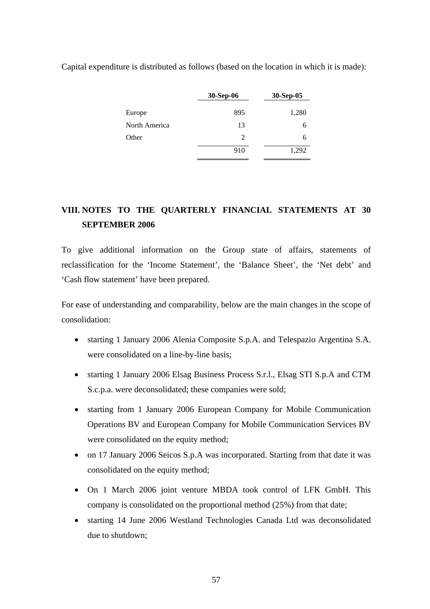Capital expenditure is distributed as follows (based on the location in which it is made):

| 30-Sep-06 | 30-Sep-05 |
|-----------|-----------|
| 895       | 1,280     |
| 13        | 6         |
| 2         | 6         |
| 910       | 1,292     |
|           |           |

# **VIII. NOTES TO THE QUARTERLY FINANCIAL STATEMENTS AT 30 SEPTEMBER 2006**

To give additional information on the Group state of affairs, statements of reclassification for the 'Income Statement', the 'Balance Sheet', the 'Net debt' and 'Cash flow statement' have been prepared.

For ease of understanding and comparability, below are the main changes in the scope of consolidation:

- starting 1 January 2006 Alenia Composite S.p.A. and Telespazio Argentina S.A. were consolidated on a line-by-line basis;
- starting 1 January 2006 Elsag Business Process S.r.l., Elsag STI S.p.A and CTM S.c.p.a. were deconsolidated; these companies were sold;
- starting from 1 January 2006 European Company for Mobile Communication Operations BV and European Company for Mobile Communication Services BV were consolidated on the equity method;
- on 17 January 2006 Seicos S.p.A was incorporated. Starting from that date it was consolidated on the equity method;
- On 1 March 2006 joint venture MBDA took control of LFK GmbH. This company is consolidated on the proportional method (25%) from that date;
- starting 14 June 2006 Westland Technologies Canada Ltd was deconsolidated due to shutdown;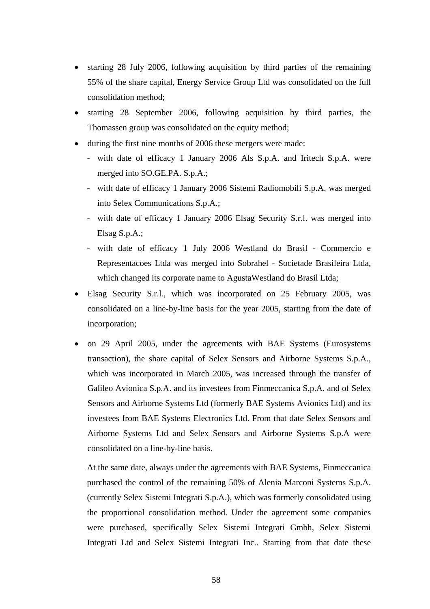- starting 28 July 2006, following acquisition by third parties of the remaining 55% of the share capital, Energy Service Group Ltd was consolidated on the full consolidation method;
- starting 28 September 2006, following acquisition by third parties, the Thomassen group was consolidated on the equity method;
- during the first nine months of 2006 these mergers were made:
	- with date of efficacy 1 January 2006 Als S.p.A. and Iritech S.p.A. were merged into SO.GE.PA. S.p.A.;
	- with date of efficacy 1 January 2006 Sistemi Radiomobili S.p.A. was merged into Selex Communications S.p.A.;
	- with date of efficacy 1 January 2006 Elsag Security S.r.l. was merged into Elsag S.p.A.;
	- with date of efficacy 1 July 2006 Westland do Brasil Commercio e Representacoes Ltda was merged into Sobrahel - Societade Brasileira Ltda, which changed its corporate name to AgustaWestland do Brasil Ltda;
- Elsag Security S.r.l., which was incorporated on 25 February 2005, was consolidated on a line-by-line basis for the year 2005, starting from the date of incorporation;
- on 29 April 2005, under the agreements with BAE Systems (Eurosystems transaction), the share capital of Selex Sensors and Airborne Systems S.p.A., which was incorporated in March 2005, was increased through the transfer of Galileo Avionica S.p.A. and its investees from Finmeccanica S.p.A. and of Selex Sensors and Airborne Systems Ltd (formerly BAE Systems Avionics Ltd) and its investees from BAE Systems Electronics Ltd. From that date Selex Sensors and Airborne Systems Ltd and Selex Sensors and Airborne Systems S.p.A were consolidated on a line-by-line basis.

At the same date, always under the agreements with BAE Systems, Finmeccanica purchased the control of the remaining 50% of Alenia Marconi Systems S.p.A. (currently Selex Sistemi Integrati S.p.A.), which was formerly consolidated using the proportional consolidation method. Under the agreement some companies were purchased, specifically Selex Sistemi Integrati Gmbh, Selex Sistemi Integrati Ltd and Selex Sistemi Integrati Inc.. Starting from that date these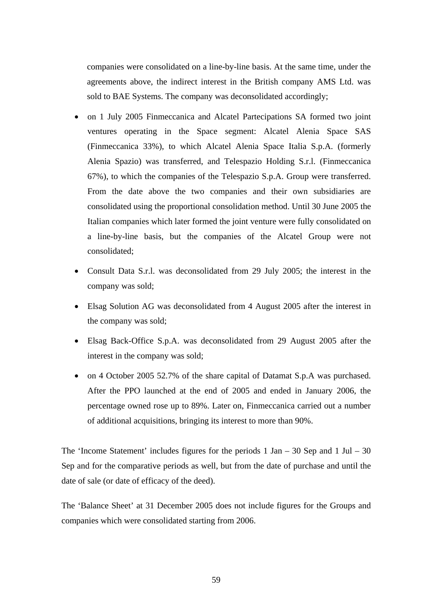companies were consolidated on a line-by-line basis. At the same time, under the agreements above, the indirect interest in the British company AMS Ltd. was sold to BAE Systems. The company was deconsolidated accordingly;

- on 1 July 2005 Finmeccanica and Alcatel Partecipations SA formed two joint ventures operating in the Space segment: Alcatel Alenia Space SAS (Finmeccanica 33%), to which Alcatel Alenia Space Italia S.p.A. (formerly Alenia Spazio) was transferred, and Telespazio Holding S.r.l. (Finmeccanica 67%), to which the companies of the Telespazio S.p.A. Group were transferred. From the date above the two companies and their own subsidiaries are consolidated using the proportional consolidation method. Until 30 June 2005 the Italian companies which later formed the joint venture were fully consolidated on a line-by-line basis, but the companies of the Alcatel Group were not consolidated;
- Consult Data S.r.l. was deconsolidated from 29 July 2005; the interest in the company was sold;
- Elsag Solution AG was deconsolidated from 4 August 2005 after the interest in the company was sold;
- Elsag Back-Office S.p.A. was deconsolidated from 29 August 2005 after the interest in the company was sold;
- on 4 October 2005 52.7% of the share capital of Datamat S.p.A was purchased. After the PPO launched at the end of 2005 and ended in January 2006, the percentage owned rose up to 89%. Later on, Finmeccanica carried out a number of additional acquisitions, bringing its interest to more than 90%.

The 'Income Statement' includes figures for the periods  $1 \text{ Jan} - 30 \text{ Sep}$  and  $1 \text{ Jul} - 30$ Sep and for the comparative periods as well, but from the date of purchase and until the date of sale (or date of efficacy of the deed).

The 'Balance Sheet' at 31 December 2005 does not include figures for the Groups and companies which were consolidated starting from 2006.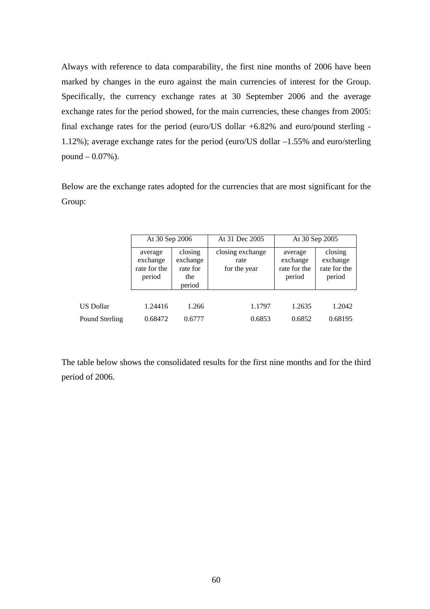Always with reference to data comparability, the first nine months of 2006 have been marked by changes in the euro against the main currencies of interest for the Group. Specifically, the currency exchange rates at 30 September 2006 and the average exchange rates for the period showed, for the main currencies, these changes from 2005: final exchange rates for the period (euro/US dollar +6.82% and euro/pound sterling - 1.12%); average exchange rates for the period (euro/US dollar –1.55% and euro/sterling pound – 0.07%).

Below are the exchange rates adopted for the currencies that are most significant for the Group:

|                  | At 30 Sep 2006                                |                                                  | At 31 Dec 2005                           | At 30 Sep 2005                                |                                               |
|------------------|-----------------------------------------------|--------------------------------------------------|------------------------------------------|-----------------------------------------------|-----------------------------------------------|
|                  | average<br>exchange<br>rate for the<br>period | closing<br>exchange<br>rate for<br>the<br>period | closing exchange<br>rate<br>for the year | average<br>exchange<br>rate for the<br>period | closing<br>exchange<br>rate for the<br>period |
|                  |                                               |                                                  |                                          |                                               |                                               |
| <b>US Dollar</b> | 1.24416                                       | 1.266                                            | 1.1797                                   | 1.2635                                        | 1.2042                                        |
| Pound Sterling   | 0.68472                                       | 0.6777                                           | 0.6853                                   | 0.6852                                        | 0.68195                                       |

The table below shows the consolidated results for the first nine months and for the third period of 2006.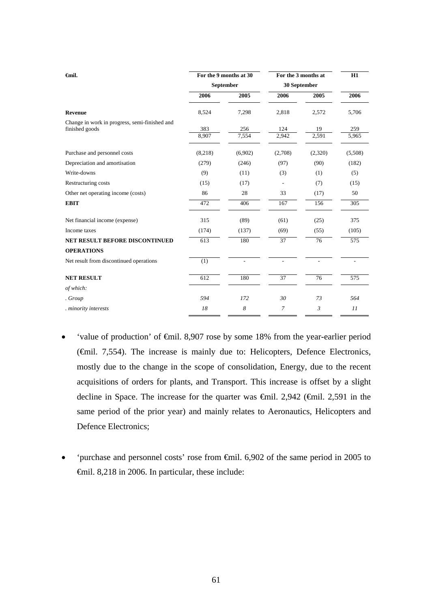| <b>€mil.</b>                                  | For the 9 months at 30 |           | For the 3 months at |             | H1           |
|-----------------------------------------------|------------------------|-----------|---------------------|-------------|--------------|
|                                               |                        | September | 30 September        |             |              |
|                                               | 2006                   | 2005      | 2006                | 2005        | 2006         |
| Revenue                                       | 8,524                  | 7,298     | 2,818               | 2,572       | 5,706        |
| Change in work in progress, semi-finished and |                        | 256       |                     |             |              |
| finished goods                                | 383<br>8,907           | 7,554     | 124<br>2,942        | 19<br>2,591 | 259<br>5,965 |
| Purchase and personnel costs                  | (8,218)                | (6,902)   | (2,708)             | (2,320)     | (5,508)      |
| Depreciation and amortisation                 | (279)                  | (246)     | (97)                | (90)        | (182)        |
| Write-downs                                   | (9)                    | (11)      | (3)                 | (1)         | (5)          |
| Restructuring costs                           | (15)                   | (17)      |                     | (7)         | (15)         |
| Other net operating income (costs)            | 86                     | 28        | 33                  | (17)        | 50           |
| <b>EBIT</b>                                   | 472                    | 406       | 167                 | 156         | 305          |
| Net financial income (expense)                | 315                    | (89)      | (61)                | (25)        | 375          |
| Income taxes                                  | (174)                  | (137)     | (69)                | (55)        | (105)        |
| NET RESULT BEFORE DISCONTINUED                | 613                    | 180       | 37                  | 76          | 575          |
| <b>OPERATIONS</b>                             |                        |           |                     |             |              |
| Net result from discontinued operations       | (1)                    |           |                     |             |              |
| <b>NET RESULT</b>                             | 612                    | 180       | 37                  | 76          | 575          |
| of which:                                     |                        |           |                     |             |              |
| . Group                                       | 594                    | 172       | 30                  | 73          | 564          |
| . minority interests                          | 18                     | 8         | 7                   | 3           | 11           |

- 'value of production' of €mil. 8,907 rose by some 18% from the year-earlier period (€mil. 7,554). The increase is mainly due to: Helicopters, Defence Electronics, mostly due to the change in the scope of consolidation, Energy, due to the recent acquisitions of orders for plants, and Transport. This increase is offset by a slight decline in Space. The increase for the quarter was €mil. 2,942 (€mil. 2,591 in the same period of the prior year) and mainly relates to Aeronautics, Helicopters and Defence Electronics;
- 'purchase and personnel costs' rose from €mil. 6,902 of the same period in 2005 to €mil. 8,218 in 2006. In particular, these include: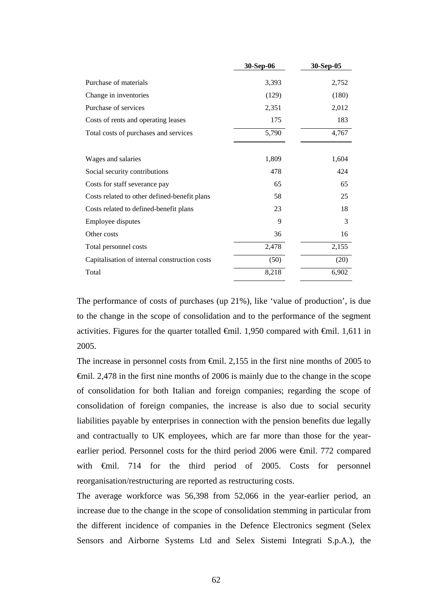|                                               | 30-Sep-06 | 30-Sep-05 |
|-----------------------------------------------|-----------|-----------|
| Purchase of materials                         | 3,393     | 2,752     |
| Change in inventories                         | (129)     | (180)     |
| Purchase of services                          | 2,351     | 2,012     |
| Costs of rents and operating leases           | 175       | 183       |
| Total costs of purchases and services         | 5,790     | 4,767     |
|                                               |           |           |
| Wages and salaries                            | 1,809     | 1,604     |
| Social security contributions                 | 478       | 424       |
| Costs for staff severance pay                 | 65        | 65        |
| Costs related to other defined-benefit plans  | 58        | 25        |
| Costs related to defined-benefit plans        | 23        | 18        |
| Employee disputes                             | 9         | 3         |
| Other costs                                   | 36        | 16        |
| Total personnel costs                         | 2,478     | 2,155     |
| Capitalisation of internal construction costs | (50)      | (20)      |
| Total                                         | 8,218     | 6,902     |
|                                               |           |           |

 The performance of costs of purchases (up 21%), like 'value of production', is due to the change in the scope of consolidation and to the performance of the segment activities. Figures for the quarter totalled  $\epsilon$ mil. 1,950 compared with  $\epsilon$ mil. 1,611 in 2005.

The increase in personnel costs from €mil. 2,155 in the first nine months of 2005 to €mil. 2,478 in the first nine months of 2006 is mainly due to the change in the scope of consolidation for both Italian and foreign companies; regarding the scope of consolidation of foreign companies, the increase is also due to social security liabilities payable by enterprises in connection with the pension benefits due legally and contractually to UK employees, which are far more than those for the yearearlier period. Personnel costs for the third period 2006 were €mil. 772 compared with €mil. 714 for the third period of 2005. Costs for personnel reorganisation/restructuring are reported as restructuring costs.

The average workforce was 56,398 from 52,066 in the year-earlier period, an increase due to the change in the scope of consolidation stemming in particular from the different incidence of companies in the Defence Electronics segment (Selex Sensors and Airborne Systems Ltd and Selex Sistemi Integrati S.p.A.), the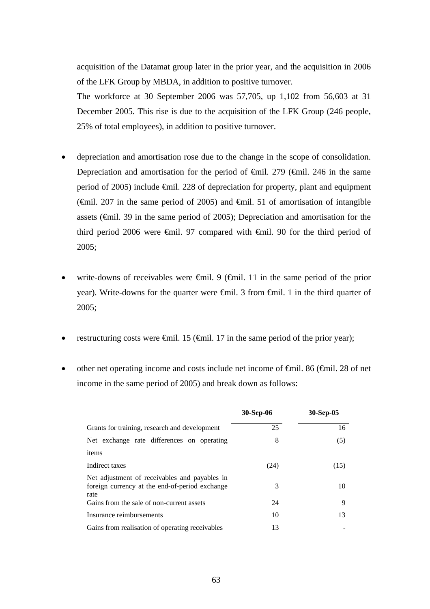acquisition of the Datamat group later in the prior year, and the acquisition in 2006 of the LFK Group by MBDA, in addition to positive turnover.

The workforce at 30 September 2006 was 57,705, up 1,102 from 56,603 at 31 December 2005. This rise is due to the acquisition of the LFK Group (246 people, 25% of total employees), in addition to positive turnover.

- depreciation and amortisation rose due to the change in the scope of consolidation. Depreciation and amortisation for the period of  $\epsilon$ mil. 279 ( $\epsilon$ mil. 246 in the same period of 2005) include €mil. 228 of depreciation for property, plant and equipment ( $\epsilon$ mil. 207 in the same period of 2005) and  $\epsilon$ mil. 51 of amortisation of intangible assets (€mil. 39 in the same period of 2005); Depreciation and amortisation for the third period 2006 were €mil. 97 compared with €mil. 90 for the third period of 2005;
- write-downs of receivables were  $\oplus$ mil. 9 ( $\oplus$ mil. 11 in the same period of the prior year). Write-downs for the quarter were €mil. 3 from €mil. 1 in the third quarter of 2005;
- restructuring costs were  $\epsilon$ mil. 15 ( $\epsilon$ mil. 17 in the same period of the prior year);
- other net operating income and costs include net income of €mil. 86 (€mil. 28 of net income in the same period of 2005) and break down as follows:

|                                                                                                         | 30-Sep-06 | 30-Sep-05 |
|---------------------------------------------------------------------------------------------------------|-----------|-----------|
| Grants for training, research and development                                                           | 25        | 16        |
| Net exchange rate differences on operating                                                              | 8         | (5)       |
| items                                                                                                   |           |           |
| Indirect taxes                                                                                          | (24)      | (15)      |
| Net adjustment of receivables and payables in<br>foreign currency at the end-of-period exchange<br>rate | 3         | 10        |
| Gains from the sale of non-current assets                                                               | 24        | 9         |
| Insurance reimbursements                                                                                | 10        | 13        |
| Gains from realisation of operating receivables                                                         | 13        |           |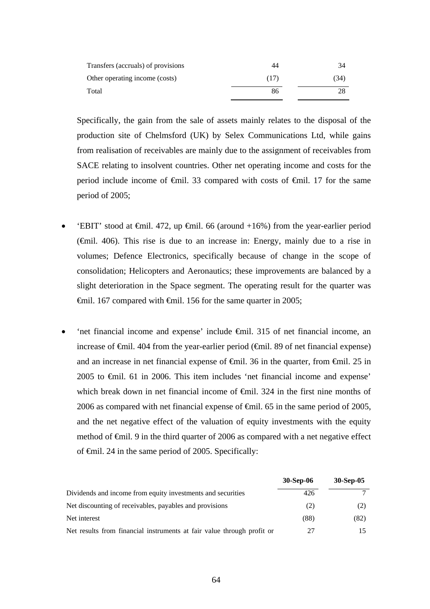| Transfers (accruals) of provisions | 44   | 34   |
|------------------------------------|------|------|
| Other operating income (costs)     | (17) | (34) |
| Total                              | 86   | 28   |

Specifically, the gain from the sale of assets mainly relates to the disposal of the production site of Chelmsford (UK) by Selex Communications Ltd, while gains from realisation of receivables are mainly due to the assignment of receivables from SACE relating to insolvent countries. Other net operating income and costs for the period include income of €mil. 33 compared with costs of €mil. 17 for the same period of 2005;

- 'EBIT' stood at  $\epsilon$ mil. 472, up  $\epsilon$ mil. 66 (around +16%) from the year-earlier period (€mil. 406). This rise is due to an increase in: Energy, mainly due to a rise in volumes; Defence Electronics, specifically because of change in the scope of consolidation; Helicopters and Aeronautics; these improvements are balanced by a slight deterioration in the Space segment. The operating result for the quarter was €mil. 167 compared with €mil. 156 for the same quarter in 2005;
- 'net financial income and expense' include €mil. 315 of net financial income, an increase of €mil. 404 from the year-earlier period (€mil. 89 of net financial expense) and an increase in net financial expense of €mil. 36 in the quarter, from €mil. 25 in 2005 to €mil. 61 in 2006. This item includes 'net financial income and expense' which break down in net financial income of  $\theta$ mil. 324 in the first nine months of 2006 as compared with net financial expense of €mil. 65 in the same period of 2005, and the net negative effect of the valuation of equity investments with the equity method of €mil. 9 in the third quarter of 2006 as compared with a net negative effect of €mil. 24 in the same period of 2005. Specifically:

|                                                                        | <b>30-Sep-06</b> | 30-Sep-05 |
|------------------------------------------------------------------------|------------------|-----------|
| Dividends and income from equity investments and securities            | 426              |           |
| Net discounting of receivables, payables and provisions                | (2)              | (2)       |
| Net interest                                                           | (88)             | (82)      |
| Net results from financial instruments at fair value through profit or | 27               |           |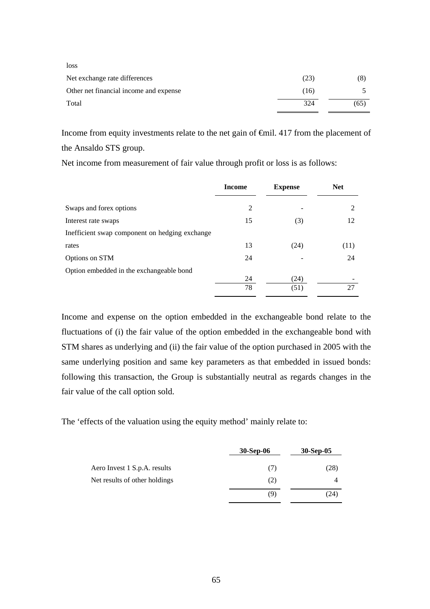| loss                                   |      |      |
|----------------------------------------|------|------|
| Net exchange rate differences          | (23) | (8)  |
| Other net financial income and expense | (16) |      |
| Total                                  | 324  | (65) |

Income from equity investments relate to the net gain of €mil. 417 from the placement of the Ansaldo STS group.

Net income from measurement of fair value through profit or loss is as follows:

|                                                | <b>Income</b> | <b>Expense</b> | <b>Net</b> |
|------------------------------------------------|---------------|----------------|------------|
| Swaps and forex options                        | 2             |                | 2          |
| Interest rate swaps                            | 15            | (3)            | 12         |
| Inefficient swap component on hedging exchange |               |                |            |
| rates                                          | 13            | (24)           | (11)       |
| Options on STM                                 | 24            |                | 24         |
| Option embedded in the exchangeable bond       |               |                |            |
|                                                | 24            | (24)           |            |
|                                                | 78            | (51)           | 27         |

Income and expense on the option embedded in the exchangeable bond relate to the fluctuations of (i) the fair value of the option embedded in the exchangeable bond with STM shares as underlying and (ii) the fair value of the option purchased in 2005 with the same underlying position and same key parameters as that embedded in issued bonds: following this transaction, the Group is substantially neutral as regards changes in the fair value of the call option sold.

The 'effects of the valuation using the equity method' mainly relate to:

|                               | <b>30-Sep-06</b> | 30-Sep-05 |
|-------------------------------|------------------|-----------|
| Aero Invest 1 S.p.A. results  | (7)              | (28)      |
| Net results of other holdings | (2)              |           |
|                               | (9)              | (24)      |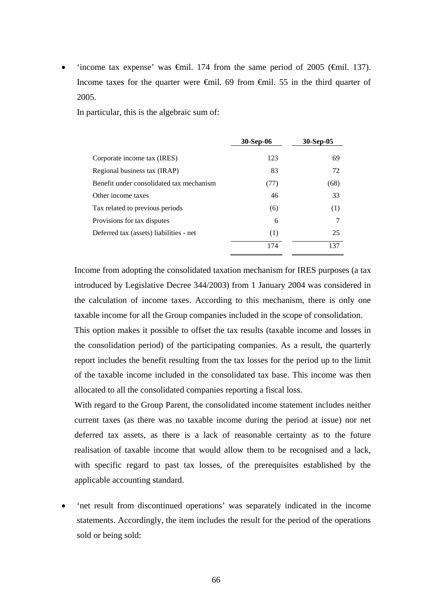'income tax expense' was  $\epsilon$ mil. 174 from the same period of 2005 ( $\epsilon$ mil. 137). Income taxes for the quarter were €mil. 69 from €mil. 55 in the third quarter of 2005.

In particular, this is the algebraic sum of:

|                                          | 30-Sep-06 | 30-Sep-05 |
|------------------------------------------|-----------|-----------|
| Corporate income tax (IRES)              | 123       | 69        |
| Regional business tax (IRAP)             | 83        | 72        |
| Benefit under consolidated tax mechanism | (77)      | (68)      |
| Other income taxes                       | 46        | 33        |
| Tax related to previous periods          | (6)       | (1)       |
| Provisions for tax disputes              | 6         | 7         |
| Deferred tax (assets) liabilities - net  | (1)       | 25        |
|                                          | 174       | 137       |

Income from adopting the consolidated taxation mechanism for IRES purposes (a tax introduced by Legislative Decree 344/2003) from 1 January 2004 was considered in the calculation of income taxes. According to this mechanism, there is only one taxable income for all the Group companies included in the scope of consolidation.

This option makes it possible to offset the tax results (taxable income and losses in the consolidation period) of the participating companies. As a result, the quarterly report includes the benefit resulting from the tax losses for the period up to the limit of the taxable income included in the consolidated tax base. This income was then allocated to all the consolidated companies reporting a fiscal loss.

With regard to the Group Parent, the consolidated income statement includes neither current taxes (as there was no taxable income during the period at issue) nor net deferred tax assets, as there is a lack of reasonable certainty as to the future realisation of taxable income that would allow them to be recognised and a lack, with specific regard to past tax losses, of the prerequisites established by the applicable accounting standard.

• 'net result from discontinued operations' was separately indicated in the income statements. Accordingly, the item includes the result for the period of the operations sold or being sold: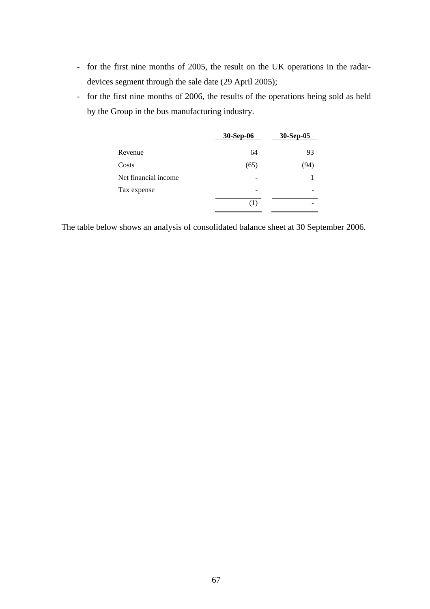- for the first nine months of 2005, the result on the UK operations in the radardevices segment through the sale date (29 April 2005);
- for the first nine months of 2006, the results of the operations being sold as held by the Group in the bus manufacturing industry.

|                      | 30-Sep-06 | 30-Sep-05 |
|----------------------|-----------|-----------|
| Revenue              | 64        | 93        |
| Costs                | (65)      | (94)      |
| Net financial income |           |           |
| Tax expense          |           |           |
|                      | (1)       |           |

The table below shows an analysis of consolidated balance sheet at 30 September 2006.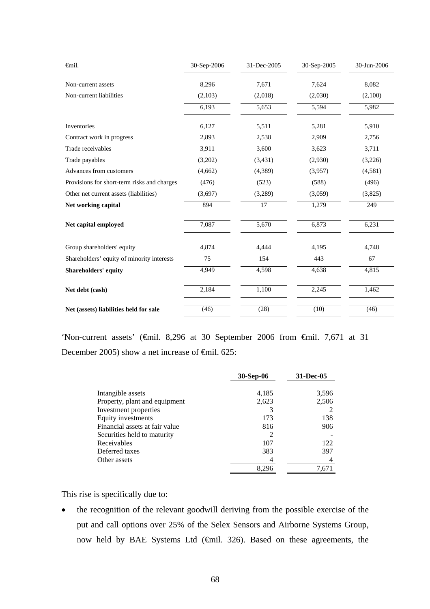| finil.                                      | 30-Sep-2006 | 31-Dec-2005 | 30-Sep-2005 | 30-Jun-2006 |
|---------------------------------------------|-------------|-------------|-------------|-------------|
| Non-current assets                          | 8,296       | 7,671       | 7,624       | 8,082       |
| Non-current liabilities                     | (2,103)     | (2,018)     | (2,030)     | (2,100)     |
|                                             | 6,193       | 5,653       | 5,594       | 5,982       |
| Inventories                                 | 6,127       | 5,511       | 5,281       | 5,910       |
| Contract work in progress                   | 2,893       | 2,538       | 2,909       | 2,756       |
| Trade receivables                           | 3,911       | 3,600       | 3,623       | 3,711       |
| Trade payables                              | (3,202)     | (3,431)     | (2,930)     | (3,226)     |
| Advances from customers                     | (4,662)     | (4,389)     | (3,957)     | (4,581)     |
| Provisions for short-term risks and charges | (476)       | (523)       | (588)       | (496)       |
| Other net current assets (liabilities)      | (3,697)     | (3,289)     | (3,059)     | (3,825)     |
| Net working capital                         | 894         | 17          | 1,279       | 249         |
| Net capital employed                        | 7,087       | 5,670       | 6,873       | 6,231       |
| Group shareholders' equity                  | 4,874       | 4,444       | 4,195       | 4,748       |
| Shareholders' equity of minority interests  | 75          | 154         | 443         | 67          |
| <b>Shareholders' equity</b>                 | 4,949       | 4,598       | 4,638       | 4,815       |
| Net debt (cash)                             | 2,184       | 1,100       | 2,245       | 1,462       |
| Net (assets) liabilities held for sale      | (46)        | (28)        | (10)        | (46)        |

'Non-current assets' (€mil. 8,296 at 30 September 2006 from €mil. 7,671 at 31 December 2005) show a net increase of <del>€</del>mil. 625:

|                                | 30-Sep-06 | 31-Dec-05 |
|--------------------------------|-----------|-----------|
| Intangible assets              | 4,185     | 3,596     |
| Property, plant and equipment  | 2,623     | 2,506     |
| Investment properties          |           |           |
| Equity investments             | 173       | 138       |
| Financial assets at fair value | 816       | 906       |
| Securities held to maturity    | 2         |           |
| Receivables                    | 107       | 122       |
| Deferred taxes                 | 383       | 397       |
| Other assets                   |           |           |
|                                | 8,296     | 7,671     |

This rise is specifically due to:

• the recognition of the relevant goodwill deriving from the possible exercise of the put and call options over 25% of the Selex Sensors and Airborne Systems Group, now held by BAE Systems Ltd (€mil. 326). Based on these agreements, the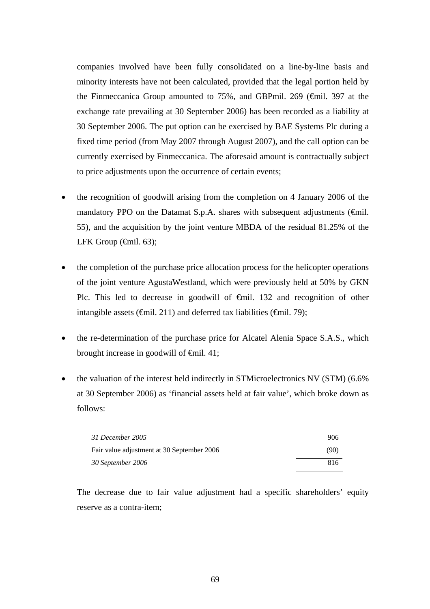companies involved have been fully consolidated on a line-by-line basis and minority interests have not been calculated, provided that the legal portion held by the Finmeccanica Group amounted to 75%, and GBPmil. 269 (€mil. 397 at the exchange rate prevailing at 30 September 2006) has been recorded as a liability at 30 September 2006. The put option can be exercised by BAE Systems Plc during a fixed time period (from May 2007 through August 2007), and the call option can be currently exercised by Finmeccanica. The aforesaid amount is contractually subject to price adjustments upon the occurrence of certain events;

- the recognition of goodwill arising from the completion on 4 January 2006 of the mandatory PPO on the Datamat S.p.A. shares with subsequent adjustments ( $\epsilon$ mil. 55), and the acquisition by the joint venture MBDA of the residual 81.25% of the LFK Group  $(\text{6cm} 1.63)$ ;
- the completion of the purchase price allocation process for the helicopter operations of the joint venture AgustaWestland, which were previously held at 50% by GKN Plc. This led to decrease in goodwill of <del>€mil</del>. 132 and recognition of other intangible assets ( $\oplus$ mil. 211) and deferred tax liabilities ( $\oplus$ mil. 79);
- the re-determination of the purchase price for Alcatel Alenia Space S.A.S., which brought increase in goodwill of  $\epsilon$ mil. 41;
- the valuation of the interest held indirectly in STMicroelectronics NV (STM) (6.6% at 30 September 2006) as 'financial assets held at fair value', which broke down as follows:

| 31 December 2005                           | 906  |
|--------------------------------------------|------|
| Fair value adjustment at 30 September 2006 | (90) |
| 30 September 2006                          | 816  |

The decrease due to fair value adjustment had a specific shareholders' equity reserve as a contra-item;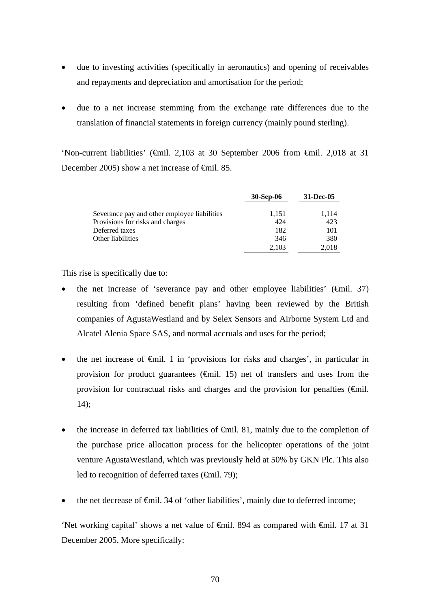- due to investing activities (specifically in aeronautics) and opening of receivables and repayments and depreciation and amortisation for the period;
- due to a net increase stemming from the exchange rate differences due to the translation of financial statements in foreign currency (mainly pound sterling).

'Non-current liabilities' (€mil. 2,103 at 30 September 2006 from €mil. 2,018 at 31 December 2005) show a net increase of <del>€</del>mil. 85.

|                                              | <b>30-Sep-06</b> | 31-Dec-05 |
|----------------------------------------------|------------------|-----------|
| Severance pay and other employee liabilities | 1,151            | 1,114     |
| Provisions for risks and charges             | 424              | 423       |
| Deferred taxes                               | 182              | 101       |
| Other liabilities                            | 346              | 380       |
|                                              | 2.103            | 2.018     |

This rise is specifically due to:

- the net increase of 'severance pay and other employee liabilities'  $(\text{fmil. } 37)$ resulting from 'defined benefit plans' having been reviewed by the British companies of AgustaWestland and by Selex Sensors and Airborne System Ltd and Alcatel Alenia Space SAS, and normal accruals and uses for the period;
- the net increase of  $\epsilon$ mil. 1 in 'provisions for risks and charges', in particular in provision for product guarantees  $(\text{Gmil. 15})$  net of transfers and uses from the provision for contractual risks and charges and the provision for penalties  $(\theta$ mil. 14);
- the increase in deferred tax liabilities of  $\oplus$ mil. 81, mainly due to the completion of the purchase price allocation process for the helicopter operations of the joint venture AgustaWestland, which was previously held at 50% by GKN Plc. This also led to recognition of deferred taxes  $(\text{fmil. 79})$ ;
- the net decrease of  $\epsilon$ mil. 34 of 'other liabilities', mainly due to deferred income;

'Net working capital' shows a net value of €mil. 894 as compared with €mil. 17 at 31 December 2005. More specifically: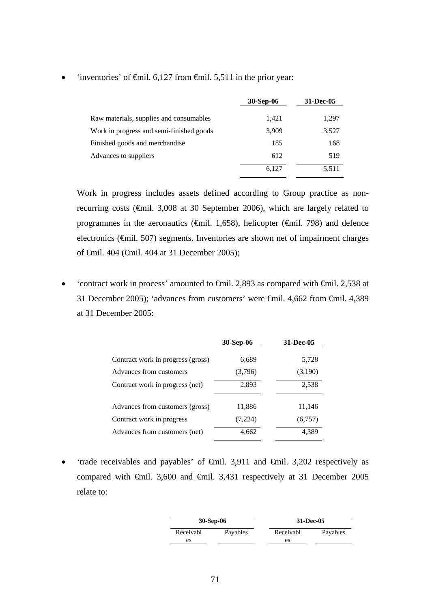|                                          | <b>30-Sep-06</b> | 31-Dec-05 |
|------------------------------------------|------------------|-----------|
| Raw materials, supplies and consumables  | 1,421            | 1,297     |
| Work in progress and semi-finished goods | 3.909            | 3,527     |
| Finished goods and merchandise           | 185              | 168       |
| Advances to suppliers                    | 612              | 519       |
|                                          | 6.127            | 5.511     |

'inventories' of  $\epsilon$ mil. 6,127 from  $\epsilon$ mil. 5,511 in the prior year:

 Work in progress includes assets defined according to Group practice as nonrecurring costs (€mil. 3,008 at 30 September 2006), which are largely related to programmes in the aeronautics ( $\epsilon$ mil. 1,658), helicopter ( $\epsilon$ mil. 798) and defence electronics (€mil. 507) segments. Inventories are shown net of impairment charges of €mil. 404 (€mil. 404 at 31 December 2005);

'contract work in process' amounted to  $\epsilon$ mil. 2,893 as compared with  $\epsilon$ mil. 2,538 at 31 December 2005); 'advances from customers' were €mil. 4,662 from €mil. 4,389 at 31 December 2005:

|                                   | 30-Sep-06 | 31-Dec-05 |
|-----------------------------------|-----------|-----------|
| Contract work in progress (gross) | 6,689     | 5,728     |
| Advances from customers           | (3,796)   | (3,190)   |
| Contract work in progress (net)   | 2,893     | 2,538     |
| Advances from customers (gross)   | 11,886    | 11,146    |
| Contract work in progress         | (7,224)   | (6,757)   |
| Advances from customers (net)     | 4,662     | 4,389     |
|                                   |           |           |

• 'trade receivables and payables' of  $\oplus$ mil. 3,911 and  $\oplus$ mil. 3,202 respectively as compared with €mil. 3,600 and €mil. 3,431 respectively at 31 December 2005 relate to:

|           | 30-Sep-06 |           | 31-Dec-05 |
|-----------|-----------|-----------|-----------|
| Receivabl | Payables  | Receivabl | Payables  |
| es        |           | es        |           |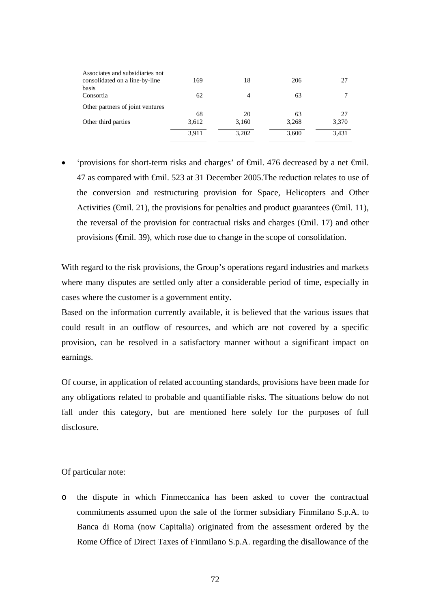| Associates and subsidiaries not<br>consolidated on a line-by-line | 169   | 18    | 206   | 27    |
|-------------------------------------------------------------------|-------|-------|-------|-------|
| basis                                                             |       |       |       |       |
| Consortia                                                         | 62    | 4     | 63    |       |
| Other partners of joint ventures                                  |       |       |       |       |
|                                                                   | 68    | 20    | 63    | 27    |
| Other third parties                                               | 3,612 | 3,160 | 3,268 | 3,370 |
|                                                                   | 3,911 | 3,202 | 3,600 | 3,431 |
|                                                                   |       |       |       |       |

• 'provisions for short-term risks and charges' of €mil. 476 decreased by a net €mil. 47 as compared with €mil. 523 at 31 December 2005.The reduction relates to use of the conversion and restructuring provision for Space, Helicopters and Other Activities ( $\epsilon$ mil. 21), the provisions for penalties and product guarantees ( $\epsilon$ mil. 11), the reversal of the provision for contractual risks and charges ( $\epsilon$ mil. 17) and other provisions (€mil. 39), which rose due to change in the scope of consolidation.

With regard to the risk provisions, the Group's operations regard industries and markets where many disputes are settled only after a considerable period of time, especially in cases where the customer is a government entity.

Based on the information currently available, it is believed that the various issues that could result in an outflow of resources, and which are not covered by a specific provision, can be resolved in a satisfactory manner without a significant impact on earnings.

Of course, in application of related accounting standards, provisions have been made for any obligations related to probable and quantifiable risks. The situations below do not fall under this category, but are mentioned here solely for the purposes of full disclosure.

Of particular note:

o the dispute in which Finmeccanica has been asked to cover the contractual commitments assumed upon the sale of the former subsidiary Finmilano S.p.A. to Banca di Roma (now Capitalia) originated from the assessment ordered by the Rome Office of Direct Taxes of Finmilano S.p.A. regarding the disallowance of the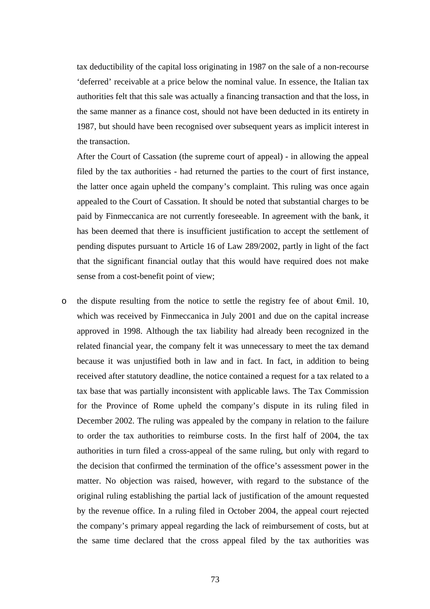tax deductibility of the capital loss originating in 1987 on the sale of a non-recourse 'deferred' receivable at a price below the nominal value. In essence, the Italian tax authorities felt that this sale was actually a financing transaction and that the loss, in the same manner as a finance cost, should not have been deducted in its entirety in 1987, but should have been recognised over subsequent years as implicit interest in the transaction.

 After the Court of Cassation (the supreme court of appeal) - in allowing the appeal filed by the tax authorities - had returned the parties to the court of first instance, the latter once again upheld the company's complaint. This ruling was once again appealed to the Court of Cassation. It should be noted that substantial charges to be paid by Finmeccanica are not currently foreseeable. In agreement with the bank, it has been deemed that there is insufficient justification to accept the settlement of pending disputes pursuant to Article 16 of Law 289/2002, partly in light of the fact that the significant financial outlay that this would have required does not make sense from a cost-benefit point of view;

o the dispute resulting from the notice to settle the registry fee of about  $\epsilon$ mil. 10, which was received by Finmeccanica in July 2001 and due on the capital increase approved in 1998. Although the tax liability had already been recognized in the related financial year, the company felt it was unnecessary to meet the tax demand because it was unjustified both in law and in fact. In fact, in addition to being received after statutory deadline, the notice contained a request for a tax related to a tax base that was partially inconsistent with applicable laws. The Tax Commission for the Province of Rome upheld the company's dispute in its ruling filed in December 2002. The ruling was appealed by the company in relation to the failure to order the tax authorities to reimburse costs. In the first half of 2004, the tax authorities in turn filed a cross-appeal of the same ruling, but only with regard to the decision that confirmed the termination of the office's assessment power in the matter. No objection was raised, however, with regard to the substance of the original ruling establishing the partial lack of justification of the amount requested by the revenue office. In a ruling filed in October 2004, the appeal court rejected the company's primary appeal regarding the lack of reimbursement of costs, but at the same time declared that the cross appeal filed by the tax authorities was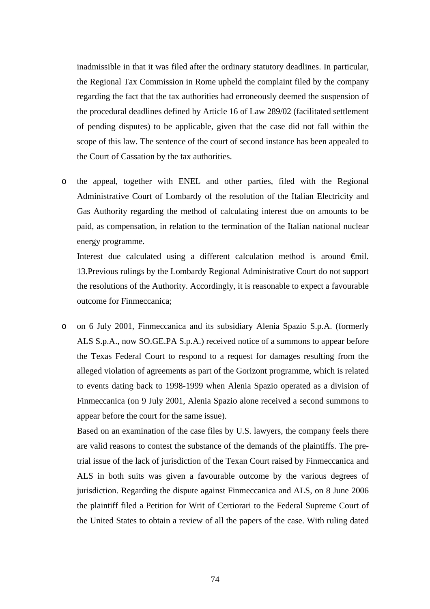inadmissible in that it was filed after the ordinary statutory deadlines. In particular, the Regional Tax Commission in Rome upheld the complaint filed by the company regarding the fact that the tax authorities had erroneously deemed the suspension of the procedural deadlines defined by Article 16 of Law 289/02 (facilitated settlement of pending disputes) to be applicable, given that the case did not fall within the scope of this law. The sentence of the court of second instance has been appealed to the Court of Cassation by the tax authorities.

o the appeal, together with ENEL and other parties, filed with the Regional Administrative Court of Lombardy of the resolution of the Italian Electricity and Gas Authority regarding the method of calculating interest due on amounts to be paid, as compensation, in relation to the termination of the Italian national nuclear energy programme.

 Interest due calculated using a different calculation method is around €mil. 13.Previous rulings by the Lombardy Regional Administrative Court do not support the resolutions of the Authority. Accordingly, it is reasonable to expect a favourable outcome for Finmeccanica;

o on 6 July 2001, Finmeccanica and its subsidiary Alenia Spazio S.p.A. (formerly ALS S.p.A., now SO.GE.PA S.p.A.) received notice of a summons to appear before the Texas Federal Court to respond to a request for damages resulting from the alleged violation of agreements as part of the Gorizont programme, which is related to events dating back to 1998-1999 when Alenia Spazio operated as a division of Finmeccanica (on 9 July 2001, Alenia Spazio alone received a second summons to appear before the court for the same issue).

 Based on an examination of the case files by U.S. lawyers, the company feels there are valid reasons to contest the substance of the demands of the plaintiffs. The pretrial issue of the lack of jurisdiction of the Texan Court raised by Finmeccanica and ALS in both suits was given a favourable outcome by the various degrees of jurisdiction. Regarding the dispute against Finmeccanica and ALS, on 8 June 2006 the plaintiff filed a Petition for Writ of Certiorari to the Federal Supreme Court of the United States to obtain a review of all the papers of the case. With ruling dated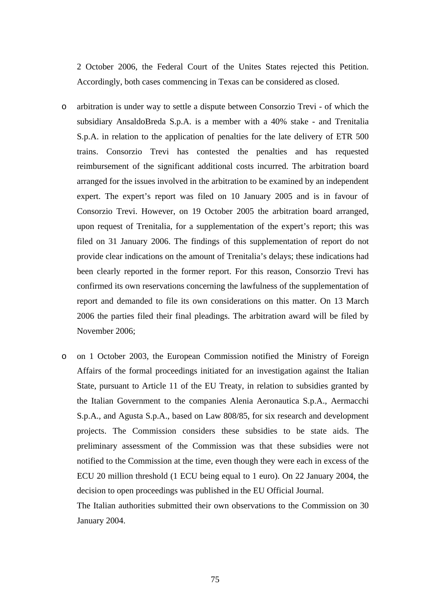2 October 2006, the Federal Court of the Unites States rejected this Petition. Accordingly, both cases commencing in Texas can be considered as closed.

- o arbitration is under way to settle a dispute between Consorzio Trevi of which the subsidiary AnsaldoBreda S.p.A. is a member with a 40% stake - and Trenitalia S.p.A. in relation to the application of penalties for the late delivery of ETR 500 trains. Consorzio Trevi has contested the penalties and has requested reimbursement of the significant additional costs incurred. The arbitration board arranged for the issues involved in the arbitration to be examined by an independent expert. The expert's report was filed on 10 January 2005 and is in favour of Consorzio Trevi. However, on 19 October 2005 the arbitration board arranged, upon request of Trenitalia, for a supplementation of the expert's report; this was filed on 31 January 2006. The findings of this supplementation of report do not provide clear indications on the amount of Trenitalia's delays; these indications had been clearly reported in the former report. For this reason, Consorzio Trevi has confirmed its own reservations concerning the lawfulness of the supplementation of report and demanded to file its own considerations on this matter. On 13 March 2006 the parties filed their final pleadings. The arbitration award will be filed by November 2006;
- o on 1 October 2003, the European Commission notified the Ministry of Foreign Affairs of the formal proceedings initiated for an investigation against the Italian State, pursuant to Article 11 of the EU Treaty, in relation to subsidies granted by the Italian Government to the companies Alenia Aeronautica S.p.A., Aermacchi S.p.A., and Agusta S.p.A., based on Law 808/85, for six research and development projects. The Commission considers these subsidies to be state aids. The preliminary assessment of the Commission was that these subsidies were not notified to the Commission at the time, even though they were each in excess of the ECU 20 million threshold (1 ECU being equal to 1 euro). On 22 January 2004, the decision to open proceedings was published in the EU Official Journal.

 The Italian authorities submitted their own observations to the Commission on 30 January 2004.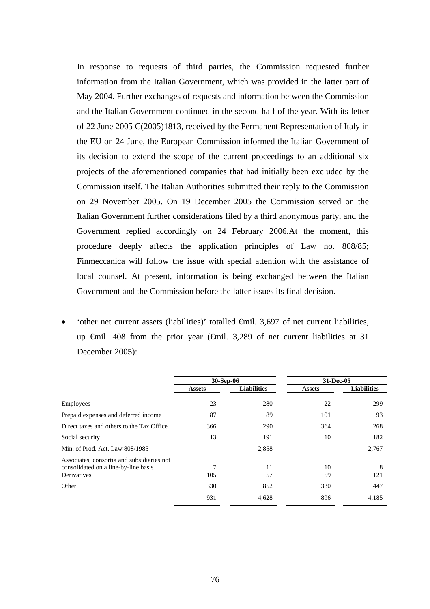In response to requests of third parties, the Commission requested further information from the Italian Government, which was provided in the latter part of May 2004. Further exchanges of requests and information between the Commission and the Italian Government continued in the second half of the year. With its letter of 22 June 2005 C(2005)1813, received by the Permanent Representation of Italy in the EU on 24 June, the European Commission informed the Italian Government of its decision to extend the scope of the current proceedings to an additional six projects of the aforementioned companies that had initially been excluded by the Commission itself. The Italian Authorities submitted their reply to the Commission on 29 November 2005. On 19 December 2005 the Commission served on the Italian Government further considerations filed by a third anonymous party, and the Government replied accordingly on 24 February 2006.At the moment, this procedure deeply affects the application principles of Law no. 808/85; Finmeccanica will follow the issue with special attention with the assistance of local counsel. At present, information is being exchanged between the Italian Government and the Commission before the latter issues its final decision.

• 'other net current assets (liabilities)' totalled €mil. 3,697 of net current liabilities, up €mil. 408 from the prior year (€mil. 3,289 of net current liabilities at 31 December 2005):

|                                                                                                   | 30-Sep-06     |                    | 31-Dec-05     |                    |  |
|---------------------------------------------------------------------------------------------------|---------------|--------------------|---------------|--------------------|--|
|                                                                                                   | <b>Assets</b> | <b>Liabilities</b> | <b>Assets</b> | <b>Liabilities</b> |  |
| Employees                                                                                         | 23            | 280                | 22            | 299                |  |
| Prepaid expenses and deferred income                                                              | 87            | 89                 | 101           | 93                 |  |
| Direct taxes and others to the Tax Office                                                         | 366           | 290                | 364           | 268                |  |
| Social security                                                                                   | 13            | 191                | 10            | 182                |  |
| Min. of Prod. Act. Law 808/1985                                                                   |               | 2,858              |               | 2,767              |  |
| Associates, consortia and subsidiaries not<br>consolidated on a line-by-line basis<br>Derivatives | 7<br>105      | 11<br>57           | 10<br>59      | 8<br>121           |  |
| Other                                                                                             | 330           | 852                | 330           | 447                |  |
|                                                                                                   | 931           | 4,628              | 896           | 4,185              |  |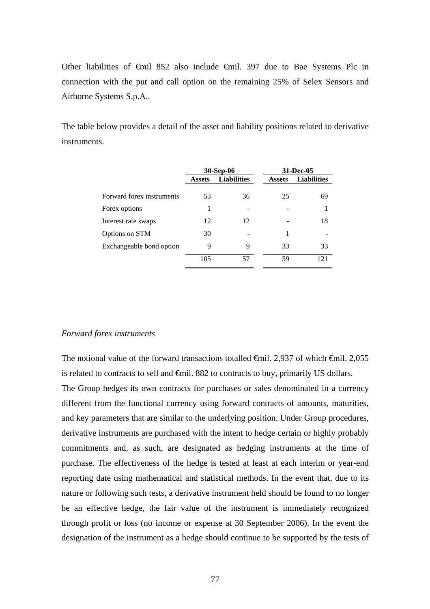Other liabilities of €mil 852 also include €mil. 397 due to Bae Systems Plc in connection with the put and call option on the remaining 25% of Selex Sensors and Airborne Systems S.p.A..

The table below provides a detail of the asset and liability positions related to derivative instruments.

|                           | <b>30-Sep-06</b> |                    |               | 31-Dec-05          |
|---------------------------|------------------|--------------------|---------------|--------------------|
|                           | <b>Assets</b>    | <b>Liabilities</b> | <b>Assets</b> | <b>Liabilities</b> |
| Forward forex instruments | 53               | 36                 | 25            | 69                 |
| Forex options             | 1                |                    |               |                    |
| Interest rate swaps       | 12               | 12                 |               | 18                 |
| Options on STM            | 30               |                    | 1             |                    |
| Exchangeable bond option  | 9                | 9                  | 33            | 33                 |
|                           | 105              | 57                 | 59            | 121                |

#### *Forward forex instruments*

The notional value of the forward transactions totalled  $\epsilon$ mil. 2,937 of which  $\epsilon$ mil. 2,055 is related to contracts to sell and €mil. 882 to contracts to buy, primarily US dollars.

The Group hedges its own contracts for purchases or sales denominated in a currency different from the functional currency using forward contracts of amounts, maturities, and key parameters that are similar to the underlying position. Under Group procedures, derivative instruments are purchased with the intent to hedge certain or highly probably commitments and, as such, are designated as hedging instruments at the time of purchase. The effectiveness of the hedge is tested at least at each interim or year-end reporting date using mathematical and statistical methods. In the event that, due to its nature or following such tests, a derivative instrument held should be found to no longer be an effective hedge, the fair value of the instrument is immediately recognized through profit or loss (no income or expense at 30 September 2006). In the event the designation of the instrument as a hedge should continue to be supported by the tests of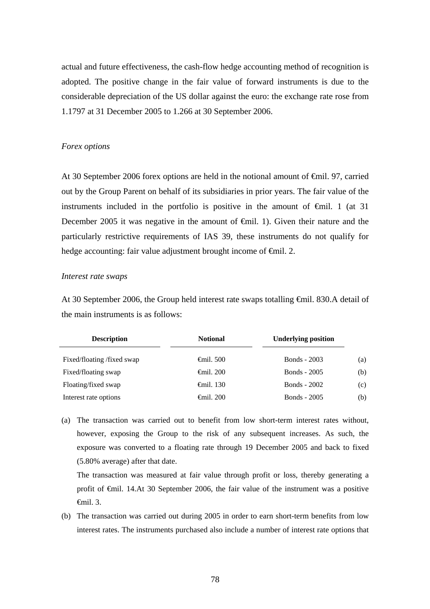actual and future effectiveness, the cash-flow hedge accounting method of recognition is adopted. The positive change in the fair value of forward instruments is due to the considerable depreciation of the US dollar against the euro: the exchange rate rose from 1.1797 at 31 December 2005 to 1.266 at 30 September 2006.

#### *Forex options*

At 30 September 2006 forex options are held in the notional amount of €mil. 97, carried out by the Group Parent on behalf of its subsidiaries in prior years. The fair value of the instruments included in the portfolio is positive in the amount of  $\theta$ mil. 1 (at 31) December 2005 it was negative in the amount of  $\epsilon$ mil. 1). Given their nature and the particularly restrictive requirements of IAS 39, these instruments do not qualify for hedge accounting: fair value adjustment brought income of <del>€mil</del>. 2.

#### *Interest rate swaps*

At 30 September 2006, the Group held interest rate swaps totalling €mil. 830.A detail of the main instruments is as follows:

| <b>Description</b>        | <b>Notional</b>     | <b>Underlying position</b> |     |
|---------------------------|---------------------|----------------------------|-----|
| Fixed/floating/fixed swap | $\epsilon$ mil. 500 | <b>Bonds</b> - 2003        | (a) |
| Fixed/floating swap       | $\epsilon$ mil. 200 | <b>Bonds</b> - 2005        | (b) |
| Floating/fixed swap       | $\epsilon$ mil. 130 | <b>Bonds</b> - 2002        | (c) |
| Interest rate options     | $\epsilon$ mil. 200 | <b>Bonds</b> - 2005        | (b) |

(a) The transaction was carried out to benefit from low short-term interest rates without, however, exposing the Group to the risk of any subsequent increases. As such, the exposure was converted to a floating rate through 19 December 2005 and back to fixed (5.80% average) after that date.

 The transaction was measured at fair value through profit or loss, thereby generating a profit of €mil. 14.At 30 September 2006, the fair value of the instrument was a positive €mil. 3.

(b) The transaction was carried out during 2005 in order to earn short-term benefits from low interest rates. The instruments purchased also include a number of interest rate options that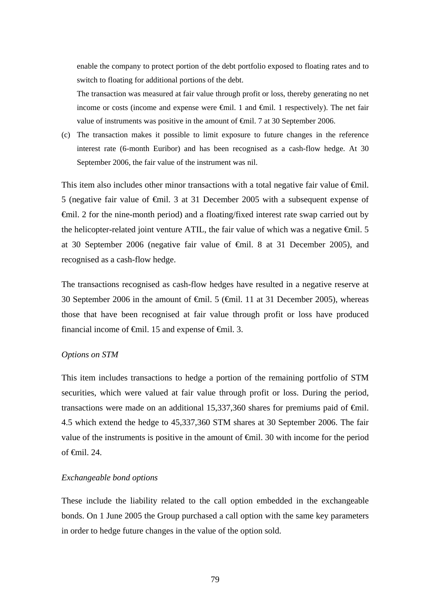enable the company to protect portion of the debt portfolio exposed to floating rates and to switch to floating for additional portions of the debt.

 The transaction was measured at fair value through profit or loss, thereby generating no net income or costs (income and expense were  $\theta$ mil. 1 and  $\theta$ mil. 1 respectively). The net fair value of instruments was positive in the amount of €mil. 7 at 30 September 2006.

(c) The transaction makes it possible to limit exposure to future changes in the reference interest rate (6-month Euribor) and has been recognised as a cash-flow hedge. At 30 September 2006, the fair value of the instrument was nil.

This item also includes other minor transactions with a total negative fair value of  $\epsilon$ mil. 5 (negative fair value of €mil. 3 at 31 December 2005 with a subsequent expense of €mil. 2 for the nine-month period) and a floating/fixed interest rate swap carried out by the helicopter-related joint venture ATIL, the fair value of which was a negative  $\epsilon$ mil. 5 at 30 September 2006 (negative fair value of €mil. 8 at 31 December 2005), and recognised as a cash-flow hedge.

The transactions recognised as cash-flow hedges have resulted in a negative reserve at 30 September 2006 in the amount of  $\epsilon$ mil. 5 ( $\epsilon$ mil. 11 at 31 December 2005), whereas those that have been recognised at fair value through profit or loss have produced financial income of  $\theta$ mil. 15 and expense of  $\theta$ mil. 3.

### *Options on STM*

This item includes transactions to hedge a portion of the remaining portfolio of STM securities, which were valued at fair value through profit or loss. During the period, transactions were made on an additional 15,337,360 shares for premiums paid of  $\epsilon$ mil. 4.5 which extend the hedge to 45,337,360 STM shares at 30 September 2006. The fair value of the instruments is positive in the amount of  $\epsilon$ mil. 30 with income for the period of  $\epsilon$ mil. 24.

### *Exchangeable bond options*

These include the liability related to the call option embedded in the exchangeable bonds. On 1 June 2005 the Group purchased a call option with the same key parameters in order to hedge future changes in the value of the option sold.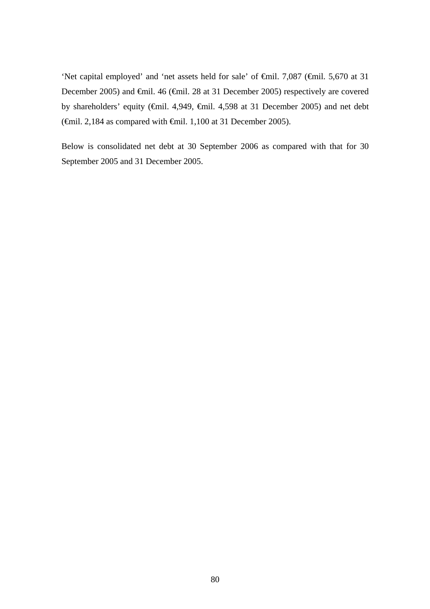'Net capital employed' and 'net assets held for sale' of €mil. 7,087 (€mil. 5,670 at 31 December 2005) and €mil. 46 (€mil. 28 at 31 December 2005) respectively are covered by shareholders' equity (€mil. 4,949, €mil. 4,598 at 31 December 2005) and net debt ( $\oplus$ mil. 2,184 as compared with  $\oplus$ mil. 1,100 at 31 December 2005).

Below is consolidated net debt at 30 September 2006 as compared with that for 30 September 2005 and 31 December 2005.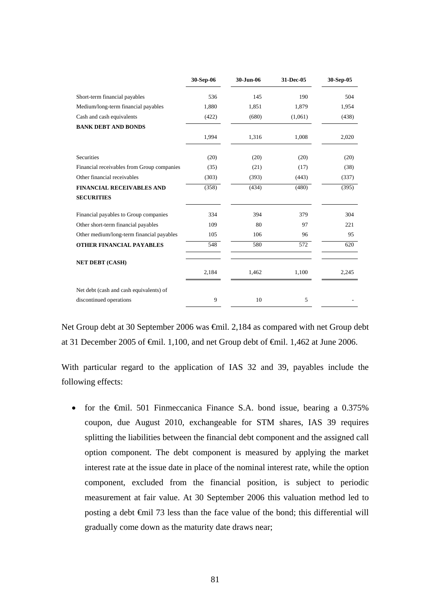|                                            | 30-Sep-06 | 30-Jun-06 | 31-Dec-05        | 30-Sep-05 |
|--------------------------------------------|-----------|-----------|------------------|-----------|
| Short-term financial payables              | 536       | 145       | 190              | 504       |
| Medium/long-term financial payables        | 1,880     | 1,851     | 1,879            | 1,954     |
| Cash and cash equivalents                  | (422)     | (680)     | (1,061)          | (438)     |
| <b>BANK DEBT AND BONDS</b>                 |           |           |                  |           |
|                                            | 1,994     | 1,316     | 1,008            | 2,020     |
| <b>Securities</b>                          | (20)      | (20)      | (20)             | (20)      |
| Financial receivables from Group companies | (35)      | (21)      | (17)             | (38)      |
| Other financial receivables                | (303)     | (393)     | (443)            | (337)     |
| <b>FINANCIAL RECEIVABLES AND</b>           | (358)     | (434)     | (480)            | (395)     |
| <b>SECURITIES</b>                          |           |           |                  |           |
| Financial payables to Group companies      | 334       | 394       | 379              | 304       |
| Other short-term financial payables        | 109       | 80        | 97               | 221       |
| Other medium/long-term financial payables  | 105       | 106       | 96               | 95        |
| <b>OTHER FINANCIAL PAYABLES</b>            | 548       | 580       | $\overline{572}$ | 620       |
| <b>NET DEBT (CASH)</b>                     |           |           |                  |           |
|                                            | 2,184     | 1,462     | 1,100            | 2,245     |
| Net debt (cash and cash equivalents) of    |           |           |                  |           |
| discontinued operations                    | 9         | 10        | 5                |           |

Net Group debt at 30 September 2006 was €mil. 2,184 as compared with net Group debt at 31 December 2005 of €mil. 1,100, and net Group debt of €mil. 1,462 at June 2006.

With particular regard to the application of IAS 32 and 39, payables include the following effects:

• for the  $\epsilon$ mil. 501 Finmeccanica Finance S.A. bond issue, bearing a 0.375% coupon, due August 2010, exchangeable for STM shares, IAS 39 requires splitting the liabilities between the financial debt component and the assigned call option component. The debt component is measured by applying the market interest rate at the issue date in place of the nominal interest rate, while the option component, excluded from the financial position, is subject to periodic measurement at fair value. At 30 September 2006 this valuation method led to posting a debt €mil 73 less than the face value of the bond; this differential will gradually come down as the maturity date draws near;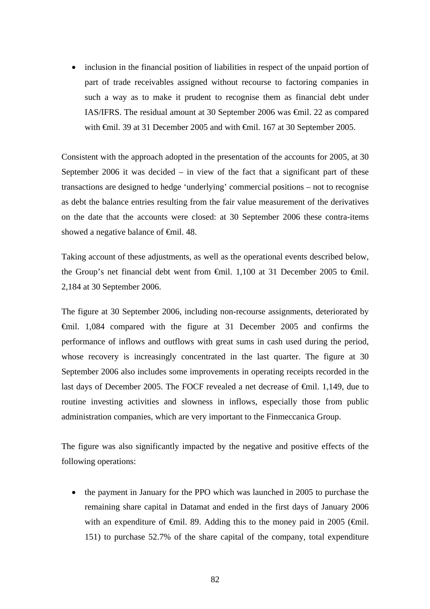• inclusion in the financial position of liabilities in respect of the unpaid portion of part of trade receivables assigned without recourse to factoring companies in such a way as to make it prudent to recognise them as financial debt under IAS/IFRS. The residual amount at 30 September 2006 was €mil. 22 as compared with €mil. 39 at 31 December 2005 and with €mil. 167 at 30 September 2005.

Consistent with the approach adopted in the presentation of the accounts for 2005, at 30 September 2006 it was decided  $-$  in view of the fact that a significant part of these transactions are designed to hedge 'underlying' commercial positions – not to recognise as debt the balance entries resulting from the fair value measurement of the derivatives on the date that the accounts were closed: at 30 September 2006 these contra-items showed a negative balance of <del>€mil</del>. 48.

Taking account of these adjustments, as well as the operational events described below, the Group's net financial debt went from €mil. 1,100 at 31 December 2005 to €mil. 2,184 at 30 September 2006.

The figure at 30 September 2006, including non-recourse assignments, deteriorated by €mil. 1,084 compared with the figure at 31 December 2005 and confirms the performance of inflows and outflows with great sums in cash used during the period, whose recovery is increasingly concentrated in the last quarter. The figure at 30 September 2006 also includes some improvements in operating receipts recorded in the last days of December 2005. The FOCF revealed a net decrease of €mil. 1,149, due to routine investing activities and slowness in inflows, especially those from public administration companies, which are very important to the Finmeccanica Group.

The figure was also significantly impacted by the negative and positive effects of the following operations:

• the payment in January for the PPO which was launched in 2005 to purchase the remaining share capital in Datamat and ended in the first days of January 2006 with an expenditure of  $\epsilon$ mil. 89. Adding this to the money paid in 2005 ( $\epsilon$ mil. 151) to purchase 52.7% of the share capital of the company, total expenditure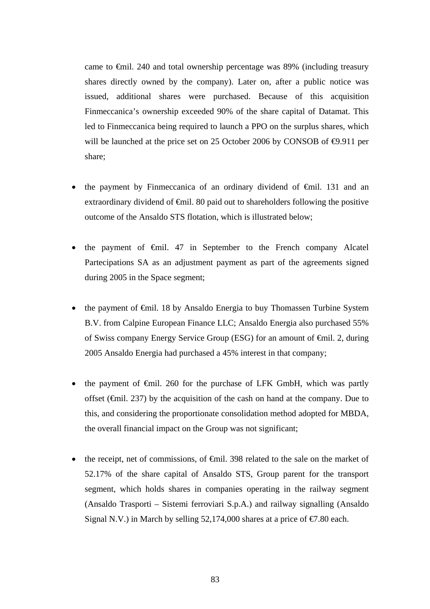came to €mil. 240 and total ownership percentage was 89% (including treasury shares directly owned by the company). Later on, after a public notice was issued, additional shares were purchased. Because of this acquisition Finmeccanica's ownership exceeded 90% of the share capital of Datamat. This led to Finmeccanica being required to launch a PPO on the surplus shares, which will be launched at the price set on 25 October 2006 by CONSOB of  $\Theta$ .911 per share;

- the payment by Finmeccanica of an ordinary dividend of  $\theta$ mil. 131 and an extraordinary dividend of  $\epsilon$ mil. 80 paid out to shareholders following the positive outcome of the Ansaldo STS flotation, which is illustrated below;
- the payment of  $\epsilon$ mil. 47 in September to the French company Alcatel Partecipations SA as an adjustment payment as part of the agreements signed during 2005 in the Space segment;
- the payment of €mil. 18 by Ansaldo Energia to buy Thomassen Turbine System B.V. from Calpine European Finance LLC; Ansaldo Energia also purchased 55% of Swiss company Energy Service Group (ESG) for an amount of €mil. 2, during 2005 Ansaldo Energia had purchased a 45% interest in that company;
- the payment of  $\epsilon$ mil. 260 for the purchase of LFK GmbH, which was partly offset ( $\epsilon$ mil. 237) by the acquisition of the cash on hand at the company. Due to this, and considering the proportionate consolidation method adopted for MBDA, the overall financial impact on the Group was not significant;
- the receipt, net of commissions, of <del>€</del>mil. 398 related to the sale on the market of 52.17% of the share capital of Ansaldo STS, Group parent for the transport segment, which holds shares in companies operating in the railway segment (Ansaldo Trasporti – Sistemi ferroviari S.p.A.) and railway signalling (Ansaldo Signal N.V.) in March by selling 52,174,000 shares at a price of  $\epsilon$ 7.80 each.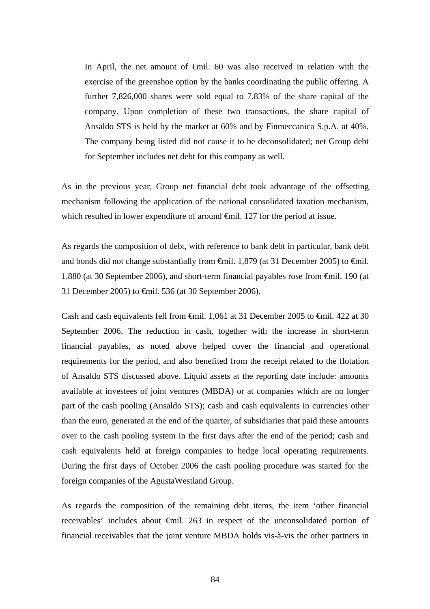In April, the net amount of €mil. 60 was also received in relation with the exercise of the greenshoe option by the banks coordinating the public offering. A further 7,826,000 shares were sold equal to 7.83% of the share capital of the company. Upon completion of these two transactions, the share capital of Ansaldo STS is held by the market at 60% and by Finmeccanica S.p.A. at 40%. The company being listed did not cause it to be deconsolidated; net Group debt for September includes net debt for this company as well.

As in the previous year, Group net financial debt took advantage of the offsetting mechanism following the application of the national consolidated taxation mechanism, which resulted in lower expenditure of around <del>€</del>mil. 127 for the period at issue.

As regards the composition of debt, with reference to bank debt in particular, bank debt and bonds did not change substantially from  $\epsilon$ mil. 1,879 (at 31 December 2005) to  $\epsilon$ mil. 1,880 (at 30 September 2006), and short-term financial payables rose from €mil. 190 (at 31 December 2005) to €mil. 536 (at 30 September 2006).

Cash and cash equivalents fell from €mil. 1,061 at 31 December 2005 to €mil. 422 at 30 September 2006. The reduction in cash, together with the increase in short-term financial payables, as noted above helped cover the financial and operational requirements for the period, and also benefited from the receipt related to the flotation of Ansaldo STS discussed above. Liquid assets at the reporting date include: amounts available at investees of joint ventures (MBDA) or at companies which are no longer part of the cash pooling (Ansaldo STS); cash and cash equivalents in currencies other than the euro, generated at the end of the quarter, of subsidiaries that paid these amounts over to the cash pooling system in the first days after the end of the period; cash and cash equivalents held at foreign companies to hedge local operating requirements. During the first days of October 2006 the cash pooling procedure was started for the foreign companies of the AgustaWestland Group.

As regards the composition of the remaining debt items, the item 'other financial receivables' includes about €mil. 263 in respect of the unconsolidated portion of financial receivables that the joint venture MBDA holds vis-à-vis the other partners in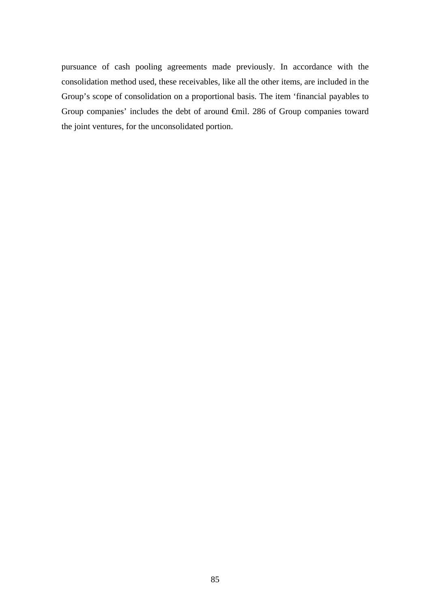pursuance of cash pooling agreements made previously. In accordance with the consolidation method used, these receivables, like all the other items, are included in the Group's scope of consolidation on a proportional basis. The item 'financial payables to Group companies' includes the debt of around €mil. 286 of Group companies toward the joint ventures, for the unconsolidated portion.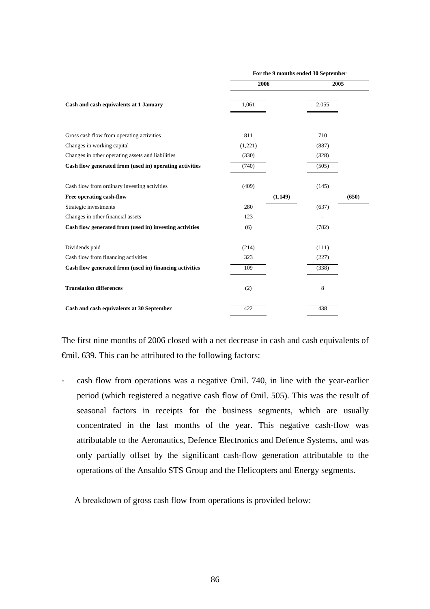|                                                         | For the 9 months ended 30 September |         |       |       |
|---------------------------------------------------------|-------------------------------------|---------|-------|-------|
|                                                         | 2006                                |         | 2005  |       |
| Cash and cash equivalents at 1 January                  | 1,061                               |         | 2,055 |       |
| Gross cash flow from operating activities               | 811                                 |         | 710   |       |
| Changes in working capital                              | (1,221)                             |         | (887) |       |
| Changes in other operating assets and liabilities       | (330)                               |         | (328) |       |
| Cash flow generated from (used in) operating activities | (740)                               |         | (505) |       |
| Cash flow from ordinary investing activities            | (409)                               |         | (145) |       |
| Free operating cash-flow                                |                                     | (1,149) |       | (650) |
| Strategic investments                                   | 280                                 |         | (637) |       |
| Changes in other financial assets                       | 123                                 |         |       |       |
| Cash flow generated from (used in) investing activities | (6)                                 |         | (782) |       |
| Dividends paid                                          | (214)                               |         | (111) |       |
| Cash flow from financing activities                     | 323                                 |         | (227) |       |
| Cash flow generated from (used in) financing activities | 109                                 |         | (338) |       |
| <b>Translation differences</b>                          | (2)                                 |         | 8     |       |
| Cash and cash equivalents at 30 September               | 422                                 |         | 438   |       |

The first nine months of 2006 closed with a net decrease in cash and cash equivalents of €mil. 639. This can be attributed to the following factors:

- cash flow from operations was a negative €mil. 740, in line with the year-earlier period (which registered a negative cash flow of €mil. 505). This was the result of seasonal factors in receipts for the business segments, which are usually concentrated in the last months of the year. This negative cash-flow was attributable to the Aeronautics, Defence Electronics and Defence Systems, and was only partially offset by the significant cash-flow generation attributable to the operations of the Ansaldo STS Group and the Helicopters and Energy segments.

A breakdown of gross cash flow from operations is provided below: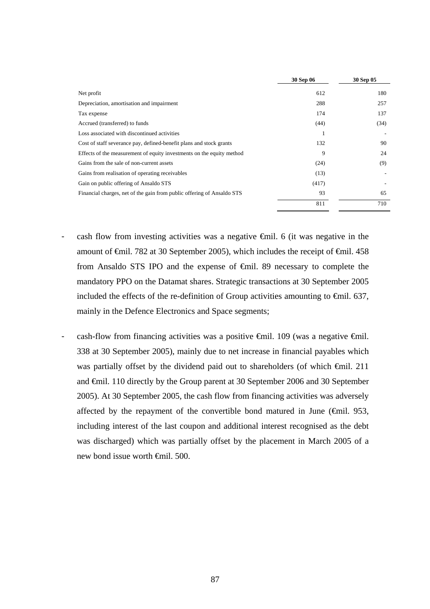|                                                                        | 30 Sep 06 | 30 Sep 05 |
|------------------------------------------------------------------------|-----------|-----------|
| Net profit                                                             | 612       | 180       |
| Depreciation, amortisation and impairment                              | 288       | 257       |
| Tax expense                                                            | 174       | 137       |
| Accrued (transferred) to funds                                         | (44)      | (34)      |
| Loss associated with discontinued activities                           |           |           |
| Cost of staff severance pay, defined-benefit plans and stock grants    | 132       | 90        |
| Effects of the measurement of equity investments on the equity method  | 9         | 24        |
| Gains from the sale of non-current assets                              | (24)      | (9)       |
| Gains from realisation of operating receivables                        | (13)      |           |
| Gain on public offering of Ansaldo STS                                 | (417)     |           |
| Financial charges, net of the gain from public offering of Ansaldo STS | 93        | 65        |
|                                                                        | 811       | 710       |

- cash flow from investing activities was a negative  $\epsilon$ mil. 6 (it was negative in the amount of  $\epsilon$ mil. 782 at 30 September 2005), which includes the receipt of  $\epsilon$ mil. 458 from Ansaldo STS IPO and the expense of €mil. 89 necessary to complete the mandatory PPO on the Datamat shares. Strategic transactions at 30 September 2005 included the effects of the re-definition of Group activities amounting to  $\epsilon$ mil. 637, mainly in the Defence Electronics and Space segments;
- cash-flow from financing activities was a positive  $\oplus$ mil. 109 (was a negative  $\oplus$ mil. 338 at 30 September 2005), mainly due to net increase in financial payables which was partially offset by the dividend paid out to shareholders (of which €mil. 211 and €mil. 110 directly by the Group parent at 30 September 2006 and 30 September 2005). At 30 September 2005, the cash flow from financing activities was adversely affected by the repayment of the convertible bond matured in June ( $\epsilon$ mil. 953, including interest of the last coupon and additional interest recognised as the debt was discharged) which was partially offset by the placement in March 2005 of a new bond issue worth €mil. 500.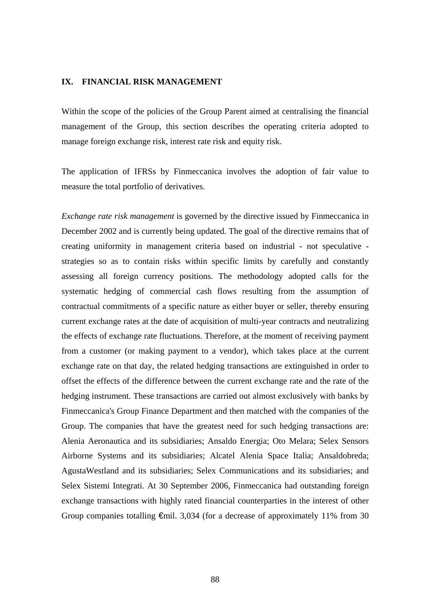#### **IX. FINANCIAL RISK MANAGEMENT**

Within the scope of the policies of the Group Parent aimed at centralising the financial management of the Group, this section describes the operating criteria adopted to manage foreign exchange risk, interest rate risk and equity risk.

The application of IFRSs by Finmeccanica involves the adoption of fair value to measure the total portfolio of derivatives.

*Exchange rate risk management* is governed by the directive issued by Finmeccanica in December 2002 and is currently being updated. The goal of the directive remains that of creating uniformity in management criteria based on industrial - not speculative strategies so as to contain risks within specific limits by carefully and constantly assessing all foreign currency positions. The methodology adopted calls for the systematic hedging of commercial cash flows resulting from the assumption of contractual commitments of a specific nature as either buyer or seller, thereby ensuring current exchange rates at the date of acquisition of multi-year contracts and neutralizing the effects of exchange rate fluctuations. Therefore, at the moment of receiving payment from a customer (or making payment to a vendor), which takes place at the current exchange rate on that day, the related hedging transactions are extinguished in order to offset the effects of the difference between the current exchange rate and the rate of the hedging instrument. These transactions are carried out almost exclusively with banks by Finmeccanica's Group Finance Department and then matched with the companies of the Group. The companies that have the greatest need for such hedging transactions are: Alenia Aeronautica and its subsidiaries; Ansaldo Energia; Oto Melara; Selex Sensors Airborne Systems and its subsidiaries; Alcatel Alenia Space Italia; Ansaldobreda; AgustaWestland and its subsidiaries; Selex Communications and its subsidiaries; and Selex Sistemi Integrati. At 30 September 2006, Finmeccanica had outstanding foreign exchange transactions with highly rated financial counterparties in the interest of other Group companies totalling  $\epsilon$ mil. 3,034 (for a decrease of approximately 11% from 30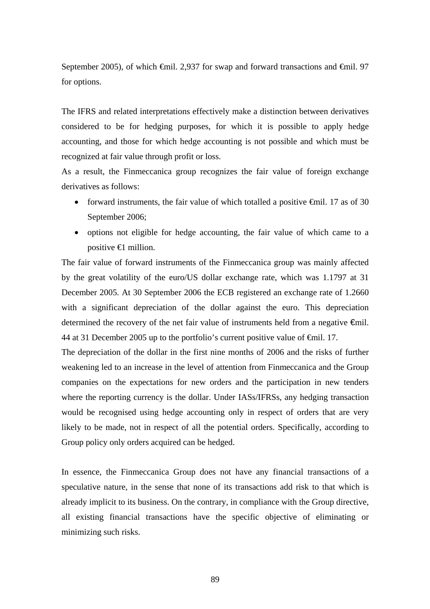September 2005), of which  $\oplus$ mil. 2,937 for swap and forward transactions and  $\oplus$ mil. 97 for options.

The IFRS and related interpretations effectively make a distinction between derivatives considered to be for hedging purposes, for which it is possible to apply hedge accounting, and those for which hedge accounting is not possible and which must be recognized at fair value through profit or loss.

As a result, the Finmeccanica group recognizes the fair value of foreign exchange derivatives as follows:

- forward instruments, the fair value of which totalled a positive  $\theta$ mil. 17 as of 30 September 2006;
- options not eligible for hedge accounting, the fair value of which came to a positive  $\bigoplus$  million.

The fair value of forward instruments of the Finmeccanica group was mainly affected by the great volatility of the euro/US dollar exchange rate, which was 1.1797 at 31 December 2005. At 30 September 2006 the ECB registered an exchange rate of 1.2660 with a significant depreciation of the dollar against the euro. This depreciation determined the recovery of the net fair value of instruments held from a negative €mil. 44 at 31 December 2005 up to the portfolio's current positive value of €mil. 17.

The depreciation of the dollar in the first nine months of 2006 and the risks of further weakening led to an increase in the level of attention from Finmeccanica and the Group companies on the expectations for new orders and the participation in new tenders where the reporting currency is the dollar. Under IASs/IFRSs, any hedging transaction would be recognised using hedge accounting only in respect of orders that are very likely to be made, not in respect of all the potential orders. Specifically, according to Group policy only orders acquired can be hedged.

In essence, the Finmeccanica Group does not have any financial transactions of a speculative nature, in the sense that none of its transactions add risk to that which is already implicit to its business. On the contrary, in compliance with the Group directive, all existing financial transactions have the specific objective of eliminating or minimizing such risks.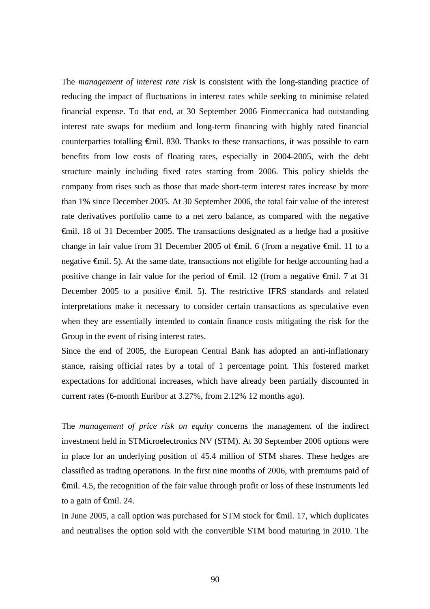The *management of interest rate risk* is consistent with the long-standing practice of reducing the impact of fluctuations in interest rates while seeking to minimise related financial expense. To that end, at 30 September 2006 Finmeccanica had outstanding interest rate swaps for medium and long-term financing with highly rated financial counterparties totalling €mil. 830. Thanks to these transactions, it was possible to earn benefits from low costs of floating rates, especially in 2004-2005, with the debt structure mainly including fixed rates starting from 2006. This policy shields the company from rises such as those that made short-term interest rates increase by more than 1% since December 2005. At 30 September 2006, the total fair value of the interest rate derivatives portfolio came to a net zero balance, as compared with the negative €mil. 18 of 31 December 2005. The transactions designated as a hedge had a positive change in fair value from 31 December 2005 of €mil. 6 (from a negative €mil. 11 to a negative €mil. 5). At the same date, transactions not eligible for hedge accounting had a positive change in fair value for the period of <del>€mil</del>. 12 (from a negative <del>€mil.</del> 7 at 31 December 2005 to a positive <del>€mil.</del> 5). The restrictive IFRS standards and related interpretations make it necessary to consider certain transactions as speculative even when they are essentially intended to contain finance costs mitigating the risk for the Group in the event of rising interest rates.

Since the end of 2005, the European Central Bank has adopted an anti-inflationary stance, raising official rates by a total of 1 percentage point. This fostered market expectations for additional increases, which have already been partially discounted in current rates (6-month Euribor at 3.27%, from 2.12% 12 months ago).

The *management of price risk on equity* concerns the management of the indirect investment held in STMicroelectronics NV (STM). At 30 September 2006 options were in place for an underlying position of 45.4 million of STM shares. These hedges are classified as trading operations*.* In the first nine months of 2006, with premiums paid of €mil. 4.5, the recognition of the fair value through profit or loss of these instruments led to a gain of  $\epsilon$ mil. 24.

In June 2005, a call option was purchased for STM stock for  $€mil$ . 17, which duplicates and neutralises the option sold with the convertible STM bond maturing in 2010. The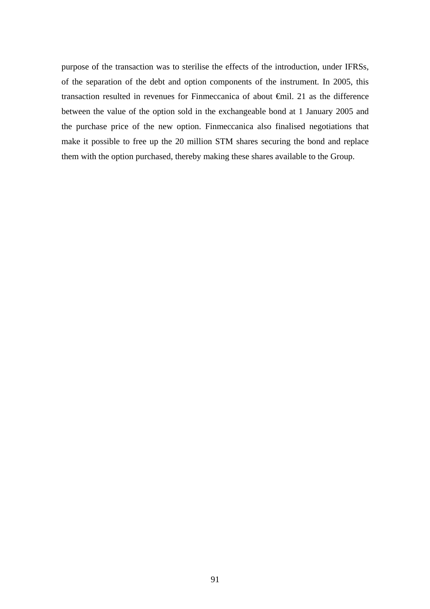purpose of the transaction was to sterilise the effects of the introduction, under IFRSs, of the separation of the debt and option components of the instrument. In 2005, this transaction resulted in revenues for Finmeccanica of about €mil. 21 as the difference between the value of the option sold in the exchangeable bond at 1 January 2005 and the purchase price of the new option. Finmeccanica also finalised negotiations that make it possible to free up the 20 million STM shares securing the bond and replace them with the option purchased, thereby making these shares available to the Group.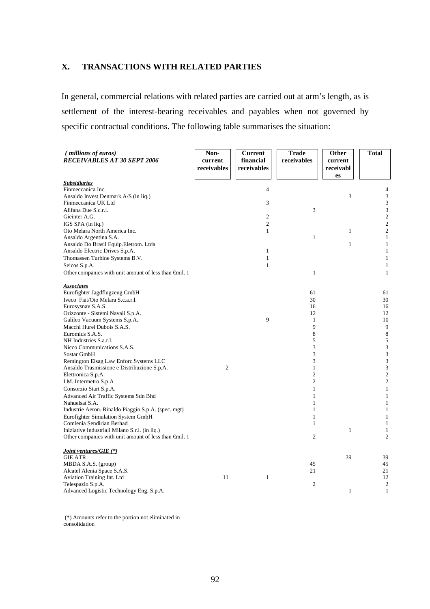### **X. TRANSACTIONS WITH RELATED PARTIES**

In general, commercial relations with related parties are carried out at arm's length, as is settlement of the interest-bearing receivables and payables when not governed by specific contractual conditions. The following table summarises the situation:

| (millions of euros)<br><b>RECEIVABLES AT 30 SEPT 2006</b>     | Non-<br>current<br>receivables | <b>Current</b><br>financial<br>receivables | <b>Trade</b><br>receivables | <b>Other</b><br>current<br>receivabl<br>es | <b>Total</b>                 |
|---------------------------------------------------------------|--------------------------------|--------------------------------------------|-----------------------------|--------------------------------------------|------------------------------|
| <u>Subsidiaries</u>                                           |                                |                                            |                             |                                            |                              |
| Finmeccanica Inc.                                             |                                | $\overline{4}$                             |                             |                                            | 4                            |
| Ansaldo Invest Denmark A/S (in liq.)                          |                                |                                            |                             | 3                                          | 3                            |
| Finmeccanica UK Ltd                                           |                                | 3                                          |                             |                                            | 3                            |
| Alifana Due S.c.r.l.                                          |                                |                                            | 3                           |                                            | 3                            |
| Gieinter A.G.                                                 |                                | $\overline{2}$                             |                             |                                            | $\sqrt{2}$                   |
| IGS SPA (in liq.)                                             |                                | $\sqrt{2}$                                 |                             |                                            | $\sqrt{2}$                   |
| Oto Melara North America Inc.                                 |                                | $\mathbf{1}$                               |                             | $\mathbf{1}$                               | $\sqrt{2}$                   |
| Ansaldo Argentina S.A.                                        |                                |                                            | $\mathbf{1}$                |                                            | $\mathbf{1}$                 |
| Ansaldo Do Brasil Equip.Eletrom. Ltda                         |                                |                                            |                             | $\mathbf{1}$                               | $\mathbf{1}$                 |
| Ansaldo Electric Drives S.p.A.                                |                                | $\mathbf{1}$                               |                             |                                            | $\mathbf{1}$                 |
| Thomassen Turbine Systems B.V.                                |                                | $\mathbf{1}$                               |                             |                                            | $1\,$                        |
| Seicos S.p.A.                                                 |                                | $\mathbf{1}$                               |                             |                                            | $\mathbf{1}$                 |
| Other companies with unit amount of less than €mil. 1         |                                |                                            | $\mathbf{1}$                |                                            | $\mathbf{1}$                 |
| <b>Associates</b>                                             |                                |                                            |                             |                                            |                              |
| Eurofighter Jagdflugzeug GmbH                                 |                                |                                            | 61                          |                                            | 61                           |
| Iveco Fiat/Oto Melara S.c.a.r.l.                              |                                |                                            | 30                          |                                            | 30                           |
| Eurosysnav S.A.S.                                             |                                |                                            | 16                          |                                            | 16                           |
| Orizzonte - Sistemi Navali S.p.A.                             |                                |                                            | 12                          |                                            | 12                           |
| Galileo Vacuum Systems S.p.A.                                 |                                | 9                                          | $\mathbf{1}$                |                                            | 10                           |
| Macchi Hurel Dubois S.A.S.                                    |                                |                                            | 9                           |                                            | 9                            |
| Euromids S.A.S.                                               |                                |                                            | 8                           |                                            | $\,$ 8 $\,$                  |
| NH Industries S.a.r.l.                                        |                                |                                            | 5                           |                                            | $\sqrt{5}$                   |
| Nicco Communications S.A.S.                                   |                                |                                            | 3                           |                                            | 3                            |
| Sostar GmbH                                                   |                                |                                            | 3                           |                                            | $\sqrt{3}$                   |
| Remington Elsag Law Enforc.Systems LLC                        |                                |                                            | 3                           |                                            | $\sqrt{3}$                   |
| Ansaldo Trasmissione e Distribuzione S.p.A.                   | $\overline{c}$                 |                                            | $\mathbf{1}$                |                                            | 3                            |
| Elettronica S.p.A.                                            |                                |                                            | $\overline{c}$              |                                            | $\sqrt{2}$                   |
| I.M. Intermetro S.p.A                                         |                                |                                            | $\overline{c}$              |                                            | $\sqrt{2}$                   |
| Consorzio Start S.p.A.                                        |                                |                                            | $\mathbf{1}$                |                                            | $\mathbf{1}$                 |
| Advanced Air Traffic Systems Sdn Bhd                          |                                |                                            | $\mathbf{1}$                |                                            | $\mathbf{1}$                 |
| Nahuelsat S.A.                                                |                                |                                            | $\mathbf{1}$                |                                            | $\mathbf{1}$                 |
| Industrie Aeron. Rinaldo Piaggio S.p.A. (spec. mgt)           |                                |                                            | $\mathbf{1}$                |                                            | $\mathbf{1}$                 |
| Eurofighter Simulation System GmbH                            |                                |                                            | $\mathbf{1}$                |                                            | $1\,$                        |
| Comlenia Sendirian Berhad                                     |                                |                                            | $\mathbf{1}$                |                                            | $\mathbf{1}$                 |
| Iniziative Industriali Milano S.r.l. (in liq.)                |                                |                                            |                             | $\mathbf{1}$                               | $\mathbf{1}$                 |
| Other companies with unit amount of less than $\oplus$ nil. 1 |                                |                                            | $\mathfrak{2}$              |                                            | $\overline{2}$               |
| <i>Joint ventures/GIE (*)</i>                                 |                                |                                            |                             |                                            |                              |
| <b>GIE ATR</b>                                                |                                |                                            |                             | 39                                         | 39                           |
| MBDA S.A.S. (group)                                           |                                |                                            | 45                          |                                            | 45                           |
| Alcatel Alenia Space S.A.S.                                   |                                |                                            | 21                          |                                            | 21                           |
| Aviation Training Int. Ltd                                    | 11                             | 1                                          | $\mathfrak{2}$              |                                            | 12                           |
| Telespazio S.p.A.                                             |                                |                                            |                             | $\mathbf{1}$                               | $\mathbf{2}$<br>$\mathbf{1}$ |
| Advanced Logistic Technology Eng. S.p.A.                      |                                |                                            |                             |                                            |                              |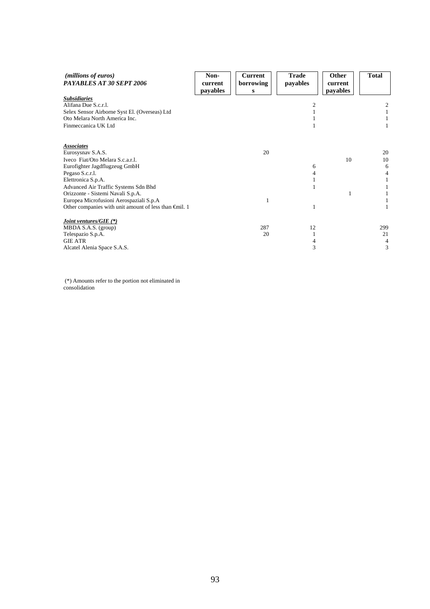| ( <i>millions of euros</i> )<br>PAYABLES AT 30 SEPT 2006      | Non-<br>current<br>payables | <b>Current</b><br>borrowing<br>S | <b>Trade</b><br>payables | Other<br>current<br>payables | <b>Total</b> |
|---------------------------------------------------------------|-----------------------------|----------------------------------|--------------------------|------------------------------|--------------|
| <b>Subsidiaries</b>                                           |                             |                                  |                          |                              |              |
| Alifana Due S.c.r.l.                                          |                             |                                  |                          |                              | 2            |
| Selex Sensor Airborne Syst El. (Overseas) Ltd                 |                             |                                  |                          |                              |              |
| Oto Melara North America Inc.                                 |                             |                                  |                          |                              |              |
| Finmeccanica UK Ltd                                           |                             |                                  |                          |                              |              |
| <b>Associates</b>                                             |                             |                                  |                          |                              |              |
| Eurosysnav S.A.S.                                             |                             | 20                               |                          |                              | 20           |
| Iveco Fiat/Oto Melara S.c.a.r.l.                              |                             |                                  |                          | 10                           | 10           |
| Eurofighter Jagdflugzeug GmbH                                 |                             |                                  | 6                        |                              | 6            |
| Pegaso S.c.r.l.                                               |                             |                                  |                          |                              | 4            |
| Elettronica S.p.A.                                            |                             |                                  |                          |                              |              |
| Advanced Air Traffic Systems Sdn Bhd                          |                             |                                  |                          |                              |              |
| Orizzonte - Sistemi Navali S.p.A.                             |                             |                                  |                          |                              |              |
| Europea Microfusioni Aerospaziali S.p.A                       |                             | 1                                |                          |                              |              |
| Other companies with unit amount of less than $\oplus$ nil. 1 |                             |                                  |                          |                              |              |
| <i>Joint ventures/GIE</i> $(*)$                               |                             |                                  |                          |                              |              |
| MBDA S.A.S. (group)                                           |                             | 287                              | 12                       |                              | 299          |
| Telespazio S.p.A.                                             |                             | 20                               |                          |                              | 21           |
| <b>GIE ATR</b>                                                |                             |                                  |                          |                              | 4            |
| Alcatel Alenia Space S.A.S.                                   |                             |                                  |                          |                              | 3            |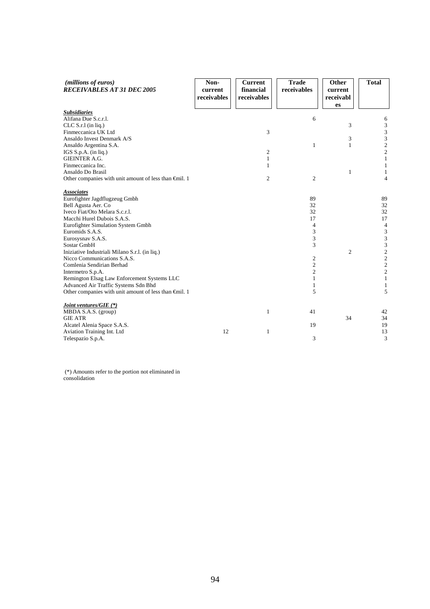| (millions of euros)<br><b>RECEIVABLES AT 31 DEC 2005</b>      | Non-<br>current<br>receivables | <b>Current</b><br>financial<br>receivables | <b>Trade</b><br>receivables | Other<br>current<br>receivabl<br>es | <b>Total</b>                               |
|---------------------------------------------------------------|--------------------------------|--------------------------------------------|-----------------------------|-------------------------------------|--------------------------------------------|
| <b>Subsidiaries</b>                                           |                                |                                            |                             |                                     |                                            |
| Alifana Due S.c.r.l.                                          |                                |                                            | 6                           |                                     | 6                                          |
| $CLC S.r.l$ (in liq.)                                         |                                |                                            |                             | 3                                   | 3                                          |
| Finmeccanica UK Ltd                                           |                                | 3                                          |                             |                                     | 3                                          |
| Ansaldo Invest Denmark A/S                                    |                                |                                            |                             | 3                                   | $\frac{3}{2}$                              |
| Ansaldo Argentina S.A.                                        |                                |                                            | 1                           | $\mathbf{1}$                        |                                            |
| IGS S.p.A. (in liq.)                                          |                                | 2                                          |                             |                                     | $\overline{c}$                             |
| <b>GIEINTER A.G.</b>                                          |                                | 1                                          |                             |                                     | $\,1\,$                                    |
| Finmeccanica Inc.                                             |                                | 1                                          |                             |                                     | $\mathbf{1}$                               |
| Ansaldo Do Brasil                                             |                                |                                            |                             | $\mathbf{1}$                        | $\mathbf{1}$                               |
| Other companies with unit amount of less than $\oplus$ nil. 1 |                                | $\overline{2}$                             | $\mathfrak{2}$              |                                     | 4                                          |
| <b>Associates</b>                                             |                                |                                            |                             |                                     |                                            |
| Eurofighter Jagdflugzeug Gmbh                                 |                                |                                            | 89                          |                                     | 89                                         |
| Bell Agusta Aer. Co                                           |                                |                                            | 32                          |                                     | 32                                         |
| Iveco Fiat/Oto Melara S.c.r.l.                                |                                |                                            | 32                          |                                     | 32                                         |
| Macchi Hurel Dubois S.A.S.                                    |                                |                                            | 17                          |                                     | 17                                         |
| Eurofighter Simulation System Gmbh                            |                                |                                            | $\overline{4}$              |                                     | $\overline{4}$                             |
| Euromids S.A.S.                                               |                                |                                            | 3                           |                                     | $\mathfrak{Z}$                             |
| Eurosysnav S.A.S.                                             |                                |                                            | 3                           |                                     | 3                                          |
| Sostar GmbH                                                   |                                |                                            | 3                           |                                     | $\overline{\mathbf{3}}$                    |
| Iniziative Industriali Milano S.r.l. (in liq.)                |                                |                                            |                             | $\overline{2}$                      |                                            |
| Nicco Communications S.A.S.                                   |                                |                                            | 2                           |                                     |                                            |
| Comlenia Sendirian Berhad                                     |                                |                                            | $\mathfrak{2}$              |                                     | $\begin{array}{c} 2 \\ 2 \\ 2 \end{array}$ |
| Intermetro S.p.A.                                             |                                |                                            | $\overline{c}$              |                                     |                                            |
| Remington Elsag Law Enforcement Systems LLC                   |                                |                                            | 1                           |                                     | $\mathbf{1}$                               |
| Advanced Air Traffic Systems Sdn Bhd                          |                                |                                            | 1                           |                                     | $\mathbf{1}$                               |
| Other companies with unit amount of less than $\oplus$ nil. 1 |                                |                                            | 5                           |                                     | 5                                          |
| Joint ventures/GIE (*)                                        |                                |                                            |                             |                                     |                                            |
| MBDA S.A.S. (group)                                           |                                | 1                                          | 41                          |                                     | 42                                         |
| <b>GIE ATR</b>                                                |                                |                                            |                             | 34                                  | 34                                         |
| Alcatel Alenia Space S.A.S.                                   |                                |                                            | 19                          |                                     | 19                                         |
| Aviation Training Int. Ltd                                    | 12                             | 1                                          |                             |                                     | 13                                         |
| Telespazio S.p.A.                                             |                                |                                            | 3                           |                                     | 3                                          |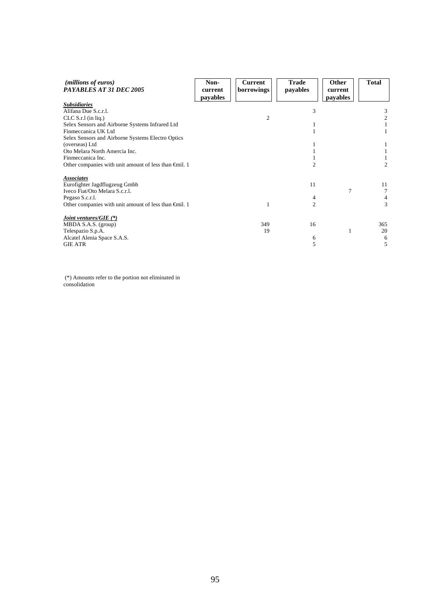| ( <i>millions of euros</i> )<br>PAYABLES AT 31 DEC 2005       | Non-<br>current<br>payables | <b>Current</b><br>borrowings | <b>Trade</b><br>payables | Other<br>current<br>payables | <b>Total</b>   |
|---------------------------------------------------------------|-----------------------------|------------------------------|--------------------------|------------------------------|----------------|
| <b>Subsidiaries</b>                                           |                             |                              |                          |                              |                |
| Alifana Due S.c.r.l.                                          |                             |                              | 3                        |                              | 3              |
| $CLC S.r.l$ (in liq.)                                         |                             | $\overline{c}$               |                          |                              | $\mathfrak{2}$ |
| Selex Sensors and Airborne Systems Infrared Ltd               |                             |                              |                          |                              |                |
| Finmeccanica UK Ltd                                           |                             |                              |                          |                              |                |
| Selex Sensors and Airborne Systems Electro Optics             |                             |                              |                          |                              |                |
| (overseas) Ltd                                                |                             |                              |                          |                              |                |
| Oto Melara North Amercia Inc.                                 |                             |                              |                          |                              |                |
| Finmeccanica Inc.                                             |                             |                              |                          |                              |                |
| Other companies with unit amount of less than $\oplus$ nil. 1 |                             |                              | 2                        |                              | 2              |
| <b>Associates</b>                                             |                             |                              |                          |                              |                |
| Eurofighter Jagdflugzeug Gmbh                                 |                             |                              | 11                       |                              | 11             |
| Iveco Fiat/Oto Melara S.c.r.l.                                |                             |                              |                          | 7                            | 7              |
| Pegaso S.c.r.l.                                               |                             |                              |                          |                              | 4              |
| Other companies with unit amount of less than $\oplus$ il. 1  |                             |                              | $\overline{c}$           |                              | 3              |
| <i>Joint ventures/GIE</i> $(*)$                               |                             |                              |                          |                              |                |
| MBDA S.A.S. (group)                                           |                             | 349                          | 16                       |                              | 365            |
| Telespazio S.p.A.                                             |                             | 19                           |                          | $\mathbf{1}$                 | 20             |
| Alcatel Alenia Space S.A.S.                                   |                             |                              | 6                        |                              | 6              |
| <b>GIE ATR</b>                                                |                             |                              | 5                        |                              | 5              |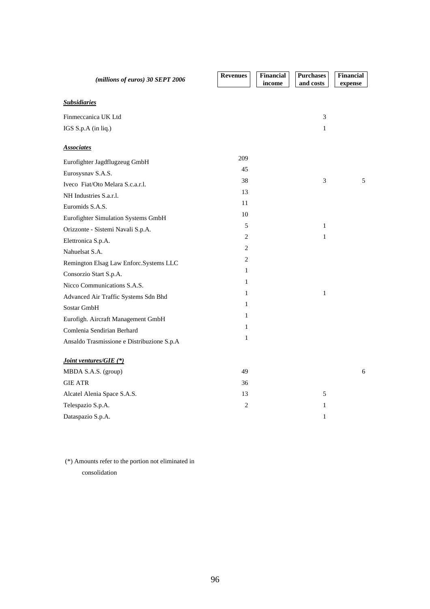| (millions of euros) 30 SEPT 2006           | <b>Revenues</b> | <b>Financial</b><br>income | <b>Purchases</b><br>and costs | <b>Financial</b><br>expense |
|--------------------------------------------|-----------------|----------------------------|-------------------------------|-----------------------------|
| <b>Subsidiaries</b>                        |                 |                            |                               |                             |
| Finmeccanica UK Ltd                        |                 |                            | 3                             |                             |
| IGS S.p.A (in liq.)                        |                 |                            | $\mathbf{1}$                  |                             |
| <b>Associates</b>                          |                 |                            |                               |                             |
| Eurofighter Jagdflugzeug GmbH              | 209             |                            |                               |                             |
| Eurosysnav S.A.S.                          | 45              |                            |                               |                             |
| Iveco Fiat/Oto Melara S.c.a.r.l.           | 38              |                            | 3                             | 5                           |
| NH Industries S.a.r.l.                     | 13              |                            |                               |                             |
| Euromids S.A.S.                            | 11              |                            |                               |                             |
| Eurofighter Simulation Systems GmbH        | 10              |                            |                               |                             |
| Orizzonte - Sistemi Navali S.p.A.          | $\sqrt{5}$      |                            | $\mathbf{1}$                  |                             |
| Elettronica S.p.A.                         | 2               |                            | 1                             |                             |
| Nahuelsat S.A.                             | 2               |                            |                               |                             |
| Remington Elsag Law Enforc.Systems LLC     | $\overline{c}$  |                            |                               |                             |
| Consorzio Start S.p.A.                     | $\mathbf{1}$    |                            |                               |                             |
| Nicco Communications S.A.S.                | 1               |                            |                               |                             |
| Advanced Air Traffic Systems Sdn Bhd       | 1               |                            | $\mathbf{1}$                  |                             |
| Sostar GmbH                                | $\mathbf{1}$    |                            |                               |                             |
| Eurofigh. Aircraft Management GmbH         | $\mathbf{1}$    |                            |                               |                             |
| Comlenia Sendirian Berhard                 | 1               |                            |                               |                             |
| Ansaldo Trasmissione e Distribuzione S.p.A | 1               |                            |                               |                             |
| Joint ventures/GIE (*)                     |                 |                            |                               |                             |
| MBDA S.A.S. (group)                        | 49              |                            |                               | 6                           |
| <b>GIE ATR</b>                             | 36              |                            |                               |                             |
| Alcatel Alenia Space S.A.S.                | 13              |                            | 5                             |                             |
| Telespazio S.p.A.                          | $\overline{c}$  |                            | $\mathbf{1}$                  |                             |
| Dataspazio S.p.A.                          |                 |                            | $\mathbf{1}$                  |                             |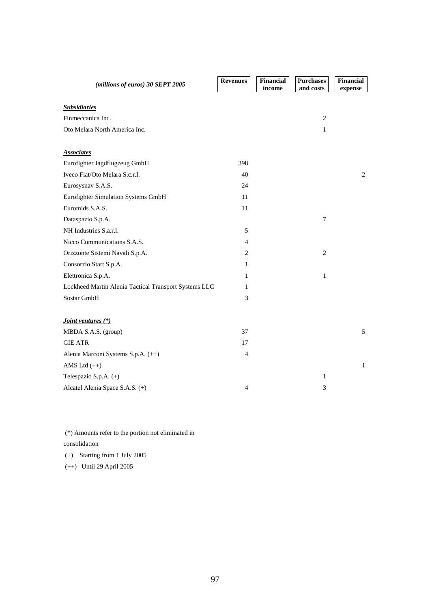| (millions of euros) 30 SEPT 2005                      | <b>Revenues</b> | Financial<br>income | <b>Purchases</b><br>and costs | Financial<br>expense |
|-------------------------------------------------------|-----------------|---------------------|-------------------------------|----------------------|
|                                                       |                 |                     |                               |                      |
| <b>Subsidiaries</b>                                   |                 |                     |                               |                      |
| Finmeccanica Inc.                                     |                 |                     | $\mathbf{2}$                  |                      |
| Oto Melara North America Inc.                         |                 |                     | $\mathbf{1}$                  |                      |
|                                                       |                 |                     |                               |                      |
| <b>Associates</b>                                     |                 |                     |                               |                      |
| Eurofighter Jagdflugzeug GmbH                         | 398             |                     |                               |                      |
| Iveco Fiat/Oto Melara S.c.r.l.                        | 40              |                     |                               | 2                    |
| Eurosysnav S.A.S.                                     | 24              |                     |                               |                      |
| Eurofighter Simulation Systems GmbH                   | 11              |                     |                               |                      |
| Euromids S.A.S.                                       | 11              |                     |                               |                      |
| Dataspazio S.p.A.                                     |                 |                     | $\overline{7}$                |                      |
| NH Industries S.a.r.l.                                | 5               |                     |                               |                      |
| Nicco Communications S.A.S.                           | $\overline{4}$  |                     |                               |                      |
| Orizzonte Sistemi Navali S.p.A.                       | $\overline{2}$  |                     | $\overline{2}$                |                      |
| Consorzio Start S.p.A.                                | 1               |                     |                               |                      |
| Elettronica S.p.A.                                    | 1               |                     | $\mathbf{1}$                  |                      |
| Lockheed Martin Alenia Tactical Transport Systems LLC | 1               |                     |                               |                      |
| Sostar GmbH                                           | 3               |                     |                               |                      |
|                                                       |                 |                     |                               |                      |
| Joint ventures (*)                                    |                 |                     |                               |                      |
| MBDA S.A.S. (group)                                   | 37              |                     |                               | 5                    |
| <b>GIE ATR</b>                                        | 17              |                     |                               |                      |
| Alenia Marconi Systems S.p.A. (++)                    | $\overline{4}$  |                     |                               |                      |
| AMS Ltd $(++)$                                        |                 |                     |                               | $\mathbf{1}$         |
| Telespazio S.p.A. (+)                                 |                 |                     | 1                             |                      |
| Alcatel Alenia Space S.A.S. (+)                       | 4               |                     | 3                             |                      |

 (\*) Amounts refer to the portion not eliminated in consolidation (+) Starting from 1 July 2005

(++) Until 29 April 2005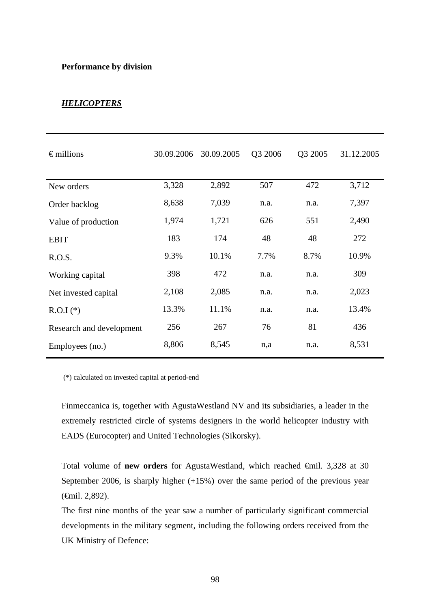#### **Performance by division**

## *HELICOPTERS*

| $\epsilon$ millions      | 30.09.2006 | 30.09.2005 | Q3 2006 | Q3 2005 | 31.12.2005 |
|--------------------------|------------|------------|---------|---------|------------|
| New orders               | 3,328      | 2,892      | 507     | 472     | 3,712      |
| Order backlog            | 8,638      | 7,039      | n.a.    | n.a.    | 7,397      |
| Value of production      | 1,974      | 1,721      | 626     | 551     | 2,490      |
| <b>EBIT</b>              | 183        | 174        | 48      | 48      | 272        |
| R.O.S.                   | 9.3%       | 10.1%      | 7.7%    | 8.7%    | 10.9%      |
| Working capital          | 398        | 472        | n.a.    | n.a.    | 309        |
| Net invested capital     | 2,108      | 2,085      | n.a.    | n.a.    | 2,023      |
| $R.O.I$ (*)              | 13.3%      | 11.1%      | n.a.    | n.a.    | 13.4%      |
| Research and development | 256        | 267        | 76      | 81      | 436        |
| Employees (no.)          | 8,806      | 8,545      | n,a     | n.a.    | 8,531      |

(\*) calculated on invested capital at period-end

Finmeccanica is, together with AgustaWestland NV and its subsidiaries, a leader in the extremely restricted circle of systems designers in the world helicopter industry with EADS (Eurocopter) and United Technologies (Sikorsky).

Total volume of **new orders** for AgustaWestland, which reached €mil. 3,328 at 30 September 2006, is sharply higher (+15%) over the same period of the previous year (€mil. 2,892).

The first nine months of the year saw a number of particularly significant commercial developments in the military segment, including the following orders received from the UK Ministry of Defence: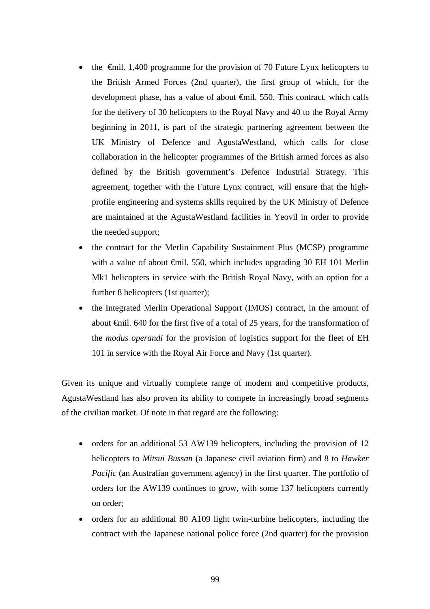- the  $\theta$ mil. 1,400 programme for the provision of 70 Future Lynx helicopters to the British Armed Forces (2nd quarter), the first group of which, for the development phase, has a value of about €mil. 550. This contract, which calls for the delivery of 30 helicopters to the Royal Navy and 40 to the Royal Army beginning in 2011, is part of the strategic partnering agreement between the UK Ministry of Defence and AgustaWestland, which calls for close collaboration in the helicopter programmes of the British armed forces as also defined by the British government's Defence Industrial Strategy. This agreement, together with the Future Lynx contract, will ensure that the highprofile engineering and systems skills required by the UK Ministry of Defence are maintained at the AgustaWestland facilities in Yeovil in order to provide the needed support;
- the contract for the Merlin Capability Sustainment Plus (MCSP) programme with a value of about  $\oplus$ mil. 550, which includes upgrading 30 EH 101 Merlin Mk1 helicopters in service with the British Royal Navy, with an option for a further 8 helicopters (1st quarter);
- the Integrated Merlin Operational Support (IMOS) contract, in the amount of about €mil. 640 for the first five of a total of 25 years, for the transformation of the *modus operandi* for the provision of logistics support for the fleet of EH 101 in service with the Royal Air Force and Navy (1st quarter).

Given its unique and virtually complete range of modern and competitive products, AgustaWestland has also proven its ability to compete in increasingly broad segments of the civilian market. Of note in that regard are the following:

- orders for an additional 53 AW139 helicopters, including the provision of 12 helicopters to *Mitsui Bussan* (a Japanese civil aviation firm) and 8 to *Hawker Pacific* (an Australian government agency) in the first quarter. The portfolio of orders for the AW139 continues to grow, with some 137 helicopters currently on order;
- orders for an additional 80 A109 light twin-turbine helicopters, including the contract with the Japanese national police force (2nd quarter) for the provision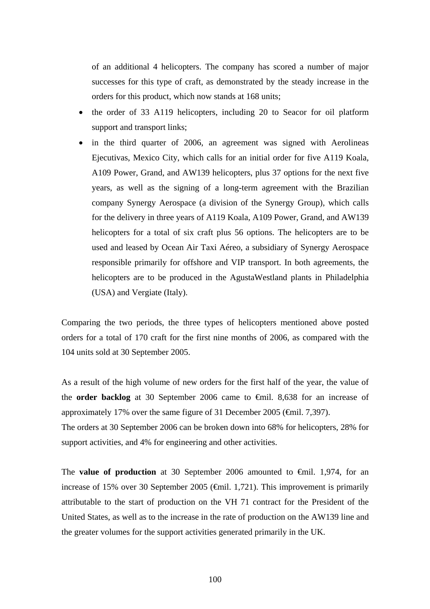of an additional 4 helicopters. The company has scored a number of major successes for this type of craft, as demonstrated by the steady increase in the orders for this product, which now stands at 168 units;

- the order of 33 A119 helicopters, including 20 to Seacor for oil platform support and transport links;
- in the third quarter of 2006, an agreement was signed with Aerolineas Ejecutivas, Mexico City, which calls for an initial order for five A119 Koala, A109 Power, Grand, and AW139 helicopters, plus 37 options for the next five years, as well as the signing of a long-term agreement with the Brazilian company Synergy Aerospace (a division of the Synergy Group), which calls for the delivery in three years of A119 Koala, A109 Power, Grand, and AW139 helicopters for a total of six craft plus 56 options. The helicopters are to be used and leased by Ocean Air Taxi Aéreo, a subsidiary of Synergy Aerospace responsible primarily for offshore and VIP transport. In both agreements, the helicopters are to be produced in the AgustaWestland plants in Philadelphia (USA) and Vergiate (Italy).

Comparing the two periods, the three types of helicopters mentioned above posted orders for a total of 170 craft for the first nine months of 2006, as compared with the 104 units sold at 30 September 2005.

As a result of the high volume of new orders for the first half of the year, the value of the **order backlog** at 30 September 2006 came to €mil. 8,638 for an increase of approximately 17% over the same figure of 31 December 2005 (€mil. 7,397).

The orders at 30 September 2006 can be broken down into 68% for helicopters, 28% for support activities, and 4% for engineering and other activities.

The **value of production** at 30 September 2006 amounted to €mil. 1,974, for an increase of 15% over 30 September 2005 (€mil. 1,721). This improvement is primarily attributable to the start of production on the VH 71 contract for the President of the United States, as well as to the increase in the rate of production on the AW139 line and the greater volumes for the support activities generated primarily in the UK.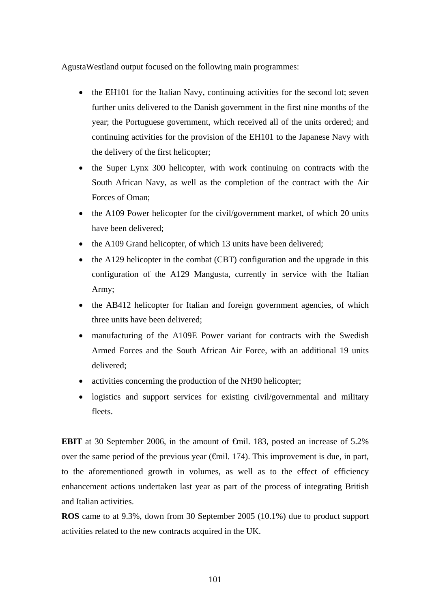AgustaWestland output focused on the following main programmes:

- the EH101 for the Italian Navy, continuing activities for the second lot; seven further units delivered to the Danish government in the first nine months of the year; the Portuguese government, which received all of the units ordered; and continuing activities for the provision of the EH101 to the Japanese Navy with the delivery of the first helicopter;
- the Super Lynx 300 helicopter, with work continuing on contracts with the South African Navy, as well as the completion of the contract with the Air Forces of Oman;
- the A109 Power helicopter for the civil/government market, of which 20 units have been delivered;
- the A109 Grand helicopter, of which 13 units have been delivered;
- the A129 helicopter in the combat (CBT) configuration and the upgrade in this configuration of the A129 Mangusta, currently in service with the Italian Army;
- the AB412 helicopter for Italian and foreign government agencies, of which three units have been delivered;
- manufacturing of the A109E Power variant for contracts with the Swedish Armed Forces and the South African Air Force, with an additional 19 units delivered;
- activities concerning the production of the NH90 helicopter;
- logistics and support services for existing civil/governmental and military fleets.

**EBIT** at 30 September 2006, in the amount of €mil. 183, posted an increase of 5.2% over the same period of the previous year  $(\widehat{\mathsf{f}}$ mil. 174). This improvement is due, in part, to the aforementioned growth in volumes, as well as to the effect of efficiency enhancement actions undertaken last year as part of the process of integrating British and Italian activities.

**ROS** came to at 9.3%, down from 30 September 2005 (10.1%) due to product support activities related to the new contracts acquired in the UK.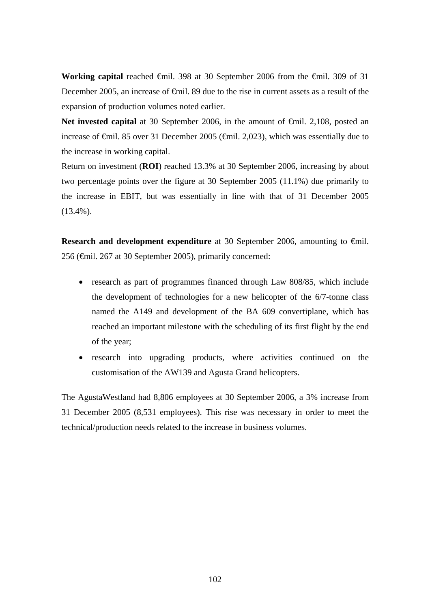**Working capital** reached €mil. 398 at 30 September 2006 from the €mil. 309 of 31 December 2005, an increase of <del>€m</del>il. 89 due to the rise in current assets as a result of the expansion of production volumes noted earlier.

**Net invested capital** at 30 September 2006, in the amount of <del>€mil</del>. 2,108, posted an increase of €mil. 85 over 31 December 2005 (€mil. 2,023), which was essentially due to the increase in working capital.

Return on investment (**ROI**) reached 13.3% at 30 September 2006, increasing by about two percentage points over the figure at 30 September 2005 (11.1%) due primarily to the increase in EBIT, but was essentially in line with that of 31 December 2005 (13.4%).

**Research and development expenditure** at 30 September 2006, amounting to €mil. 256 (€mil. 267 at 30 September 2005), primarily concerned:

- research as part of programmes financed through Law 808/85, which include the development of technologies for a new helicopter of the 6/7-tonne class named the A149 and development of the BA 609 convertiplane, which has reached an important milestone with the scheduling of its first flight by the end of the year;
- research into upgrading products, where activities continued on the customisation of the AW139 and Agusta Grand helicopters.

The AgustaWestland had 8,806 employees at 30 September 2006, a 3% increase from 31 December 2005 (8,531 employees). This rise was necessary in order to meet the technical/production needs related to the increase in business volumes.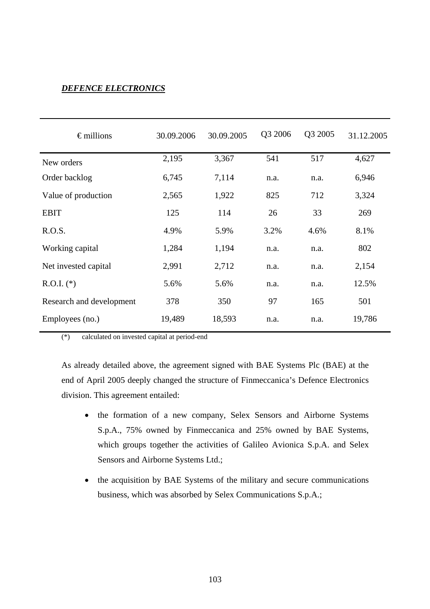# *DEFENCE ELECTRONICS*

| $\epsilon$ millions      | 30.09.2006 | 30.09.2005 | Q3 2006 | Q3 2005 | 31.12.2005 |
|--------------------------|------------|------------|---------|---------|------------|
| New orders               | 2,195      | 3,367      | 541     | 517     | 4,627      |
| Order backlog            | 6,745      | 7,114      | n.a.    | n.a.    | 6,946      |
| Value of production      | 2,565      | 1,922      | 825     | 712     | 3,324      |
| <b>EBIT</b>              | 125        | 114        | 26      | 33      | 269        |
| R.O.S.                   | 4.9%       | 5.9%       | 3.2%    | 4.6%    | 8.1%       |
| Working capital          | 1,284      | 1,194      | n.a.    | n.a.    | 802        |
| Net invested capital     | 2,991      | 2,712      | n.a.    | n.a.    | 2,154      |
| $R.O.I.$ (*)             | 5.6%       | 5.6%       | n.a.    | n.a.    | 12.5%      |
| Research and development | 378        | 350        | 97      | 165     | 501        |
| Employees (no.)          | 19,489     | 18,593     | n.a.    | n.a.    | 19,786     |

(\*) calculated on invested capital at period-end

As already detailed above, the agreement signed with BAE Systems Plc (BAE) at the end of April 2005 deeply changed the structure of Finmeccanica's Defence Electronics division. This agreement entailed:

- the formation of a new company, Selex Sensors and Airborne Systems S.p.A., 75% owned by Finmeccanica and 25% owned by BAE Systems, which groups together the activities of Galileo Avionica S.p.A. and Selex Sensors and Airborne Systems Ltd.;
- the acquisition by BAE Systems of the military and secure communications business, which was absorbed by Selex Communications S.p.A.;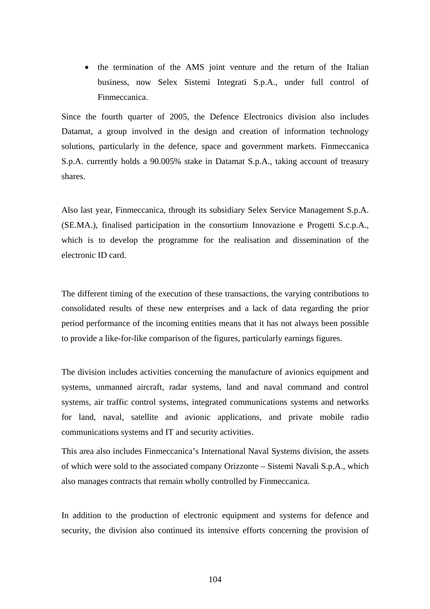• the termination of the AMS joint venture and the return of the Italian business, now Selex Sistemi Integrati S.p.A., under full control of Finmeccanica.

Since the fourth quarter of 2005, the Defence Electronics division also includes Datamat, a group involved in the design and creation of information technology solutions, particularly in the defence, space and government markets. Finmeccanica S.p.A. currently holds a 90.005% stake in Datamat S.p.A., taking account of treasury shares.

Also last year, Finmeccanica, through its subsidiary Selex Service Management S.p.A. (SE.MA.), finalised participation in the consortium Innovazione e Progetti S.c.p.A., which is to develop the programme for the realisation and dissemination of the electronic ID card.

The different timing of the execution of these transactions, the varying contributions to consolidated results of these new enterprises and a lack of data regarding the prior period performance of the incoming entities means that it has not always been possible to provide a like-for-like comparison of the figures, particularly earnings figures.

The division includes activities concerning the manufacture of avionics equipment and systems, unmanned aircraft, radar systems, land and naval command and control systems, air traffic control systems, integrated communications systems and networks for land, naval, satellite and avionic applications, and private mobile radio communications systems and IT and security activities.

This area also includes Finmeccanica's International Naval Systems division, the assets of which were sold to the associated company Orizzonte – Sistemi Navali S.p.A., which also manages contracts that remain wholly controlled by Finmeccanica.

In addition to the production of electronic equipment and systems for defence and security, the division also continued its intensive efforts concerning the provision of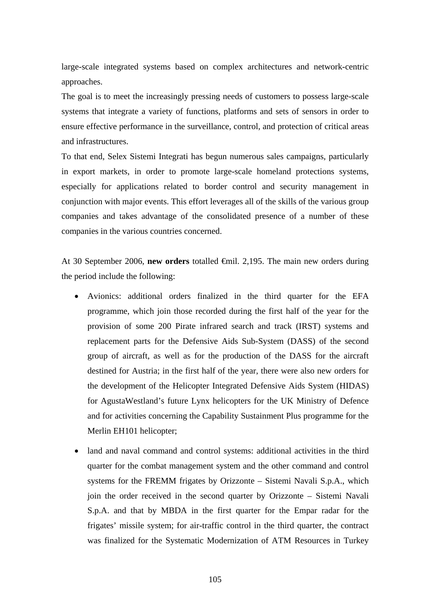large-scale integrated systems based on complex architectures and network-centric approaches.

The goal is to meet the increasingly pressing needs of customers to possess large-scale systems that integrate a variety of functions, platforms and sets of sensors in order to ensure effective performance in the surveillance, control, and protection of critical areas and infrastructures.

To that end, Selex Sistemi Integrati has begun numerous sales campaigns, particularly in export markets, in order to promote large-scale homeland protections systems, especially for applications related to border control and security management in conjunction with major events. This effort leverages all of the skills of the various group companies and takes advantage of the consolidated presence of a number of these companies in the various countries concerned.

At 30 September 2006, **new orders** totalled €mil. 2,195. The main new orders during the period include the following:

- Avionics: additional orders finalized in the third quarter for the EFA programme, which join those recorded during the first half of the year for the provision of some 200 Pirate infrared search and track (IRST) systems and replacement parts for the Defensive Aids Sub-System (DASS) of the second group of aircraft, as well as for the production of the DASS for the aircraft destined for Austria; in the first half of the year, there were also new orders for the development of the Helicopter Integrated Defensive Aids System (HIDAS) for AgustaWestland's future Lynx helicopters for the UK Ministry of Defence and for activities concerning the Capability Sustainment Plus programme for the Merlin EH101 helicopter;
- land and naval command and control systems: additional activities in the third quarter for the combat management system and the other command and control systems for the FREMM frigates by Orizzonte – Sistemi Navali S.p.A., which join the order received in the second quarter by Orizzonte – Sistemi Navali S.p.A. and that by MBDA in the first quarter for the Empar radar for the frigates' missile system; for air-traffic control in the third quarter, the contract was finalized for the Systematic Modernization of ATM Resources in Turkey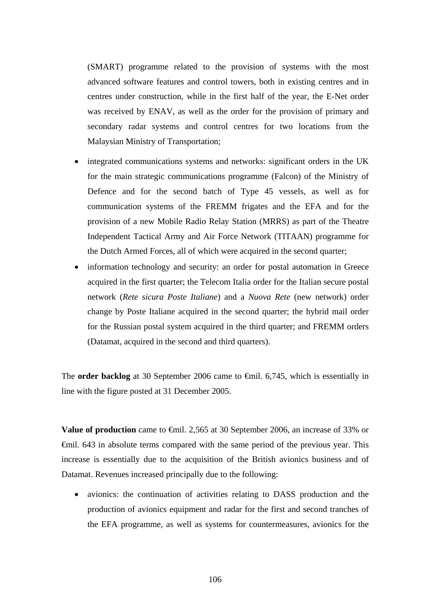(SMART) programme related to the provision of systems with the most advanced software features and control towers, both in existing centres and in centres under construction, while in the first half of the year, the E-Net order was received by ENAV, as well as the order for the provision of primary and secondary radar systems and control centres for two locations from the Malaysian Ministry of Transportation;

- integrated communications systems and networks: significant orders in the UK for the main strategic communications programme (Falcon) of the Ministry of Defence and for the second batch of Type 45 vessels, as well as for communication systems of the FREMM frigates and the EFA and for the provision of a new Mobile Radio Relay Station (MRRS) as part of the Theatre Independent Tactical Army and Air Force Network (TITAAN) programme for the Dutch Armed Forces, all of which were acquired in the second quarter;
- information technology and security: an order for postal automation in Greece acquired in the first quarter; the Telecom Italia order for the Italian secure postal network (*Rete sicura Poste Italiane*) and a *Nuova Rete* (new network) order change by Poste Italiane acquired in the second quarter; the hybrid mail order for the Russian postal system acquired in the third quarter; and FREMM orders (Datamat, acquired in the second and third quarters).

The **order backlog** at 30 September 2006 came to **€mil.** 6,745, which is essentially in line with the figure posted at 31 December 2005.

**Value of production** came to <del>€</del>mil. 2,565 at 30 September 2006, an increase of 33% or €mil. 643 in absolute terms compared with the same period of the previous year. This increase is essentially due to the acquisition of the British avionics business and of Datamat. Revenues increased principally due to the following:

• avionics: the continuation of activities relating to DASS production and the production of avionics equipment and radar for the first and second tranches of the EFA programme, as well as systems for countermeasures, avionics for the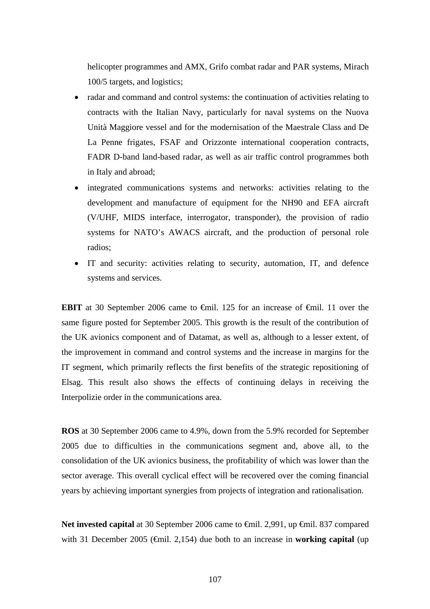helicopter programmes and AMX, Grifo combat radar and PAR systems, Mirach 100/5 targets, and logistics;

- radar and command and control systems: the continuation of activities relating to contracts with the Italian Navy, particularly for naval systems on the Nuova Unità Maggiore vessel and for the modernisation of the Maestrale Class and De La Penne frigates, FSAF and Orizzonte international cooperation contracts, FADR D-band land-based radar, as well as air traffic control programmes both in Italy and abroad;
- integrated communications systems and networks: activities relating to the development and manufacture of equipment for the NH90 and EFA aircraft (V/UHF, MIDS interface, interrogator, transponder), the provision of radio systems for NATO's AWACS aircraft, and the production of personal role radios;
- IT and security: activities relating to security, automation, IT, and defence systems and services.

**EBIT** at 30 September 2006 came to €mil. 125 for an increase of €mil. 11 over the same figure posted for September 2005. This growth is the result of the contribution of the UK avionics component and of Datamat, as well as, although to a lesser extent, of the improvement in command and control systems and the increase in margins for the IT segment, which primarily reflects the first benefits of the strategic repositioning of Elsag. This result also shows the effects of continuing delays in receiving the Interpolizie order in the communications area.

**ROS** at 30 September 2006 came to 4.9%, down from the 5.9% recorded for September 2005 due to difficulties in the communications segment and, above all, to the consolidation of the UK avionics business, the profitability of which was lower than the sector average. This overall cyclical effect will be recovered over the coming financial years by achieving important synergies from projects of integration and rationalisation.

Net invested capital at 30 September 2006 came to <del>C</del>mil. 2,991, up <del>C</del>mil. 837 compared with 31 December 2005 (€mil. 2,154) due both to an increase in **working capital** (up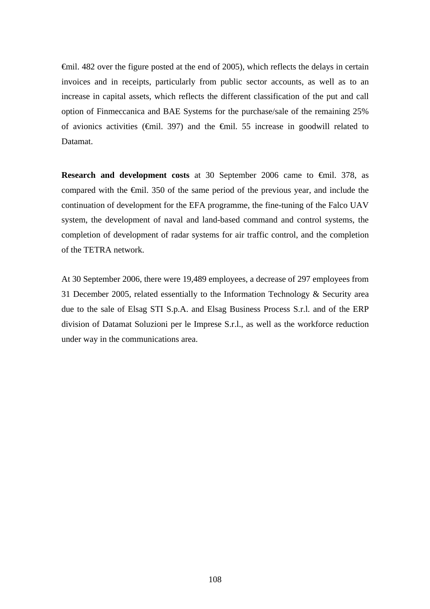€mil. 482 over the figure posted at the end of 2005), which reflects the delays in certain invoices and in receipts, particularly from public sector accounts, as well as to an increase in capital assets, which reflects the different classification of the put and call option of Finmeccanica and BAE Systems for the purchase/sale of the remaining 25% of avionics activities ( $\oplus$ mil. 397) and the  $\oplus$ mil. 55 increase in goodwill related to Datamat.

**Research and development costs** at 30 September 2006 came to €mil. 378, as compared with the €mil. 350 of the same period of the previous year, and include the continuation of development for the EFA programme, the fine-tuning of the Falco UAV system, the development of naval and land-based command and control systems, the completion of development of radar systems for air traffic control, and the completion of the TETRA network.

At 30 September 2006, there were 19,489 employees, a decrease of 297 employees from 31 December 2005, related essentially to the Information Technology & Security area due to the sale of Elsag STI S.p.A. and Elsag Business Process S.r.l. and of the ERP division of Datamat Soluzioni per le Imprese S.r.l., as well as the workforce reduction under way in the communications area.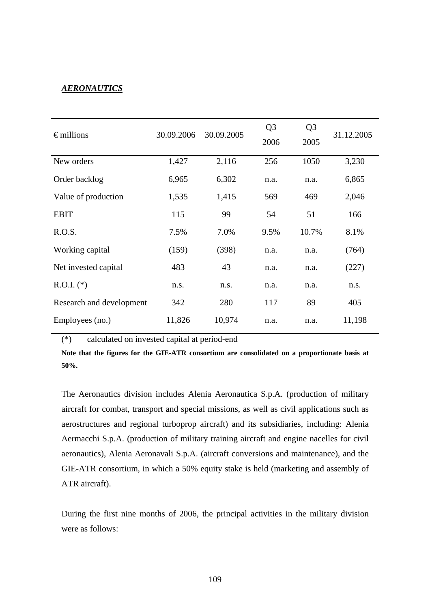### *AERONAUTICS*

| $\epsilon$ millions      | 30.09.2006 | 30.09.2005 | Q <sub>3</sub><br>2006 | Q <sub>3</sub><br>2005 | 31.12.2005 |
|--------------------------|------------|------------|------------------------|------------------------|------------|
| New orders               | 1,427      | 2,116      | 256                    | 1050                   | 3,230      |
| Order backlog            | 6,965      | 6,302      | n.a.                   | n.a.                   | 6,865      |
| Value of production      | 1,535      | 1,415      | 569                    | 469                    | 2,046      |
| <b>EBIT</b>              | 115        | 99         | 54                     | 51                     | 166        |
| R.O.S.                   | 7.5%       | 7.0%       | 9.5%                   | 10.7%                  | 8.1%       |
| Working capital          | (159)      | (398)      | n.a.                   | n.a.                   | (764)      |
| Net invested capital     | 483        | 43         | n.a.                   | n.a.                   | (227)      |
| $R.O.I.$ (*)             | n.s.       | n.s.       | n.a.                   | n.a.                   | n.s.       |
| Research and development | 342        | 280        | 117                    | 89                     | 405        |
| Employees (no.)          | 11,826     | 10,974     | n.a.                   | n.a.                   | 11,198     |

(\*) calculated on invested capital at period-end

**Note that the figures for the GIE-ATR consortium are consolidated on a proportionate basis at 50%.** 

The Aeronautics division includes Alenia Aeronautica S.p.A. (production of military aircraft for combat, transport and special missions, as well as civil applications such as aerostructures and regional turboprop aircraft) and its subsidiaries, including: Alenia Aermacchi S.p.A. (production of military training aircraft and engine nacelles for civil aeronautics), Alenia Aeronavali S.p.A. (aircraft conversions and maintenance), and the GIE-ATR consortium, in which a 50% equity stake is held (marketing and assembly of ATR aircraft).

During the first nine months of 2006, the principal activities in the military division were as follows: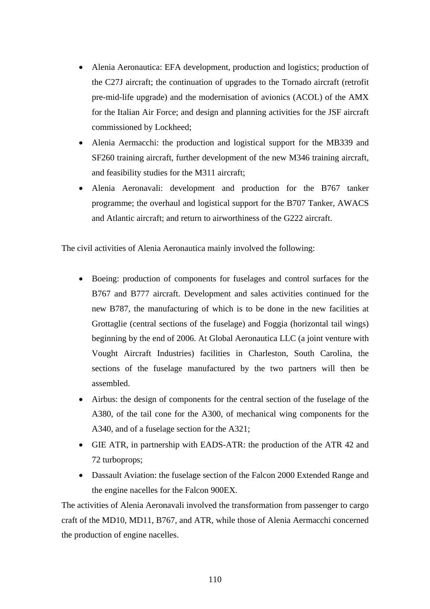- Alenia Aeronautica: EFA development, production and logistics; production of the C27J aircraft; the continuation of upgrades to the Tornado aircraft (retrofit pre-mid-life upgrade) and the modernisation of avionics (ACOL) of the AMX for the Italian Air Force; and design and planning activities for the JSF aircraft commissioned by Lockheed;
- Alenia Aermacchi: the production and logistical support for the MB339 and SF260 training aircraft, further development of the new M346 training aircraft, and feasibility studies for the M311 aircraft;
- Alenia Aeronavali: development and production for the B767 tanker programme; the overhaul and logistical support for the B707 Tanker, AWACS and Atlantic aircraft; and return to airworthiness of the G222 aircraft.

The civil activities of Alenia Aeronautica mainly involved the following:

- Boeing: production of components for fuselages and control surfaces for the B767 and B777 aircraft. Development and sales activities continued for the new B787, the manufacturing of which is to be done in the new facilities at Grottaglie (central sections of the fuselage) and Foggia (horizontal tail wings) beginning by the end of 2006. At Global Aeronautica LLC (a joint venture with Vought Aircraft Industries) facilities in Charleston, South Carolina, the sections of the fuselage manufactured by the two partners will then be assembled.
- Airbus: the design of components for the central section of the fuselage of the A380, of the tail cone for the A300, of mechanical wing components for the A340, and of a fuselage section for the A321;
- GIE ATR, in partnership with EADS-ATR: the production of the ATR 42 and 72 turboprops;
- Dassault Aviation: the fuselage section of the Falcon 2000 Extended Range and the engine nacelles for the Falcon 900EX.

The activities of Alenia Aeronavali involved the transformation from passenger to cargo craft of the MD10, MD11, B767, and ATR, while those of Alenia Aermacchi concerned the production of engine nacelles.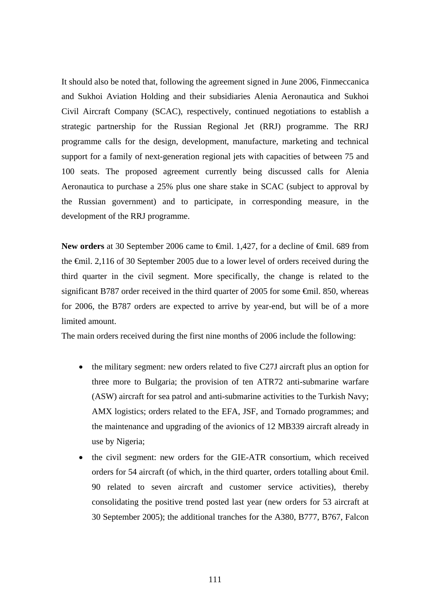It should also be noted that, following the agreement signed in June 2006, Finmeccanica and Sukhoi Aviation Holding and their subsidiaries Alenia Aeronautica and Sukhoi Civil Aircraft Company (SCAC), respectively, continued negotiations to establish a strategic partnership for the Russian Regional Jet (RRJ) programme. The RRJ programme calls for the design, development, manufacture, marketing and technical support for a family of next-generation regional jets with capacities of between 75 and 100 seats. The proposed agreement currently being discussed calls for Alenia Aeronautica to purchase a 25% plus one share stake in SCAC (subject to approval by the Russian government) and to participate, in corresponding measure, in the development of the RRJ programme.

New orders at 30 September 2006 came to <del>€</del>mil. 1,427, for a decline of <del>€</del>mil. 689 from the €mil. 2,116 of 30 September 2005 due to a lower level of orders received during the third quarter in the civil segment. More specifically, the change is related to the significant B787 order received in the third quarter of 2005 for some <del>€</del>mil. 850, whereas for 2006, the B787 orders are expected to arrive by year-end, but will be of a more limited amount.

The main orders received during the first nine months of 2006 include the following:

- the military segment: new orders related to five C27J aircraft plus an option for three more to Bulgaria; the provision of ten ATR72 anti-submarine warfare (ASW) aircraft for sea patrol and anti-submarine activities to the Turkish Navy; AMX logistics; orders related to the EFA, JSF, and Tornado programmes; and the maintenance and upgrading of the avionics of 12 MB339 aircraft already in use by Nigeria;
- the civil segment: new orders for the GIE-ATR consortium, which received orders for 54 aircraft (of which, in the third quarter, orders totalling about  $\epsilon$ mil. 90 related to seven aircraft and customer service activities), thereby consolidating the positive trend posted last year (new orders for 53 aircraft at 30 September 2005); the additional tranches for the A380, B777, B767, Falcon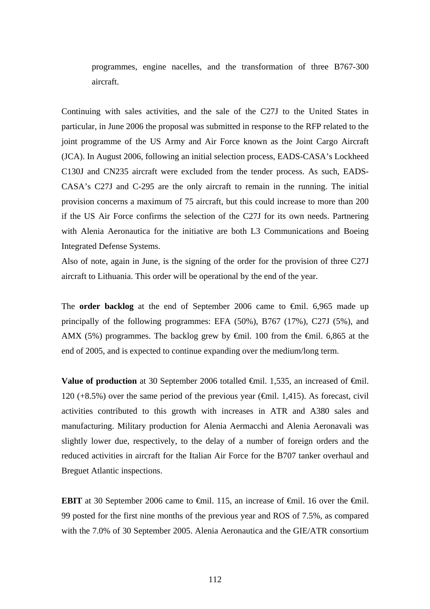programmes, engine nacelles, and the transformation of three B767-300 aircraft.

Continuing with sales activities, and the sale of the C27J to the United States in particular, in June 2006 the proposal was submitted in response to the RFP related to the joint programme of the US Army and Air Force known as the Joint Cargo Aircraft (JCA). In August 2006, following an initial selection process, EADS-CASA's Lockheed C130J and CN235 aircraft were excluded from the tender process. As such, EADS-CASA's C27J and C-295 are the only aircraft to remain in the running. The initial provision concerns a maximum of 75 aircraft, but this could increase to more than 200 if the US Air Force confirms the selection of the C27J for its own needs. Partnering with Alenia Aeronautica for the initiative are both L3 Communications and Boeing Integrated Defense Systems.

Also of note, again in June, is the signing of the order for the provision of three C27J aircraft to Lithuania. This order will be operational by the end of the year.

The **order backlog** at the end of September 2006 came to €mil. 6,965 made up principally of the following programmes: EFA (50%), B767 (17%), C27J (5%), and AMX (5%) programmes. The backlog grew by  $\epsilon$ mil. 100 from the  $\epsilon$ mil. 6,865 at the end of 2005, and is expected to continue expanding over the medium/long term.

**Value of production** at 30 September 2006 totalled <del>€</del>mil. 1,535, an increased of <del>€</del>mil. 120 (+8.5%) over the same period of the previous year ( $\epsilon$ mil. 1,415). As forecast, civil activities contributed to this growth with increases in ATR and A380 sales and manufacturing. Military production for Alenia Aermacchi and Alenia Aeronavali was slightly lower due, respectively, to the delay of a number of foreign orders and the reduced activities in aircraft for the Italian Air Force for the B707 tanker overhaul and Breguet Atlantic inspections.

**EBIT** at 30 September 2006 came to  $\theta$ mil. 115, an increase of  $\theta$ mil. 16 over the  $\theta$ mil. 99 posted for the first nine months of the previous year and ROS of 7.5%, as compared with the 7.0% of 30 September 2005. Alenia Aeronautica and the GIE/ATR consortium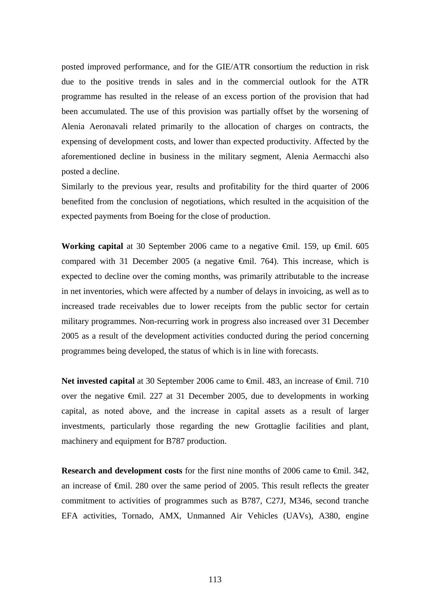posted improved performance, and for the GIE/ATR consortium the reduction in risk due to the positive trends in sales and in the commercial outlook for the ATR programme has resulted in the release of an excess portion of the provision that had been accumulated. The use of this provision was partially offset by the worsening of Alenia Aeronavali related primarily to the allocation of charges on contracts, the expensing of development costs, and lower than expected productivity. Affected by the aforementioned decline in business in the military segment, Alenia Aermacchi also posted a decline.

Similarly to the previous year, results and profitability for the third quarter of 2006 benefited from the conclusion of negotiations, which resulted in the acquisition of the expected payments from Boeing for the close of production.

Working capital at 30 September 2006 came to a negative <del>€</del>mil. 159, up €mil. 605 compared with 31 December 2005 (a negative  $\theta$ mil. 764). This increase, which is expected to decline over the coming months, was primarily attributable to the increase in net inventories, which were affected by a number of delays in invoicing, as well as to increased trade receivables due to lower receipts from the public sector for certain military programmes. Non-recurring work in progress also increased over 31 December 2005 as a result of the development activities conducted during the period concerning programmes being developed, the status of which is in line with forecasts.

Net invested capital at 30 September 2006 came to <del>€</del>mil. 483, an increase of <del>€</del>mil. 710 over the negative €mil. 227 at 31 December 2005, due to developments in working capital, as noted above, and the increase in capital assets as a result of larger investments, particularly those regarding the new Grottaglie facilities and plant, machinery and equipment for B787 production.

**Research and development costs** for the first nine months of 2006 came to €mil. 342, an increase of €mil. 280 over the same period of 2005. This result reflects the greater commitment to activities of programmes such as B787, C27J, M346, second tranche EFA activities, Tornado, AMX, Unmanned Air Vehicles (UAVs), A380, engine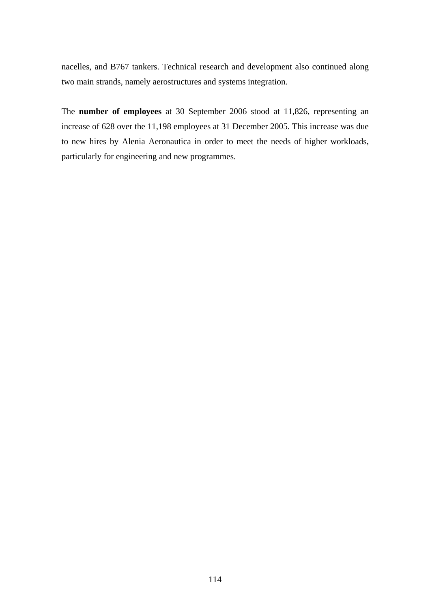nacelles, and B767 tankers. Technical research and development also continued along two main strands, namely aerostructures and systems integration.

The **number of employees** at 30 September 2006 stood at 11,826, representing an increase of 628 over the 11,198 employees at 31 December 2005. This increase was due to new hires by Alenia Aeronautica in order to meet the needs of higher workloads, particularly for engineering and new programmes.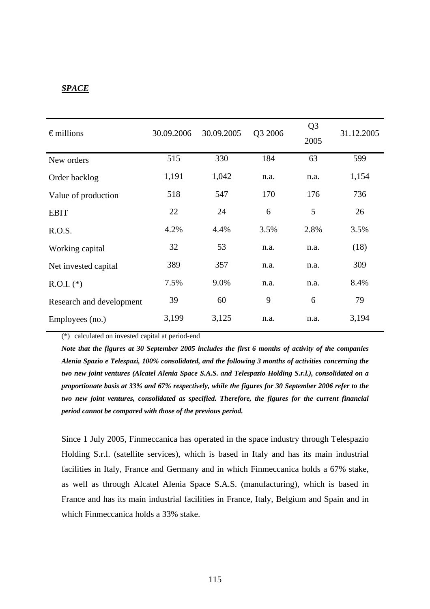### *SPACE*

| $\epsilon$ millions      | 30.09.2006 | 30.09.2005 | Q3 2006 | Q <sub>3</sub><br>2005 | 31.12.2005 |
|--------------------------|------------|------------|---------|------------------------|------------|
| New orders               | 515        | 330        | 184     | 63                     | 599        |
| Order backlog            | 1,191      | 1,042      | n.a.    | n.a.                   | 1,154      |
| Value of production      | 518        | 547        | 170     | 176                    | 736        |
| <b>EBIT</b>              | 22         | 24         | 6       | 5                      | 26         |
| R.O.S.                   | 4.2%       | 4.4%       | 3.5%    | 2.8%                   | 3.5%       |
| Working capital          | 32         | 53         | n.a.    | n.a.                   | (18)       |
| Net invested capital     | 389        | 357        | n.a.    | n.a.                   | 309        |
| $R.O.I.$ (*)             | 7.5%       | 9.0%       | n.a.    | n.a.                   | 8.4%       |
| Research and development | 39         | 60         | 9       | 6                      | 79         |
| Employees (no.)          | 3,199      | 3,125      | n.a.    | n.a.                   | 3,194      |

(\*) calculated on invested capital at period-end

*Note that the figures at 30 September 2005 includes the first 6 months of activity of the companies Alenia Spazio e Telespazi, 100% consolidated, and the following 3 months of activities concerning the two new joint ventures (Alcatel Alenia Space S.A.S. and Telespazio Holding S.r.l.), consolidated on a proportionate basis at 33% and 67% respectively, while the figures for 30 September 2006 refer to the two new joint ventures, consolidated as specified. Therefore, the figures for the current financial period cannot be compared with those of the previous period.* 

Since 1 July 2005, Finmeccanica has operated in the space industry through Telespazio Holding S.r.l. (satellite services), which is based in Italy and has its main industrial facilities in Italy, France and Germany and in which Finmeccanica holds a 67% stake, as well as through Alcatel Alenia Space S.A.S. (manufacturing), which is based in France and has its main industrial facilities in France, Italy, Belgium and Spain and in which Finmeccanica holds a 33% stake.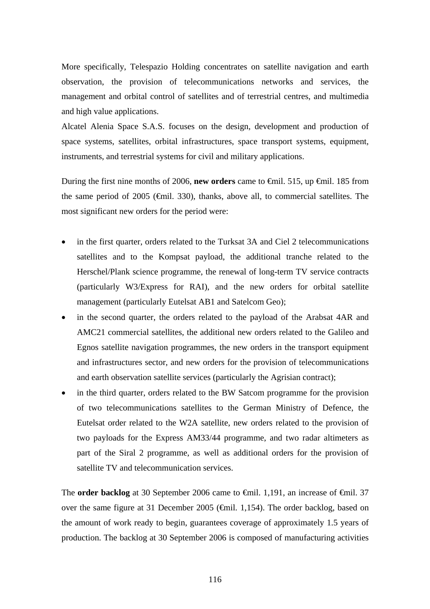More specifically, Telespazio Holding concentrates on satellite navigation and earth observation, the provision of telecommunications networks and services, the management and orbital control of satellites and of terrestrial centres, and multimedia and high value applications.

Alcatel Alenia Space S.A.S. focuses on the design, development and production of space systems, satellites, orbital infrastructures, space transport systems, equipment, instruments, and terrestrial systems for civil and military applications.

During the first nine months of 2006, **new orders** came to €mil. 515, up €mil. 185 from the same period of 2005 ( $\epsilon$ mil. 330), thanks, above all, to commercial satellites. The most significant new orders for the period were:

- in the first quarter, orders related to the Turksat 3A and Ciel 2 telecommunications satellites and to the Kompsat payload, the additional tranche related to the Herschel/Plank science programme, the renewal of long-term TV service contracts (particularly W3/Express for RAI), and the new orders for orbital satellite management (particularly Eutelsat AB1 and Satelcom Geo);
- in the second quarter, the orders related to the payload of the Arabsat 4AR and AMC21 commercial satellites, the additional new orders related to the Galileo and Egnos satellite navigation programmes, the new orders in the transport equipment and infrastructures sector, and new orders for the provision of telecommunications and earth observation satellite services (particularly the Agrisian contract);
- in the third quarter, orders related to the BW Satcom programme for the provision of two telecommunications satellites to the German Ministry of Defence, the Eutelsat order related to the W2A satellite, new orders related to the provision of two payloads for the Express AM33/44 programme, and two radar altimeters as part of the Siral 2 programme, as well as additional orders for the provision of satellite TV and telecommunication services.

The **order backlog** at 30 September 2006 came to <del>€mil</del>. 1,191, an increase of <del>€mil</del>. 37 over the same figure at 31 December 2005 ( $\epsilon$ mil. 1,154). The order backlog, based on the amount of work ready to begin, guarantees coverage of approximately 1.5 years of production. The backlog at 30 September 2006 is composed of manufacturing activities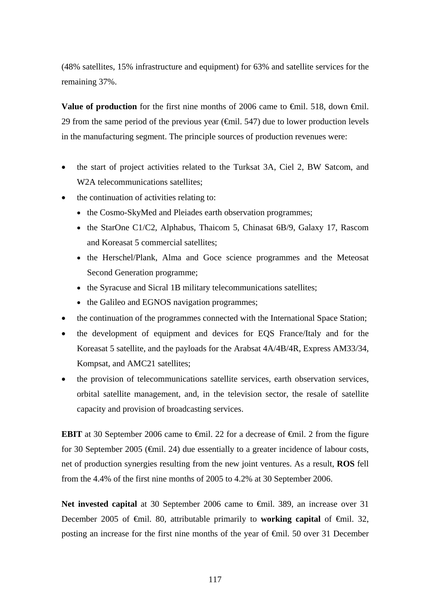(48% satellites, 15% infrastructure and equipment) for 63% and satellite services for the remaining 37%.

**Value of production** for the first nine months of 2006 came to <del>€</del>mil. 518, down €mil. 29 from the same period of the previous year  $(\text{Gmil. 547})$  due to lower production levels in the manufacturing segment. The principle sources of production revenues were:

- the start of project activities related to the Turksat 3A, Ciel 2, BW Satcom, and W<sub>2</sub>A telecommunications satellites:
- the continuation of activities relating to:
	- the Cosmo-SkyMed and Pleiades earth observation programmes;
	- the StarOne C1/C2, Alphabus, Thaicom 5, Chinasat 6B/9, Galaxy 17, Rascom and Koreasat 5 commercial satellites;
	- the Herschel/Plank, Alma and Goce science programmes and the Meteosat Second Generation programme;
	- the Syracuse and Sicral 1B military telecommunications satellites;
	- the Galileo and EGNOS navigation programmes;
- the continuation of the programmes connected with the International Space Station;
- the development of equipment and devices for EQS France/Italy and for the Koreasat 5 satellite, and the payloads for the Arabsat 4A/4B/4R, Express AM33/34, Kompsat, and AMC21 satellites;
- the provision of telecommunications satellite services, earth observation services, orbital satellite management, and, in the television sector, the resale of satellite capacity and provision of broadcasting services.

**EBIT** at 30 September 2006 came to <del>€m</del>il. 22 for a decrease of €mil. 2 from the figure for 30 September 2005 ( $\epsilon$ mil. 24) due essentially to a greater incidence of labour costs, net of production synergies resulting from the new joint ventures. As a result, **ROS** fell from the 4.4% of the first nine months of 2005 to 4.2% at 30 September 2006.

Net invested capital at 30 September 2006 came to <del>€</del>mil. 389, an increase over 31 December 2005 of €mil. 80, attributable primarily to **working capital** of €mil. 32, posting an increase for the first nine months of the year of €mil. 50 over 31 December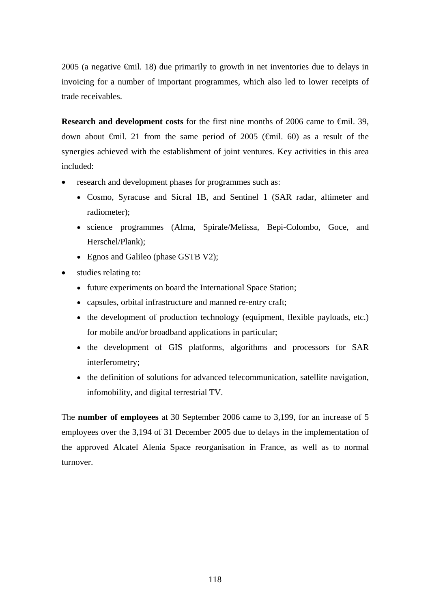2005 (a negative €mil. 18) due primarily to growth in net inventories due to delays in invoicing for a number of important programmes, which also led to lower receipts of trade receivables.

**Research and development costs** for the first nine months of 2006 came to  $\epsilon$ mil. 39, down about  $\epsilon$ mil. 21 from the same period of 2005 ( $\epsilon$ mil. 60) as a result of the synergies achieved with the establishment of joint ventures. Key activities in this area included:

- research and development phases for programmes such as:
	- Cosmo, Syracuse and Sicral 1B, and Sentinel 1 (SAR radar, altimeter and radiometer);
	- science programmes (Alma, Spirale/Melissa, Bepi-Colombo, Goce, and Herschel/Plank);
	- Egnos and Galileo (phase GSTB V2);
- studies relating to:
	- future experiments on board the International Space Station;
	- capsules, orbital infrastructure and manned re-entry craft;
	- the development of production technology (equipment, flexible payloads, etc.) for mobile and/or broadband applications in particular;
	- the development of GIS platforms, algorithms and processors for SAR interferometry;
	- the definition of solutions for advanced telecommunication, satellite navigation, infomobility, and digital terrestrial TV.

The **number of employees** at 30 September 2006 came to 3,199, for an increase of 5 employees over the 3,194 of 31 December 2005 due to delays in the implementation of the approved Alcatel Alenia Space reorganisation in France, as well as to normal turnover.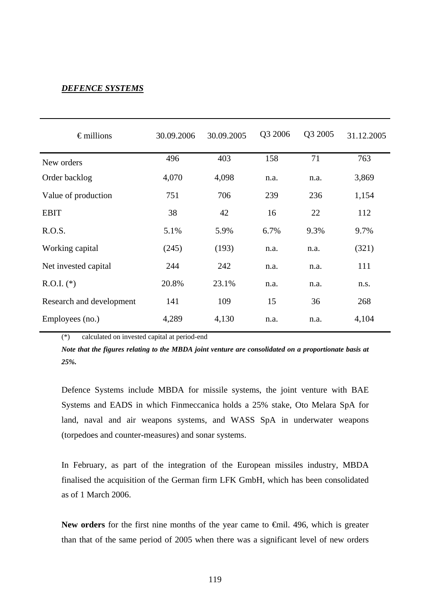## *DEFENCE SYSTEMS*

| $\epsilon$ millions      | 30.09.2006 | 30.09.2005 | Q3 2006 | Q3 2005 | 31.12.2005 |
|--------------------------|------------|------------|---------|---------|------------|
| New orders               | 496        | 403        | 158     | 71      | 763        |
| Order backlog            | 4,070      | 4,098      | n.a.    | n.a.    | 3,869      |
| Value of production      | 751        | 706        | 239     | 236     | 1,154      |
| <b>EBIT</b>              | 38         | 42         | 16      | 22      | 112        |
| R.O.S.                   | 5.1%       | 5.9%       | 6.7%    | 9.3%    | 9.7%       |
| Working capital          | (245)      | (193)      | n.a.    | n.a.    | (321)      |
| Net invested capital     | 244        | 242        | n.a.    | n.a.    | 111        |
| $R.O.I.$ (*)             | 20.8%      | 23.1%      | n.a.    | n.a.    | n.s.       |
| Research and development | 141        | 109        | 15      | 36      | 268        |
| Employees (no.)          | 4,289      | 4,130      | n.a.    | n.a.    | 4,104      |

(\*) calculated on invested capital at period-end

*Note that the figures relating to the MBDA joint venture are consolidated on a proportionate basis at 25%.* 

Defence Systems include MBDA for missile systems, the joint venture with BAE Systems and EADS in which Finmeccanica holds a 25% stake, Oto Melara SpA for land, naval and air weapons systems, and WASS SpA in underwater weapons (torpedoes and counter-measures) and sonar systems.

In February, as part of the integration of the European missiles industry, MBDA finalised the acquisition of the German firm LFK GmbH, which has been consolidated as of 1 March 2006.

New orders for the first nine months of the year came to €mil. 496, which is greater than that of the same period of 2005 when there was a significant level of new orders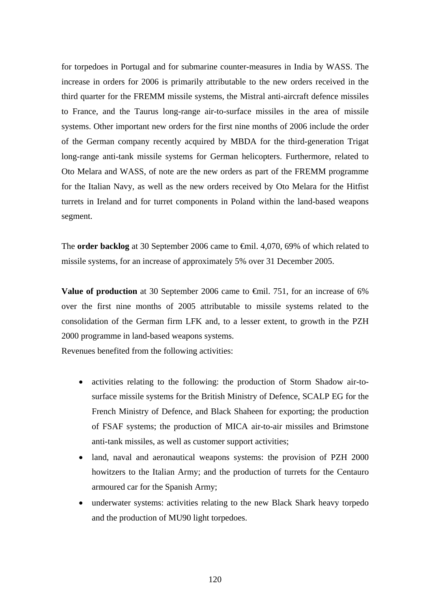for torpedoes in Portugal and for submarine counter-measures in India by WASS. The increase in orders for 2006 is primarily attributable to the new orders received in the third quarter for the FREMM missile systems, the Mistral anti-aircraft defence missiles to France, and the Taurus long-range air-to-surface missiles in the area of missile systems. Other important new orders for the first nine months of 2006 include the order of the German company recently acquired by MBDA for the third-generation Trigat long-range anti-tank missile systems for German helicopters. Furthermore, related to Oto Melara and WASS, of note are the new orders as part of the FREMM programme for the Italian Navy, as well as the new orders received by Oto Melara for the Hitfist turrets in Ireland and for turret components in Poland within the land-based weapons segment.

The **order backlog** at 30 September 2006 came to €mil. 4,070, 69% of which related to missile systems, for an increase of approximately 5% over 31 December 2005.

**Value of production** at 30 September 2006 came to €mil. 751, for an increase of 6% over the first nine months of 2005 attributable to missile systems related to the consolidation of the German firm LFK and, to a lesser extent, to growth in the PZH 2000 programme in land-based weapons systems.

Revenues benefited from the following activities:

- activities relating to the following: the production of Storm Shadow air-tosurface missile systems for the British Ministry of Defence, SCALP EG for the French Ministry of Defence, and Black Shaheen for exporting; the production of FSAF systems; the production of MICA air-to-air missiles and Brimstone anti-tank missiles, as well as customer support activities;
- land, naval and aeronautical weapons systems: the provision of PZH 2000 howitzers to the Italian Army; and the production of turrets for the Centauro armoured car for the Spanish Army;
- underwater systems: activities relating to the new Black Shark heavy torpedo and the production of MU90 light torpedoes.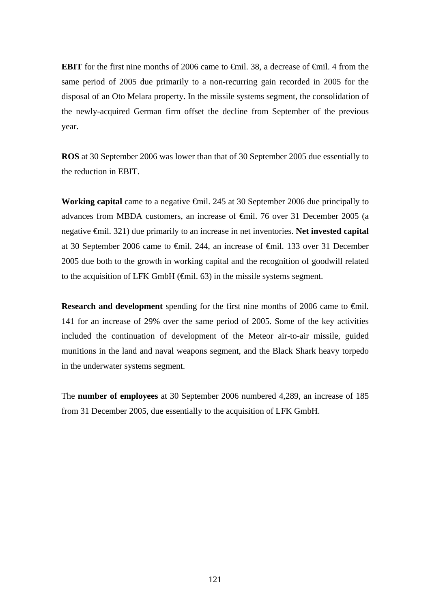**EBIT** for the first nine months of 2006 came to <del>€mil.</del> 38, a decrease of <del>€mil.</del> 4 from the same period of 2005 due primarily to a non-recurring gain recorded in 2005 for the disposal of an Oto Melara property. In the missile systems segment, the consolidation of the newly-acquired German firm offset the decline from September of the previous year.

**ROS** at 30 September 2006 was lower than that of 30 September 2005 due essentially to the reduction in EBIT.

**Working capital** came to a negative €mil. 245 at 30 September 2006 due principally to advances from MBDA customers, an increase of €mil. 76 over 31 December 2005 (a negative €mil. 321) due primarily to an increase in net inventories. **Net invested capital** at 30 September 2006 came to €mil. 244, an increase of €mil. 133 over 31 December 2005 due both to the growth in working capital and the recognition of goodwill related to the acquisition of LFK GmbH (€mil. 63) in the missile systems segment.

**Research and development** spending for the first nine months of 2006 came to  $\theta$ mil. 141 for an increase of 29% over the same period of 2005. Some of the key activities included the continuation of development of the Meteor air-to-air missile, guided munitions in the land and naval weapons segment, and the Black Shark heavy torpedo in the underwater systems segment.

The **number of employees** at 30 September 2006 numbered 4,289, an increase of 185 from 31 December 2005, due essentially to the acquisition of LFK GmbH.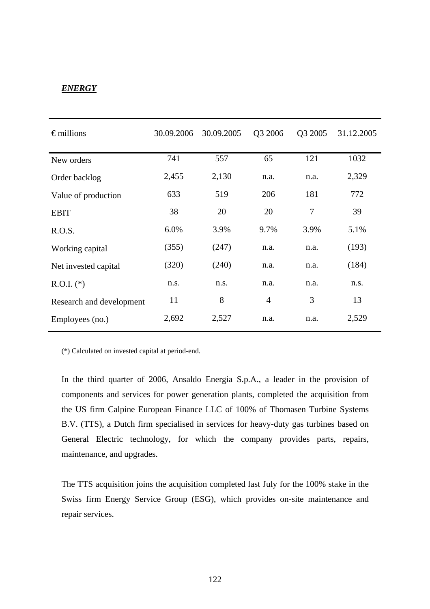# *ENERGY*

| $\epsilon$ millions      | 30.09.2006 | 30.09.2005 | Q3 2006        | Q3 2005        | 31.12.2005 |
|--------------------------|------------|------------|----------------|----------------|------------|
| New orders               | 741        | 557        | 65             | 121            | 1032       |
| Order backlog            | 2,455      | 2,130      | n.a.           | n.a.           | 2,329      |
| Value of production      | 633        | 519        | 206            | 181            | 772        |
| <b>EBIT</b>              | 38         | 20         | 20             | $\overline{7}$ | 39         |
| R.O.S.                   | 6.0%       | 3.9%       | 9.7%           | 3.9%           | 5.1%       |
| Working capital          | (355)      | (247)      | n.a.           | n.a.           | (193)      |
| Net invested capital     | (320)      | (240)      | n.a.           | n.a.           | (184)      |
| $R.O.I.$ (*)             | n.s.       | n.s.       | n.a.           | n.a.           | n.s.       |
| Research and development | 11         | 8          | $\overline{4}$ | 3              | 13         |
| Employees (no.)          | 2,692      | 2,527      | n.a.           | n.a.           | 2,529      |

(\*) Calculated on invested capital at period-end.

In the third quarter of 2006, Ansaldo Energia S.p.A., a leader in the provision of components and services for power generation plants, completed the acquisition from the US firm Calpine European Finance LLC of 100% of Thomasen Turbine Systems B.V. (TTS), a Dutch firm specialised in services for heavy-duty gas turbines based on General Electric technology, for which the company provides parts, repairs, maintenance, and upgrades.

The TTS acquisition joins the acquisition completed last July for the 100% stake in the Swiss firm Energy Service Group (ESG), which provides on-site maintenance and repair services.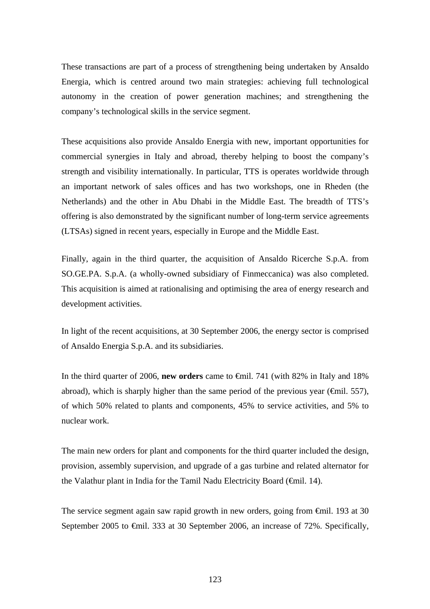These transactions are part of a process of strengthening being undertaken by Ansaldo Energia, which is centred around two main strategies: achieving full technological autonomy in the creation of power generation machines; and strengthening the company's technological skills in the service segment.

These acquisitions also provide Ansaldo Energia with new, important opportunities for commercial synergies in Italy and abroad, thereby helping to boost the company's strength and visibility internationally. In particular, TTS is operates worldwide through an important network of sales offices and has two workshops, one in Rheden (the Netherlands) and the other in Abu Dhabi in the Middle East. The breadth of TTS's offering is also demonstrated by the significant number of long-term service agreements (LTSAs) signed in recent years, especially in Europe and the Middle East.

Finally, again in the third quarter, the acquisition of Ansaldo Ricerche S.p.A. from SO.GE.PA. S.p.A. (a wholly-owned subsidiary of Finmeccanica) was also completed. This acquisition is aimed at rationalising and optimising the area of energy research and development activities.

In light of the recent acquisitions, at 30 September 2006, the energy sector is comprised of Ansaldo Energia S.p.A. and its subsidiaries.

In the third quarter of 2006, **new orders** came to €mil. 741 (with 82% in Italy and 18% abroad), which is sharply higher than the same period of the previous year ( $\epsilon$ mil. 557), of which 50% related to plants and components, 45% to service activities, and 5% to nuclear work.

The main new orders for plant and components for the third quarter included the design, provision, assembly supervision, and upgrade of a gas turbine and related alternator for the Valathur plant in India for the Tamil Nadu Electricity Board (€mil. 14).

The service segment again saw rapid growth in new orders, going from €mil. 193 at 30 September 2005 to €mil. 333 at 30 September 2006, an increase of 72%. Specifically,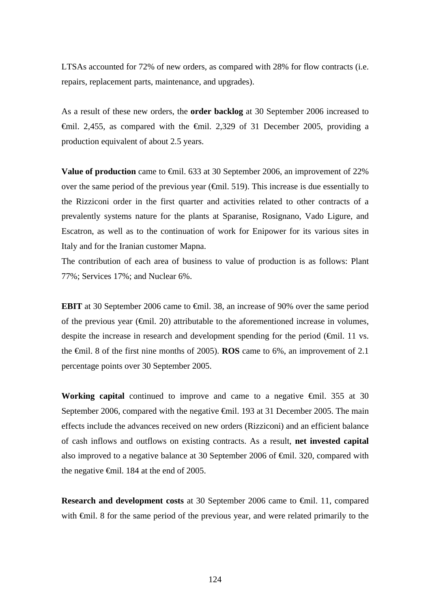LTSAs accounted for 72% of new orders, as compared with 28% for flow contracts (i.e. repairs, replacement parts, maintenance, and upgrades).

As a result of these new orders, the **order backlog** at 30 September 2006 increased to  $\theta$ mil. 2,455, as compared with the  $\theta$ mil. 2,329 of 31 December 2005, providing a production equivalent of about 2.5 years.

**Value of production** came to <del>€</del>mil. 633 at 30 September 2006, an improvement of 22% over the same period of the previous year ( $\epsilon$ mil. 519). This increase is due essentially to the Rizziconi order in the first quarter and activities related to other contracts of a prevalently systems nature for the plants at Sparanise, Rosignano, Vado Ligure, and Escatron, as well as to the continuation of work for Enipower for its various sites in Italy and for the Iranian customer Mapna.

The contribution of each area of business to value of production is as follows: Plant 77%; Services 17%; and Nuclear 6%.

**EBIT** at 30 September 2006 came to  $\theta$ il. 38, an increase of 90% over the same period of the previous year ( $\epsilon$ mil. 20) attributable to the aforementioned increase in volumes, despite the increase in research and development spending for the period  $(\theta$ mil. 11 vs. the €mil. 8 of the first nine months of 2005). **ROS** came to 6%, an improvement of 2.1 percentage points over 30 September 2005.

**Working capital** continued to improve and came to a negative  $\theta$ mil. 355 at 30 September 2006, compared with the negative <del>€</del>mil. 193 at 31 December 2005. The main effects include the advances received on new orders (Rizziconi) and an efficient balance of cash inflows and outflows on existing contracts. As a result, **net invested capital** also improved to a negative balance at 30 September 2006 of €mil. 320, compared with the negative  $\epsilon$ mil. 184 at the end of 2005.

**Research and development costs** at 30 September 2006 came to €mil. 11, compared with €mil. 8 for the same period of the previous year, and were related primarily to the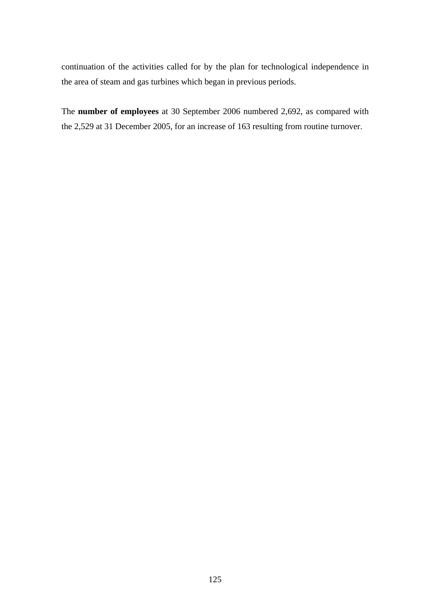continuation of the activities called for by the plan for technological independence in the area of steam and gas turbines which began in previous periods.

The **number of employees** at 30 September 2006 numbered 2,692, as compared with the 2,529 at 31 December 2005, for an increase of 163 resulting from routine turnover.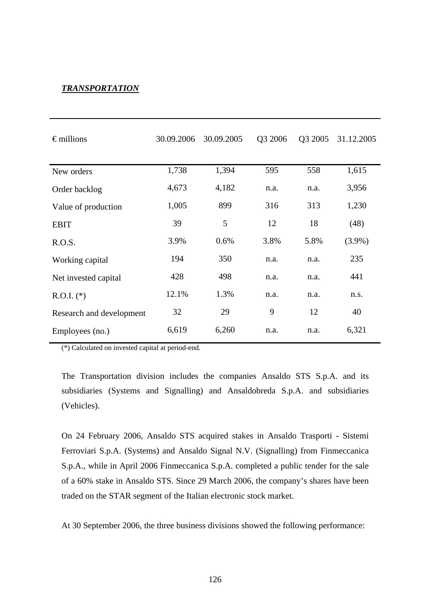## *TRANSPORTATION*

| $\epsilon$ millions      | 30.09.2006 | 30.09.2005 | Q3 2006 | Q3 2005 | 31.12.2005 |
|--------------------------|------------|------------|---------|---------|------------|
| New orders               | 1,738      | 1,394      | 595     | 558     | 1,615      |
| Order backlog            | 4,673      | 4,182      | n.a.    | n.a.    | 3,956      |
| Value of production      | 1,005      | 899        | 316     | 313     | 1,230      |
| <b>EBIT</b>              | 39         | 5          | 12      | 18      | (48)       |
| R.O.S.                   | 3.9%       | 0.6%       | 3.8%    | 5.8%    | $(3.9\%)$  |
| Working capital          | 194        | 350        | n.a.    | n.a.    | 235        |
| Net invested capital     | 428        | 498        | n.a.    | n.a.    | 441        |
| $R.O.I.$ (*)             | 12.1%      | 1.3%       | n.a.    | n.a.    | n.s.       |
| Research and development | 32         | 29         | 9       | 12      | 40         |
| Employees (no.)          | 6,619      | 6,260      | n.a.    | n.a.    | 6,321      |

(\*) Calculated on invested capital at period-end.

The Transportation division includes the companies Ansaldo STS S.p.A. and its subsidiaries (Systems and Signalling) and Ansaldobreda S.p.A. and subsidiaries (Vehicles).

On 24 February 2006, Ansaldo STS acquired stakes in Ansaldo Trasporti - Sistemi Ferroviari S.p.A. (Systems) and Ansaldo Signal N.V. (Signalling) from Finmeccanica S.p.A., while in April 2006 Finmeccanica S.p.A. completed a public tender for the sale of a 60% stake in Ansaldo STS. Since 29 March 2006, the company's shares have been traded on the STAR segment of the Italian electronic stock market.

At 30 September 2006, the three business divisions showed the following performance: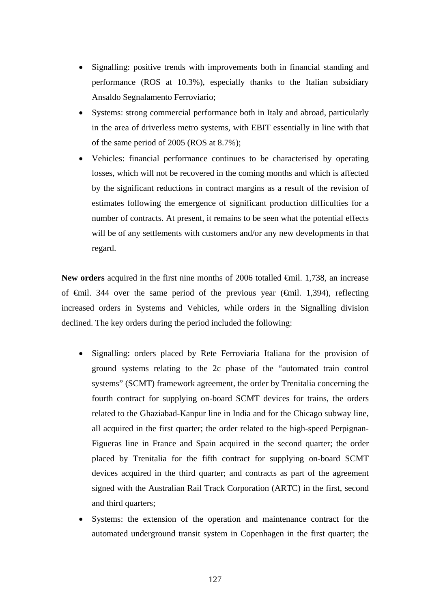- Signalling: positive trends with improvements both in financial standing and performance (ROS at 10.3%), especially thanks to the Italian subsidiary Ansaldo Segnalamento Ferroviario;
- Systems: strong commercial performance both in Italy and abroad, particularly in the area of driverless metro systems, with EBIT essentially in line with that of the same period of 2005 (ROS at 8.7%);
- Vehicles: financial performance continues to be characterised by operating losses, which will not be recovered in the coming months and which is affected by the significant reductions in contract margins as a result of the revision of estimates following the emergence of significant production difficulties for a number of contracts. At present, it remains to be seen what the potential effects will be of any settlements with customers and/or any new developments in that regard.

New orders acquired in the first nine months of 2006 totalled <del>€</del>mil. 1,738, an increase of  $\epsilon$ mil. 344 over the same period of the previous year ( $\epsilon$ mil. 1,394), reflecting increased orders in Systems and Vehicles, while orders in the Signalling division declined. The key orders during the period included the following:

- Signalling: orders placed by Rete Ferroviaria Italiana for the provision of ground systems relating to the 2c phase of the "automated train control systems" (SCMT) framework agreement, the order by Trenitalia concerning the fourth contract for supplying on-board SCMT devices for trains, the orders related to the Ghaziabad-Kanpur line in India and for the Chicago subway line, all acquired in the first quarter; the order related to the high-speed Perpignan-Figueras line in France and Spain acquired in the second quarter; the order placed by Trenitalia for the fifth contract for supplying on-board SCMT devices acquired in the third quarter; and contracts as part of the agreement signed with the Australian Rail Track Corporation (ARTC) in the first, second and third quarters:
- Systems: the extension of the operation and maintenance contract for the automated underground transit system in Copenhagen in the first quarter; the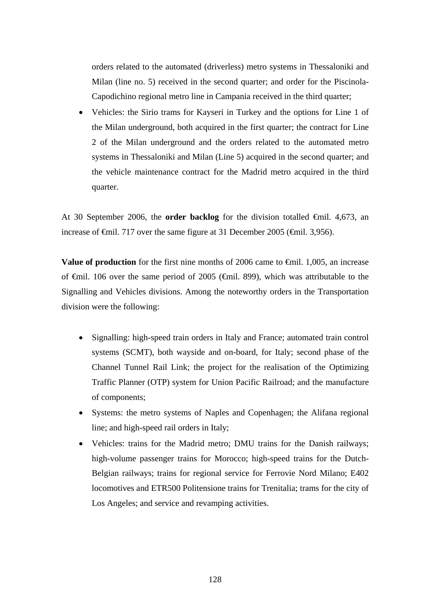orders related to the automated (driverless) metro systems in Thessaloniki and Milan (line no. 5) received in the second quarter; and order for the Piscinola-Capodichino regional metro line in Campania received in the third quarter;

• Vehicles: the Sirio trams for Kayseri in Turkey and the options for Line 1 of the Milan underground, both acquired in the first quarter; the contract for Line 2 of the Milan underground and the orders related to the automated metro systems in Thessaloniki and Milan (Line 5) acquired in the second quarter; and the vehicle maintenance contract for the Madrid metro acquired in the third quarter.

At 30 September 2006, the **order backlog** for the division totalled €mil. 4,673, an increase of €mil. 717 over the same figure at 31 December 2005 (€mil. 3,956).

**Value of production** for the first nine months of 2006 came to <del>€</del>mil. 1,005, an increase of €mil. 106 over the same period of 2005 (€mil. 899), which was attributable to the Signalling and Vehicles divisions. Among the noteworthy orders in the Transportation division were the following:

- Signalling: high-speed train orders in Italy and France; automated train control systems (SCMT), both wayside and on-board, for Italy; second phase of the Channel Tunnel Rail Link; the project for the realisation of the Optimizing Traffic Planner (OTP) system for Union Pacific Railroad; and the manufacture of components;
- Systems: the metro systems of Naples and Copenhagen; the Alifana regional line; and high-speed rail orders in Italy;
- Vehicles: trains for the Madrid metro; DMU trains for the Danish railways; high-volume passenger trains for Morocco; high-speed trains for the Dutch-Belgian railways; trains for regional service for Ferrovie Nord Milano; E402 locomotives and ETR500 Politensione trains for Trenitalia; trams for the city of Los Angeles; and service and revamping activities.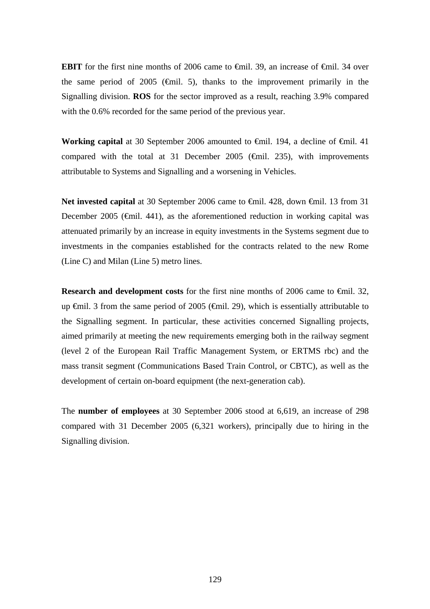**EBIT** for the first nine months of 2006 came to  $\theta$ mil. 39, an increase of  $\theta$ mil. 34 over the same period of 2005 ( $\epsilon$ mil. 5), thanks to the improvement primarily in the Signalling division. **ROS** for the sector improved as a result, reaching 3.9% compared with the 0.6% recorded for the same period of the previous year.

**Working capital** at 30 September 2006 amounted to <del>€</del>mil. 194, a decline of €mil. 41 compared with the total at 31 December 2005 ( $\epsilon$ mil. 235), with improvements attributable to Systems and Signalling and a worsening in Vehicles.

Net invested capital at 30 September 2006 came to <del>€</del>mil. 428, down <del>€</del>mil. 13 from 31 December 2005 ( $\epsilon$ mil. 441), as the aforementioned reduction in working capital was attenuated primarily by an increase in equity investments in the Systems segment due to investments in the companies established for the contracts related to the new Rome (Line C) and Milan (Line 5) metro lines.

**Research and development costs** for the first nine months of 2006 came to €mil. 32, up  $\bigoplus$  il. 3 from the same period of 2005 ( $\bigoplus$  il. 29), which is essentially attributable to the Signalling segment. In particular, these activities concerned Signalling projects, aimed primarily at meeting the new requirements emerging both in the railway segment (level 2 of the European Rail Traffic Management System, or ERTMS rbc) and the mass transit segment (Communications Based Train Control, or CBTC), as well as the development of certain on-board equipment (the next-generation cab).

The **number of employees** at 30 September 2006 stood at 6,619, an increase of 298 compared with 31 December 2005 (6,321 workers), principally due to hiring in the Signalling division.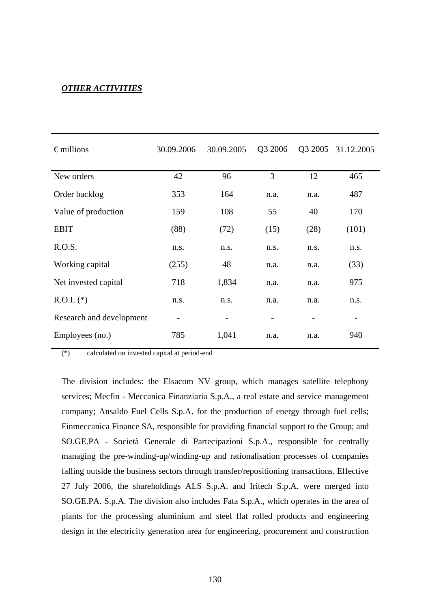# *OTHER ACTIVITIES*

| $\epsilon$ millions      | 30.09.2006               | 30.09.2005 | Q3 2006 |      | Q3 2005 31.12.2005 |
|--------------------------|--------------------------|------------|---------|------|--------------------|
| New orders               | 42                       | 96         | 3       | 12   | 465                |
| Order backlog            | 353                      | 164        | n.a.    | n.a. | 487                |
| Value of production      | 159                      | 108        | 55      | 40   | 170                |
| <b>EBIT</b>              | (88)                     | (72)       | (15)    | (28) | (101)              |
| R.O.S.                   | n.s.                     | n.s.       | n.s.    | n.s. | n.s.               |
| Working capital          | (255)                    | 48         | n.a.    | n.a. | (33)               |
| Net invested capital     | 718                      | 1,834      | n.a.    | n.a. | 975                |
| $R.O.I.$ (*)             | n.s.                     | n.s.       | n.a.    | n.a. | n.s.               |
| Research and development | $\overline{\phantom{0}}$ |            |         |      | -                  |
| Employees (no.)          | 785                      | 1,041      | n.a.    | n.a. | 940                |

(\*) calculated on invested capital at period-end

The division includes: the Elsacom NV group, which manages satellite telephony services; Mecfin - Meccanica Finanziaria S.p.A., a real estate and service management company; Ansaldo Fuel Cells S.p.A. for the production of energy through fuel cells; Finmeccanica Finance SA, responsible for providing financial support to the Group; and SO.GE.PA - Società Generale di Partecipazioni S.p.A., responsible for centrally managing the pre-winding-up/winding-up and rationalisation processes of companies falling outside the business sectors through transfer/repositioning transactions. Effective 27 July 2006, the shareholdings ALS S.p.A. and Iritech S.p.A. were merged into SO.GE.PA. S.p.A. The division also includes Fata S.p.A., which operates in the area of plants for the processing aluminium and steel flat rolled products and engineering design in the electricity generation area for engineering, procurement and construction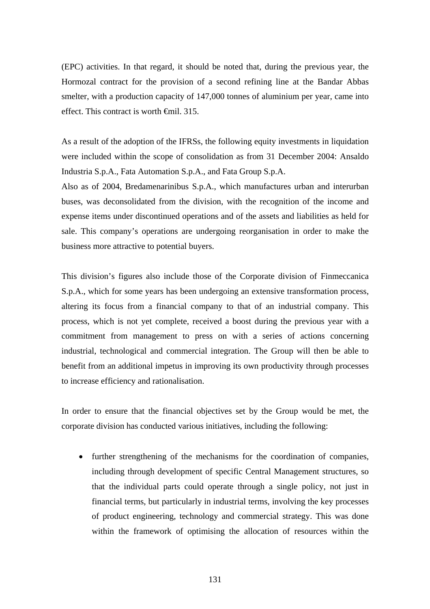(EPC) activities. In that regard, it should be noted that, during the previous year, the Hormozal contract for the provision of a second refining line at the Bandar Abbas smelter, with a production capacity of 147,000 tonnes of aluminium per year, came into effect. This contract is worth €mil. 315.

As a result of the adoption of the IFRSs, the following equity investments in liquidation were included within the scope of consolidation as from 31 December 2004: Ansaldo Industria S.p.A., Fata Automation S.p.A., and Fata Group S.p.A.

Also as of 2004, Bredamenarinibus S.p.A., which manufactures urban and interurban buses, was deconsolidated from the division, with the recognition of the income and expense items under discontinued operations and of the assets and liabilities as held for sale. This company's operations are undergoing reorganisation in order to make the business more attractive to potential buyers.

This division's figures also include those of the Corporate division of Finmeccanica S.p.A., which for some years has been undergoing an extensive transformation process, altering its focus from a financial company to that of an industrial company. This process, which is not yet complete, received a boost during the previous year with a commitment from management to press on with a series of actions concerning industrial, technological and commercial integration. The Group will then be able to benefit from an additional impetus in improving its own productivity through processes to increase efficiency and rationalisation.

In order to ensure that the financial objectives set by the Group would be met, the corporate division has conducted various initiatives, including the following:

• further strengthening of the mechanisms for the coordination of companies, including through development of specific Central Management structures, so that the individual parts could operate through a single policy, not just in financial terms, but particularly in industrial terms, involving the key processes of product engineering, technology and commercial strategy. This was done within the framework of optimising the allocation of resources within the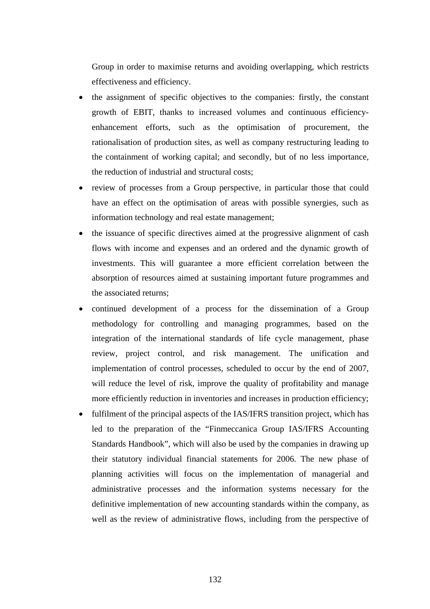Group in order to maximise returns and avoiding overlapping, which restricts effectiveness and efficiency.

- the assignment of specific objectives to the companies: firstly, the constant growth of EBIT, thanks to increased volumes and continuous efficiencyenhancement efforts, such as the optimisation of procurement, the rationalisation of production sites, as well as company restructuring leading to the containment of working capital; and secondly, but of no less importance, the reduction of industrial and structural costs;
- review of processes from a Group perspective, in particular those that could have an effect on the optimisation of areas with possible synergies, such as information technology and real estate management;
- the issuance of specific directives aimed at the progressive alignment of cash flows with income and expenses and an ordered and the dynamic growth of investments. This will guarantee a more efficient correlation between the absorption of resources aimed at sustaining important future programmes and the associated returns;
- continued development of a process for the dissemination of a Group methodology for controlling and managing programmes, based on the integration of the international standards of life cycle management, phase review, project control, and risk management. The unification and implementation of control processes, scheduled to occur by the end of 2007, will reduce the level of risk, improve the quality of profitability and manage more efficiently reduction in inventories and increases in production efficiency;
- fulfilment of the principal aspects of the IAS/IFRS transition project, which has led to the preparation of the "Finmeccanica Group IAS/IFRS Accounting Standards Handbook", which will also be used by the companies in drawing up their statutory individual financial statements for 2006. The new phase of planning activities will focus on the implementation of managerial and administrative processes and the information systems necessary for the definitive implementation of new accounting standards within the company, as well as the review of administrative flows, including from the perspective of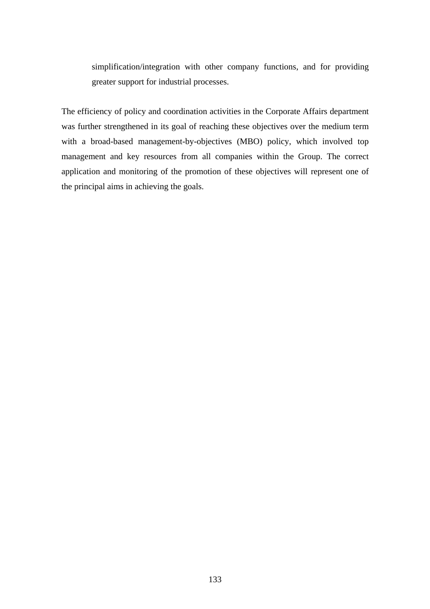simplification/integration with other company functions, and for providing greater support for industrial processes.

The efficiency of policy and coordination activities in the Corporate Affairs department was further strengthened in its goal of reaching these objectives over the medium term with a broad-based management-by-objectives (MBO) policy, which involved top management and key resources from all companies within the Group. The correct application and monitoring of the promotion of these objectives will represent one of the principal aims in achieving the goals.